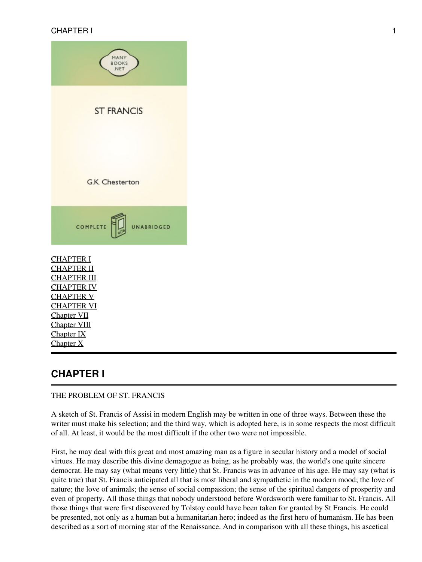

#### <span id="page-0-0"></span>THE PROBLEM OF ST. FRANCIS

A sketch of St. Francis of Assisi in modern English may be written in one of three ways. Between these the writer must make his selection; and the third way, which is adopted here, is in some respects the most difficult of all. At least, it would be the most difficult if the other two were not impossible.

First, he may deal with this great and most amazing man as a figure in secular history and a model of social virtues. He may describe this divine demagogue as being, as he probably was, the world's one quite sincere democrat. He may say (what means very little) that St. Francis was in advance of his age. He may say (what is quite true) that St. Francis anticipated all that is most liberal and sympathetic in the modern mood; the love of nature; the love of animals; the sense of social compassion; the sense of the spiritual dangers of prosperity and even of property. All those things that nobody understood before Wordsworth were familiar to St. Francis. All those things that were first discovered by Tolstoy could have been taken for granted by St Francis. He could be presented, not only as a human but a humanitarian hero; indeed as the first hero of humanism. He has been described as a sort of morning star of the Renaissance. And in comparison with all these things, his ascetical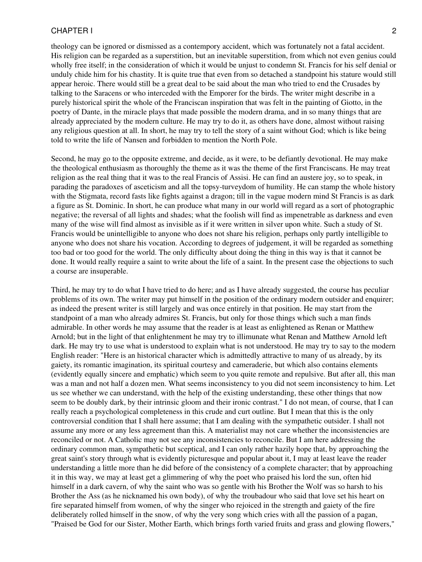theology can be ignored or dismissed as a contempory accident, which was fortunately not a fatal accident. His religion can be regarded as a superstition, but an inevitable superstition, from which not even genius could wholly free itself; in the consideration of which it would be unjust to condemn St. Francis for his self denial or unduly chide him for his chastity. It is quite true that even from so detached a standpoint his stature would still appear heroic. There would still be a great deal to be said about the man who tried to end the Crusades by talking to the Saracens or who interceded with the Emporer for the birds. The writer might describe in a purely historical spirit the whole of the Franciscan inspiration that was felt in the painting of Giotto, in the poetry of Dante, in the miracle plays that made possible the modern drama, and in so many things that are already appreciated by the modern culture. He may try to do it, as others have done, almost without raising any religious question at all. In short, he may try to tell the story of a saint without God; which is like being told to write the life of Nansen and forbidden to mention the North Pole.

Second, he may go to the opposite extreme, and decide, as it were, to be defiantly devotional. He may make the theological enthusiasm as thoroughly the theme as it was the theme of the first Franciscans. He may treat religion as the real thing that it was to the real Francis of Assisi. He can find an austere joy, so to speak, in parading the paradoxes of asceticism and all the topsy-turveydom of humility. He can stamp the whole history with the Stigmata, record fasts like fights against a dragon; till in the vague modern mind St Francis is as dark a figure as St. Dominic. In short, he can produce what many in our world will regard as a sort of photographic negative; the reversal of all lights and shades; what the foolish will find as impenetrable as darkness and even many of the wise will find almost as invisible as if it were written in silver upon white. Such a study of St. Francis would be unintelligible to anyone who does not share his religion, perhaps only partly intelligible to anyone who does not share his vocation. According to degrees of judgement, it will be regarded as something too bad or too good for the world. The only difficulty about doing the thing in this way is that it cannot be done. It would really require a saint to write about the life of a saint. In the present case the objections to such a course are insuperable.

Third, he may try to do what I have tried to do here; and as I have already suggested, the course has peculiar problems of its own. The writer may put himself in the position of the ordinary modern outsider and enquirer; as indeed the present writer is still largely and was once entirely in that position. He may start from the standpoint of a man who already admires St. Francis, but only for those things which such a man finds admirable. In other words he may assume that the reader is at least as enlightened as Renan or Matthew Arnold; but in the light of that enlightenment he may try to illimunate what Renan and Matthew Arnold left dark. He may try to use what is understood to explain what is not understood. He may try to say to the modern English reader: "Here is an historical character which is admittedly attractive to many of us already, by its gaiety, its romantic imagination, its spiritual courtesy and cameraderie, but which also contains elements (evidently equally sincere and emphatic) which seem to you quite remote and repulsive. But after all, this man was a man and not half a dozen men. What seems inconsistency to you did not seem inconsistency to him. Let us see whether we can understand, with the help of the existing understanding, these other things that now seem to be doubly dark, by their intrinsic gloom and their ironic contrast." I do not mean, of course, that I can really reach a psychological completeness in this crude and curt outline. But I mean that this is the only controversial condition that I shall here assume; that I am dealing with the sympathetic outsider. I shall not assume any more or any less agreement than this. A materialist may not care whether the inconsistencies are reconciled or not. A Catholic may not see any inconsistencies to reconcile. But I am here addressing the ordinary common man, sympathetic but sceptical, and I can only rather hazily hope that, by approaching the great saint's story through what is evidently picturesque and popular about it, I may at least leave the reader understanding a little more than he did before of the consistency of a complete character; that by approaching it in this way, we may at least get a glimmering of why the poet who praised his lord the sun, often hid himself in a dark cavern, of why the saint who was so gentle with his Brother the Wolf was so harsh to his Brother the Ass (as he nicknamed his own body), of why the troubadour who said that love set his heart on fire separated himself from women, of why the singer who rejoiced in the strength and gaiety of the fire deliberately rolled himself in the snow, of why the very song which cries with all the passion of a pagan, "Praised be God for our Sister, Mother Earth, which brings forth varied fruits and grass and glowing flowers,"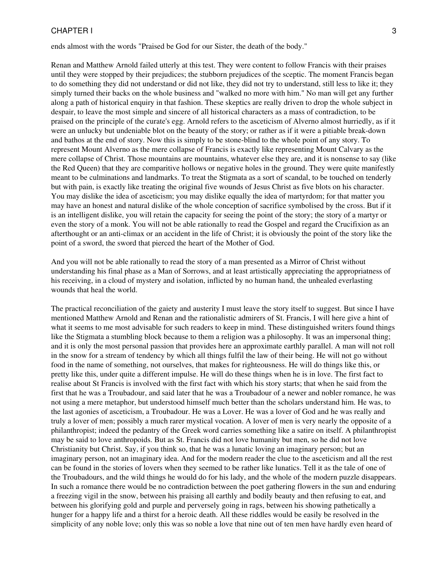ends almost with the words "Praised be God for our Sister, the death of the body."

Renan and Matthew Arnold failed utterly at this test. They were content to follow Francis with their praises until they were stopped by their prejudices; the stubborn prejudices of the sceptic. The moment Francis began to do something they did not understand or did not like, they did not try to understand, still less to like it; they simply turned their backs on the whole business and "walked no more with him." No man will get any further along a path of historical enquiry in that fashion. These skeptics are really driven to drop the whole subject in despair, to leave the most simple and sincere of all historical characters as a mass of contradiction, to be praised on the principle of the curate's egg. Arnold refers to the asceticism of Alverno almost hurriedly, as if it were an unlucky but undeniable blot on the beauty of the story; or rather as if it were a pitiable break-down and bathos at the end of story. Now this is simply to be stone-blind to the whole point of any story. To represent Mount Alverno as the mere collapse of Francis is exactly like representing Mount Calvary as the mere collapse of Christ. Those mountains are mountains, whatever else they are, and it is nonsense to say (like the Red Queen) that they are comparitive hollows or negative holes in the ground. They were quite manifestly meant to be culminations and landmarks. To treat the Stigmata as a sort of scandal, to be touched on tenderly but with pain, is exactly like treating the original five wounds of Jesus Christ as five blots on his character. You may dislike the idea of asceticism; you may dislike equally the idea of martyrdom; for that matter you may have an honest and natural dislike of the whole conception of sacrifice symbolised by the cross. But if it is an intelligent dislike, you will retain the capacity for seeing the point of the story; the story of a martyr or even the story of a monk. You will not be able rationally to read the Gospel and regard the Crucifixion as an afterthought or an anti-climax or an accident in the life of Christ; it is obviously the point of the story like the point of a sword, the sword that pierced the heart of the Mother of God.

And you will not be able rationally to read the story of a man presented as a Mirror of Christ without understanding his final phase as a Man of Sorrows, and at least artistically appreciating the appropriatness of his receiving, in a cloud of mystery and isolation, inflicted by no human hand, the unhealed everlasting wounds that heal the world.

The practical reconciliation of the gaiety and austerity I must leave the story itself to suggest. But since I have mentioned Matthew Arnold and Renan and the rationalistic admirers of St. Francis, I will here give a hint of what it seems to me most advisable for such readers to keep in mind. These distinguished writers found things like the Stigmata a stumbling block because to them a religion was a philosophy. It was an impersonal thing; and it is only the most personal passion that provides here an approximate earthly parallel. A man will not roll in the snow for a stream of tendency by which all things fulfil the law of their being. He will not go without food in the name of something, not ourselves, that makes for righteousness. He will do things like this, or pretty like this, under quite a different impulse. He will do these things when he is in love. The first fact to realise about St Francis is involved with the first fact with which his story starts; that when he said from the first that he was a Troubadour, and said later that he was a Troubadour of a newer and nobler romance, he was not using a mere metaphor, but understood himself much better than the scholars understand him. He was, to the last agonies of asceticism, a Troubadour. He was a Lover. He was a lover of God and he was really and truly a lover of men; possibly a much rarer mystical vocation. A lover of men is very nearly the opposite of a philanthropist; indeed the pedantry of the Greek word carries something like a satire on itself. A philanthropist may be said to love anthropoids. But as St. Francis did not love humanity but men, so he did not love Christianity but Christ. Say, if you think so, that he was a lunatic loving an imaginary person; but an imaginary person, not an imaginary idea. And for the modern reader the clue to the asceticism and all the rest can be found in the stories of lovers when they seemed to be rather like lunatics. Tell it as the tale of one of the Troubadours, and the wild things he would do for his lady, and the whole of the modern puzzle disappears. In such a romance there would be no contradiction between the poet gathering flowers in the sun and enduring a freezing vigil in the snow, between his praising all earthly and bodily beauty and then refusing to eat, and between his glorifying gold and purple and perversely going in rags, between his showing pathetically a hunger for a happy life and a thirst for a heroic death. All these riddles would be easily be resolved in the simplicity of any noble love; only this was so noble a love that nine out of ten men have hardly even heard of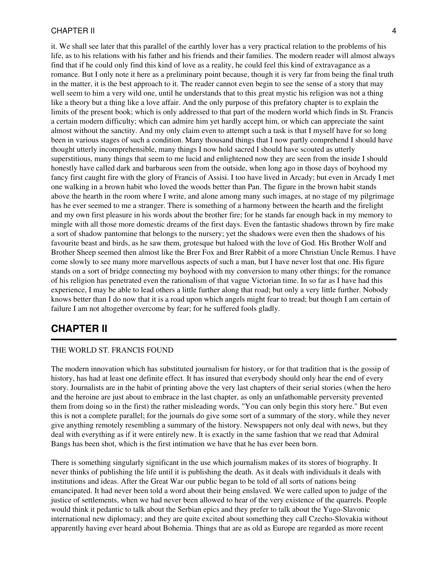it. We shall see later that this parallel of the earthly lover has a very practical relation to the problems of his life, as to his relations with his father and his friends and their families. The modern reader will almost always find that if he could only find this kind of love as a reality, he could feel this kind of extravagance as a romance. But I only note it here as a preliminary point because, though it is very far from being the final truth in the matter, it is the best approach to it. The reader cannot even begin to see the sense of a story that may well seem to him a very wild one, until he understands that to this great mystic his religion was not a thing like a theory but a thing like a love affair. And the only purpose of this prefatory chapter is to explain the limits of the present book; which is only addressed to that part of the modern world which finds in St. Francis a certain modern difficulty; which can admire him yet hardly accept him, or which can appreciate the saint almost without the sanctity. And my only claim even to attempt such a task is that I myself have for so long been in various stages of such a condition. Many thousand things that I now partly comprehend I should have thought utterly incomprehensible, many things I now hold sacred I should have scouted as utterly superstitious, many things that seem to me lucid and enlightened now they are seen from the inside I should honestly have called dark and barbarous seen from the outside, when long ago in those days of boyhood my fancy first caught fire with the glory of Francis of Assisi. I too have lived in Arcady; but even in Arcady I met one walking in a brown habit who loved the woods better than Pan. The figure in the brown habit stands above the hearth in the room where I write, and alone among many such images, at no stage of my pilgrimage has he ever seemed to me a stranger. There is something of a harmony between the hearth and the firelight and my own first pleasure in his words about the brother fire; for he stands far enough back in my memory to mingle with all those more domestic dreams of the first days. Even the fantastic shadows thrown by fire make a sort of shadow pantomine that belongs to the nursery; yet the shadows were even then the shadows of his favourite beast and birds, as he saw them, grotesque but haloed with the love of God. His Brother Wolf and Brother Sheep seemed then almost like the Brer Fox and Brer Rabbit of a more Christian Uncle Remus. I have come slowly to see many more marvellous aspects of such a man, but I have never lost that one. His figure stands on a sort of bridge connecting my boyhood with my conversion to many other things; for the romance of his religion has penetrated even the rationalism of that vague Victorian time. In so far as I have had this experience, I may be able to lead others a little further along that road; but only a very little further. Nobody knows better than I do now that it is a road upon which angels might fear to tread; but though I am certain of failure I am not altogether overcome by fear; for he suffered fools gladly.

## <span id="page-3-0"></span>**CHAPTER II**

#### THE WORLD ST. FRANCIS FOUND

The modern innovation which has substituted journalism for history, or for that tradition that is the gossip of history, has had at least one definite effect. It has insured that everybody should only hear the end of every story. Journalists are in the habit of printing above the very last chapters of their serial stories (when the hero and the heroine are just about to embrace in the last chapter, as only an unfathomable perversity prevented them from doing so in the first) the rather misleading words, "You can only begin this story here." But even this is not a complete parallel; for the journals do give some sort of a summary of the story, while they never give anything remotely resembling a summary of the history. Newspapers not only deal with news, but they deal with everything as if it were entirely new. It is exactly in the same fashion that we read that Admiral Bangs has been shot, which is the first intimation we have that he has ever been born.

There is something singularly significant in the use which journalism makes of its stores of biography. It never thinks of publishing the life until it is publishing the death. As it deals with individuals it deals with institutions and ideas. After the Great War our public began to be told of all sorts of nations being emancipated. It had never been told a word about their being enslaved. We were called upon to judge of the justice of settlements, when we had never been allowed to hear of the very existence of the quarrels. People would think it pedantic to talk about the Serbian epics and they prefer to talk about the Yugo-Slavonic international new diplomacy; and they are quite excited about something they call Czecho-Slovakia without apparently having ever heard about Bohemia. Things that are as old as Europe are regarded as more recent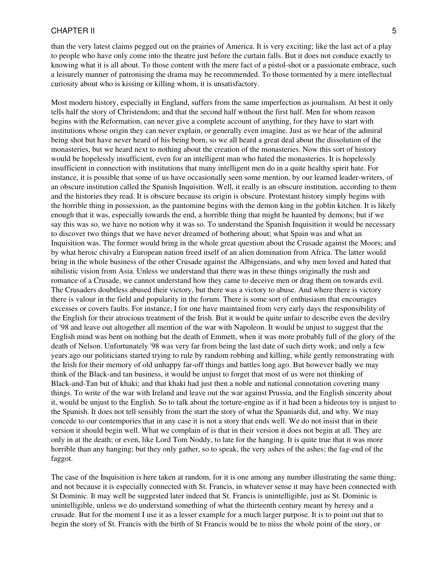than the very latest claims pegged out on the prairies of America. It is very exciting; like the last act of a play to people who have only come into the theatre just before the curtain falls. But it does not conduce exactly to knowing what it is all about. To those content with the mere fact of a pistol-shot or a passionate embrace, such a leisurely manner of patronising the drama may be recommended. To those tormented by a mere intellectual curiosity about who is kissing or killing whom, it is unsatisfactory.

Most modern history, especially in England, suffers from the same imperfection as journalism. At best it only tells half the story of Christendom; and that the second half without the first half. Men for whom reason begins with the Reformation, can never give a complete account of anything, for they have to start with institutions whose origin they can never explain, or generally even imagine. Just as we hear of the admiral being shot but have never heard of his being born, so we all heard a great deal about the dissolution of the monasteries, but we heard next to nothing about the creation of the monasteries. Now this sort of history would be hopelessly insufficient, even for an intelligent man who hated the monasteries. It is hopelessly insufficient in connection with institutions that many intelligent men do in a quite healthy spirit hate. For instance, it is possible that some of us have occasionally seen some mention, by our learned leader-writers, of an obscure institution called the Spanish Inquisition. Well, it really is an obscure institution, according to them and the histories they read. It is obscure because its origin is obscure. Protestant history simply begins with the horrible thing in possession, as the pantomine begins with the demon king in the goblin kitchen. It is likely enough that it was, especially towards the end, a horrible thing that might be haunted by demons; but if we say this was so, we have no notion why it was so. To understand the Spanish Inquisition it would be necessary to discover two things that we have never dreamed of bothering about; what Spain was and what an Inquisition was. The former would bring in the whole great question about the Crusade against the Moors; and by what heroic chivalry a European nation freed itself of an alien domination from Africa. The latter would bring in the whole business of the other Crusade against the Albigensians, and why men loved and hated that nihilistic vision from Asia. Unless we understand that there was in these things originally the rush and romance of a Crusade, we cannot understand how they came to deceive men or drag them on towards evil. The Crusaders doubtless abused their victory, but there was a victory to abuse. And where there is victory there is valour in the field and popularity in the forum. There is some sort of enthusiasm that encourages excesses or covers faults. For instance, I for one have maintained from very early days the responsibility of the English for their atrocious treatment of the Irish. But it would be quite unfair to describe even the devilry of '98 and leave out altogether all mention of the war with Napoleon. It would be unjust to suggest that the English mind was bent on nothing but the death of Emmett, when it was more probably full of the glory of the death of Nelson. Unfortunately '98 was very far from being the last date of such dirty work; and only a few years ago our politicians started trying to rule by random robbing and killing, while gently remonstrating with the Irish for their memory of old unhappy far-off things and battles long ago. But however badly we may think of the Black-and tan business, it would be unjust to forget that most of us were not thinking of Black-and-Tan but of khaki; and that khaki had just then a noble and national connotation covering many things. To write of the war with Ireland and leave out the war against Prussia, and the English sincerity about it, would be unjust to the English. So to talk about the torture-engine as if it had been a hideous toy is unjust to the Spanish. It does not tell sensibly from the start the story of what the Spaniards did, and why. We may concede to our contempories that in any case it is not a story that ends well. We do not insist that in their version it should begin well. What we complain of is that in their version it does not begin at all. They are only in at the death; or even, like Lord Tom Noddy, to late for the hanging. It is quite true that it was more horrible than any hanging; but they only gather, so to speak, the very ashes of the ashes; the fag-end of the faggot.

The case of the Inquisition is here taken at random, for it is one among any number illustrating the same thing; and not because it is especially connected with St. Francis, in whatever sense it may have been connected with St Dominic. It may well be suggested later indeed that St. Francis is unintelligible, just as St. Dominic is unintelligible, unless we do understand something of what the thirteenth century meant by heresy and a crusade. But for the moment I use it as a lesser example for a much larger purpose. It is to point out that to begin the story of St. Francis with the birth of St Francis would be to miss the whole point of the story, or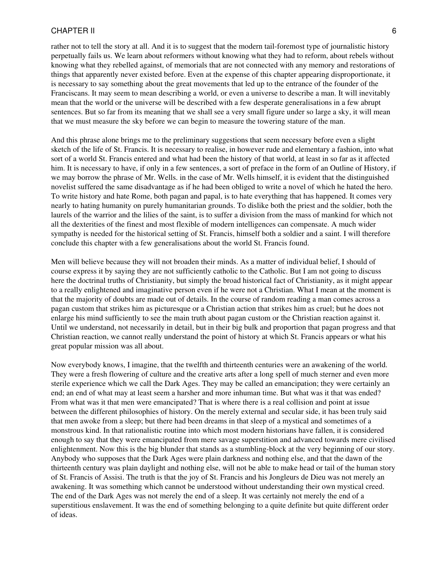rather not to tell the story at all. And it is to suggest that the modern tail-foremost type of journalistic history perpetually fails us. We learn about reformers without knowing what they had to reform, about rebels without knowing what they rebelled against, of memorials that are not connected with any memory and restorations of things that apparently never existed before. Even at the expense of this chapter appearing disproportionate, it is necessary to say something about the great movements that led up to the entrance of the founder of the Franciscans. It may seem to mean describing a world, or even a universe to describe a man. It will inevitably mean that the world or the universe will be described with a few desperate generalisations in a few abrupt sentences. But so far from its meaning that we shall see a very small figure under so large a sky, it will mean that we must measure the sky before we can begin to measure the towering stature of the man.

And this phrase alone brings me to the preliminary suggestions that seem necessary before even a slight sketch of the life of St. Francis. It is necessary to realise, in however rude and elementary a fashion, into what sort of a world St. Francis entered and what had been the history of that world, at least in so far as it affected him. It is necessary to have, if only in a few sentences, a sort of preface in the form of an Outline of History, if we may borrow the phrase of Mr. Wells. in the case of Mr. Wells himself, it is evident that the distinguished novelist suffered the same disadvantage as if he had been obliged to write a novel of which he hated the hero. To write history and hate Rome, both pagan and papal, is to hate everything that has happened. It comes very nearly to hating humanity on purely humanitarian grounds. To dislike both the priest and the soldier, both the laurels of the warrior and the lilies of the saint, is to suffer a division from the mass of mankind for which not all the dexterities of the finest and most flexible of modern intelligences can compensate. A much wider sympathy is needed for the historical setting of St. Francis, himself both a soldier and a saint. I will therefore conclude this chapter with a few generalisations about the world St. Francis found.

Men will believe because they will not broaden their minds. As a matter of individual belief, I should of course express it by saying they are not sufficiently catholic to the Catholic. But I am not going to discuss here the doctrinal truths of Christianity, but simply the broad historical fact of Christianity, as it might appear to a really enlightened and imaginative person even if he were not a Christian. What I mean at the moment is that the majority of doubts are made out of details. In the course of random reading a man comes across a pagan custom that strikes him as picturesque or a Christian action that strikes him as cruel; but he does not enlarge his mind sufficiently to see the main truth about pagan custom or the Christian reaction against it. Until we understand, not necessarily in detail, but in their big bulk and proportion that pagan progress and that Christian reaction, we cannot really understand the point of history at which St. Francis appears or what his great popular mission was all about.

Now everybody knows, I imagine, that the twelfth and thirteenth centuries were an awakening of the world. They were a fresh flowering of culture and the creative arts after a long spell of much sterner and even more sterile experience which we call the Dark Ages. They may be called an emancipation; they were certainly an end; an end of what may at least seem a harsher and more inhuman time. But what was it that was ended? From what was it that men were emancipated? That is where there is a real collision and point at issue between the different philosophies of history. On the merely external and secular side, it has been truly said that men awoke from a sleep; but there had been dreams in that sleep of a mystical and sometimes of a monstrous kind. In that rationalistic routine into which most modern historians have fallen, it is considered enough to say that they were emancipated from mere savage superstition and advanced towards mere civilised enlightenment. Now this is the big blunder that stands as a stumbling-block at the very beginning of our story. Anybody who supposes that the Dark Ages were plain darkness and nothing else, and that the dawn of the thirteenth century was plain daylight and nothing else, will not be able to make head or tail of the human story of St. Francis of Assisi. The truth is that the joy of St. Francis and his Jongleurs de Dieu was not merely an awakening. It was something which cannot be understood without understanding their own mystical creed. The end of the Dark Ages was not merely the end of a sleep. It was certainly not merely the end of a superstitious enslavement. It was the end of something belonging to a quite definite but quite different order of ideas.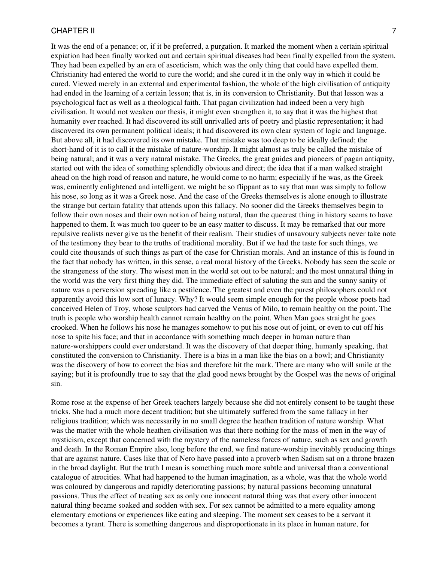It was the end of a penance; or, if it be preferred, a purgation. It marked the moment when a certain spiritual expiation had been finally worked out and certain spiritual diseases had been finally expelled from the system. They had been expelled by an era of asceticism, which was the only thing that could have expelled them. Christianity had entered the world to cure the world; and she cured it in the only way in which it could be cured. Viewed merely in an external and experimental fashion, the whole of the high civilisation of antiquity had ended in the learning of a certain lesson; that is, in its conversion to Christianity. But that lesson was a psychological fact as well as a theological faith. That pagan civilization had indeed been a very high civilisation. It would not weaken our thesis, it might even strengthen it, to say that it was the highest that humanity ever reached. It had discovered its still unrivalled arts of poetry and plastic representation; it had discovered its own permanent political ideals; it had discovered its own clear system of logic and language. But above all, it had discovered its own mistake. That mistake was too deep to be ideally defined; the short-hand of it is to call it the mistake of nature-worship. It might almost as truly be called the mistake of being natural; and it was a very natural mistake. The Greeks, the great guides and pioneers of pagan antiquity, started out with the idea of something splendidly obvious and direct; the idea that if a man walked straight ahead on the high road of reason and nature, he would come to no harm; especially if he was, as the Greek was, eminently enlightened and intelligent. we might be so flippant as to say that man was simply to follow his nose, so long as it was a Greek nose. And the case of the Greeks themselves is alone enough to illustrate the strange but certain fatality that attends upon this fallacy. No sooner did the Greeks themselves begin to follow their own noses and their own notion of being natural, than the queerest thing in history seems to have happened to them. It was much too queer to be an easy matter to discuss. It may be remarked that our more repulsive realists never give us the benefit of their realism. Their studies of unsavoury subjects never take note of the testimony they bear to the truths of traditional morality. But if we had the taste for such things, we could cite thousands of such things as part of the case for Christian morals. And an instance of this is found in the fact that nobody has written, in this sense, a real moral history of the Greeks. Nobody has seen the scale or the strangeness of the story. The wisest men in the world set out to be natural; and the most unnatural thing in the world was the very first thing they did. The immediate effect of saluting the sun and the sunny sanity of nature was a perversion spreading like a pestilence. The greatest and even the purest philosophers could not apparently avoid this low sort of lunacy. Why? It would seem simple enough for the people whose poets had conceived Helen of Troy, whose sculptors had carved the Venus of Milo, to remain healthy on the point. The truth is people who worship health cannot remain healthy on the point. When Man goes straight he goes crooked. When he follows his nose he manages somehow to put his nose out of joint, or even to cut off his nose to spite his face; and that in accordance with something much deeper in human nature than nature-worshippers could ever understand. It was the discovery of that deeper thing, humanly speaking, that constituted the conversion to Christianity. There is a bias in a man like the bias on a bowl; and Christianity was the discovery of how to correct the bias and therefore hit the mark. There are many who will smile at the saying; but it is profoundly true to say that the glad good news brought by the Gospel was the news of original sin.

Rome rose at the expense of her Greek teachers largely because she did not entirely consent to be taught these tricks. She had a much more decent tradition; but she ultimately suffered from the same fallacy in her religious tradition; which was necessarily in no small degree the heathen tradition of nature worship. What was the matter with the whole heathen civilisation was that there nothing for the mass of men in the way of mysticism, except that concerned with the mystery of the nameless forces of nature, such as sex and growth and death. In the Roman Empire also, long before the end, we find nature-worship inevitably producing things that are against nature. Cases like that of Nero have passed into a proverb when Sadism sat on a throne brazen in the broad daylight. But the truth I mean is something much more subtle and universal than a conventional catalogue of atrocities. What had happened to the human imagination, as a whole, was that the whole world was coloured by dangerous and rapidly deteriorating passions; by natural passions becoming unnatural passions. Thus the effect of treating sex as only one innocent natural thing was that every other innocent natural thing became soaked and sodden with sex. For sex cannot be admitted to a mere equality among elementary emotions or experiences like eating and sleeping. The moment sex ceases to be a servant it becomes a tyrant. There is something dangerous and disproportionate in its place in human nature, for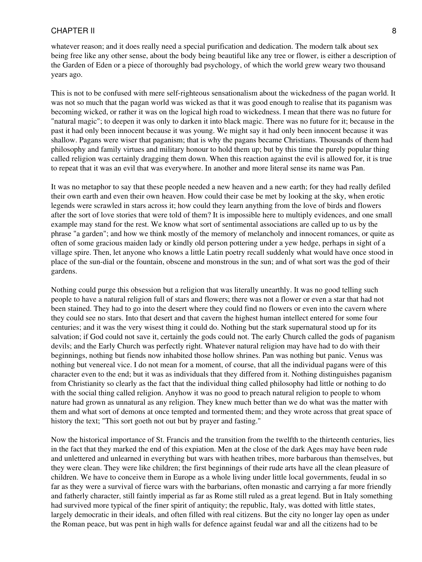whatever reason; and it does really need a special purification and dedication. The modern talk about sex being free like any other sense, about the body being beautiful like any tree or flower, is either a description of the Garden of Eden or a piece of thoroughly bad psychology, of which the world grew weary two thousand years ago.

This is not to be confused with mere self-righteous sensationalism about the wickedness of the pagan world. It was not so much that the pagan world was wicked as that it was good enough to realise that its paganism was becoming wicked, or rather it was on the logical high road to wickedness. I mean that there was no future for "natural magic"; to deepen it was only to darken it into black magic. There was no future for it; because in the past it had only been innocent because it was young. We might say it had only been innocent because it was shallow. Pagans were wiser that paganism; that is why the pagans became Christians. Thousands of them had philosophy and family virtues and military honour to hold them up; but by this time the purely popular thing called religion was certainly dragging them down. When this reaction against the evil is allowed for, it is true to repeat that it was an evil that was everywhere. In another and more literal sense its name was Pan.

It was no metaphor to say that these people needed a new heaven and a new earth; for they had really defiled their own earth and even their own heaven. How could their case be met by looking at the sky, when erotic legends were scrawled in stars across it; how could they learn anything from the love of birds and flowers after the sort of love stories that were told of them? It is impossible here to multiply evidences, and one small example may stand for the rest. We know what sort of sentimental associations are called up to us by the phrase "a garden"; and how we think mostly of the memory of melancholy and innocent romances, or quite as often of some gracious maiden lady or kindly old person pottering under a yew hedge, perhaps in sight of a village spire. Then, let anyone who knows a little Latin poetry recall suddenly what would have once stood in place of the sun-dial or the fountain, obscene and monstrous in the sun; and of what sort was the god of their gardens.

Nothing could purge this obsession but a religion that was literally unearthly. It was no good telling such people to have a natural religion full of stars and flowers; there was not a flower or even a star that had not been stained. They had to go into the desert where they could find no flowers or even into the cavern where they could see no stars. Into that desert and that cavern the highest human intellect entered for some four centuries; and it was the very wisest thing it could do. Nothing but the stark supernatural stood up for its salvation; if God could not save it, certainly the gods could not. The early Church called the gods of paganism devils; and the Early Church was perfectly right. Whatever natural religion may have had to do with their beginnings, nothing but fiends now inhabited those hollow shrines. Pan was nothing but panic. Venus was nothing but venereal vice. I do not mean for a moment, of course, that all the individual pagans were of this character even to the end; but it was as individuals that they differed from it. Nothing distinguishes paganism from Christianity so clearly as the fact that the individual thing called philosophy had little or nothing to do with the social thing called religion. Anyhow it was no good to preach natural religion to people to whom nature had grown as unnatural as any religion. They knew much better than we do what was the matter with them and what sort of demons at once tempted and tormented them; and they wrote across that great space of history the text; "This sort goeth not out but by prayer and fasting."

Now the historical importance of St. Francis and the transition from the twelfth to the thirteenth centuries, lies in the fact that they marked the end of this expiation. Men at the close of the dark Ages may have been rude and unlettered and unlearned in everything but wars with heathen tribes, more barbarous than themselves, but they were clean. They were like children; the first beginnings of their rude arts have all the clean pleasure of children. We have to conceive them in Europe as a whole living under little local governments, feudal in so far as they were a survival of fierce wars with the barbarians, often monastic and carrying a far more friendly and fatherly character, still faintly imperial as far as Rome still ruled as a great legend. But in Italy something had survived more typical of the finer spirit of antiquity; the republic, Italy, was dotted with little states, largely democratic in their ideals, and often filled with real citizens. But the city no longer lay open as under the Roman peace, but was pent in high walls for defence against feudal war and all the citizens had to be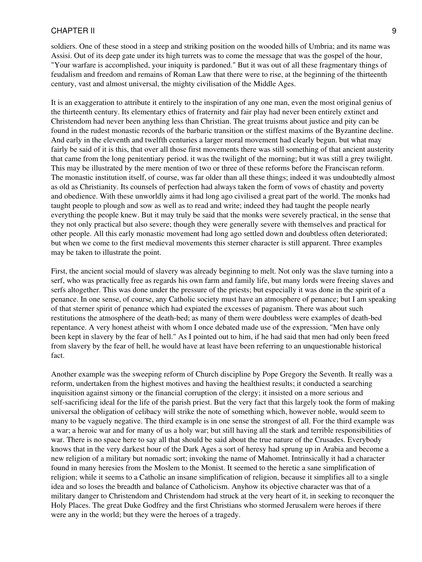soldiers. One of these stood in a steep and striking position on the wooded hills of Umbria; and its name was Assisi. Out of its deep gate under its high turrets was to come the message that was the gospel of the hour, "Your warfare is accomplished, your iniquity is pardoned." But it was out of all these fragmentary things of feudalism and freedom and remains of Roman Law that there were to rise, at the beginning of the thirteenth century, vast and almost universal, the mighty civilisation of the Middle Ages.

It is an exaggeration to attribute it entirely to the inspiration of any one man, even the most original genius of the thirteenth century. Its elementary ethics of fraternity and fair play had never been entirely extinct and Christendom had never been anything less than Christian. The great truisms about justice and pity can be found in the rudest monastic records of the barbaric transition or the stiffest maxims of the Byzantine decline. And early in the eleventh and twelfth centuries a larger moral movement had clearly begun. but what may fairly be said of it is this, that over all those first movements there was still something of that ancient austerity that came from the long penitentiary period. it was the twilight of the morning; but it was still a grey twilight. This may be illustrated by the mere mention of two or three of these reforms before the Franciscan reform. The monastic institution itself, of course, was far older than all these things; indeed it was undoubtedly almost as old as Christianity. Its counsels of perfection had always taken the form of vows of chastity and poverty and obedience. With these unworldly aims it had long ago civilised a great part of the world. The monks had taught people to plough and sow as well as to read and write; indeed they had taught the people nearly everything the people knew. But it may truly be said that the monks were severely practical, in the sense that they not only practical but also severe; though they were generally severe with themselves and practical for other people. All this early monastic movement had long ago settled down and doubtless often deteriorated; but when we come to the first medieval movements this sterner character is still apparent. Three examples may be taken to illustrate the point.

First, the ancient social mould of slavery was already beginning to melt. Not only was the slave turning into a serf, who was practically free as regards his own farm and family life, but many lords were freeing slaves and serfs altogether. This was done under the pressure of the priests; but especially it was done in the spirit of a penance. In one sense, of course, any Catholic society must have an atmosphere of penance; but I am speaking of that sterner spirit of penance which had expiated the excesses of paganism. There was about such restitutions the atmosphere of the death-bed; as many of them were doubtless were examples of death-bed repentance. A very honest atheist with whom I once debated made use of the expression, "Men have only been kept in slavery by the fear of hell." As I pointed out to him, if he had said that men had only been freed from slavery by the fear of hell, he would have at least have been referring to an unquestionable historical fact.

Another example was the sweeping reform of Church discipline by Pope Gregory the Seventh. It really was a reform, undertaken from the highest motives and having the healthiest results; it conducted a searching inquisition against simony or the financial corruption of the clergy; it insisted on a more serious and self-sacrificing ideal for the life of the parish priest. But the very fact that this largely took the form of making universal the obligation of celibacy will strike the note of something which, however noble, would seem to many to be vaguely negative. The third example is in one sense the strongest of all. For the third example was a war; a heroic war and for many of us a holy war; but still having all the stark and terrible responsibilities of war. There is no space here to say all that should be said about the true nature of the Crusades. Everybody knows that in the very darkest hour of the Dark Ages a sort of heresy had sprung up in Arabia and become a new religion of a military but nomadic sort; invoking the name of Mahomet. Intrinsically it had a character found in many heresies from the Moslem to the Monist. It seemed to the heretic a sane simplification of religion; while it seems to a Catholic an insane simplification of religion, because it simplifies all to a single idea and so loses the breadth and balance of Catholicism. Anyhow its objective character was that of a military danger to Christendom and Christendom had struck at the very heart of it, in seeking to reconquer the Holy Places. The great Duke Godfrey and the first Christians who stormed Jerusalem were heroes if there were any in the world; but they were the heroes of a tragedy.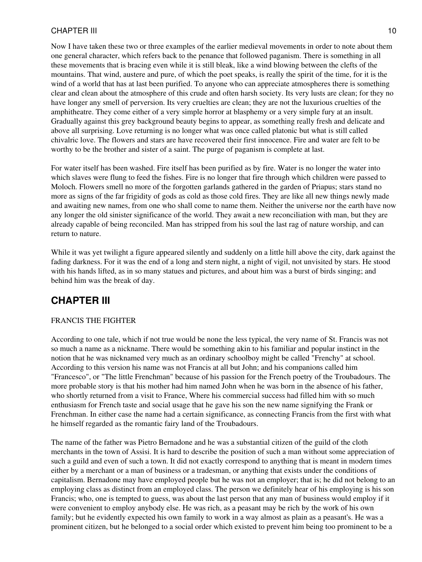Now I have taken these two or three examples of the earlier medieval movements in order to note about them one general character, which refers back to the penance that followed paganism. There is something in all these movements that is bracing even while it is still bleak, like a wind blowing between the clefts of the mountains. That wind, austere and pure, of which the poet speaks, is really the spirit of the time, for it is the wind of a world that has at last been purified. To anyone who can appreciate atmospheres there is something clear and clean about the atmosphere of this crude and often harsh society. Its very lusts are clean; for they no have longer any smell of perversion. Its very cruelties are clean; they are not the luxurious cruelties of the amphitheatre. They come either of a very simple horror at blasphemy or a very simple fury at an insult. Gradually against this grey background beauty begins to appear, as something really fresh and delicate and above all surprising. Love returning is no longer what was once called platonic but what is still called chivalric love. The flowers and stars are have recovered their first innocence. Fire and water are felt to be worthy to be the brother and sister of a saint. The purge of paganism is complete at last.

For water itself has been washed. Fire itself has been purified as by fire. Water is no longer the water into which slaves were flung to feed the fishes. Fire is no longer that fire through which children were passed to Moloch. Flowers smell no more of the forgotten garlands gathered in the garden of Priapus; stars stand no more as signs of the far frigidity of gods as cold as those cold fires. They are like all new things newly made and awaiting new names, from one who shall come to name them. Neither the universe nor the earth have now any longer the old sinister significance of the world. They await a new reconciliation with man, but they are already capable of being reconciled. Man has stripped from his soul the last rag of nature worship, and can return to nature.

While it was yet twilight a figure appeared silently and suddenly on a little hill above the city, dark against the fading darkness. For it was the end of a long and stern night, a night of vigil, not unvisited by stars. He stood with his hands lifted, as in so many statues and pictures, and about him was a burst of birds singing; and behind him was the break of day.

## <span id="page-9-0"></span>**CHAPTER III**

### FRANCIS THE FIGHTER

According to one tale, which if not true would be none the less typical, the very name of St. Francis was not so much a name as a nickname. There would be something akin to his familiar and popular instinct in the notion that he was nicknamed very much as an ordinary schoolboy might be called "Frenchy" at school. According to this version his name was not Francis at all but John; and his companions called him "Francesco", or "The little Frenchman" because of his passion for the French poetry of the Troubadours. The more probable story is that his mother had him named John when he was born in the absence of his father, who shortly returned from a visit to France, Where his commercial success had filled him with so much enthusiasm for French taste and social usage that he gave his son the new name signifying the Frank or Frenchman. In either case the name had a certain significance, as connecting Francis from the first with what he himself regarded as the romantic fairy land of the Troubadours.

The name of the father was Pietro Bernadone and he was a substantial citizen of the guild of the cloth merchants in the town of Assisi. It is hard to describe the position of such a man without some appreciation of such a guild and even of such a town. It did not exactly correspond to anything that is meant in modern times either by a merchant or a man of business or a tradesman, or anything that exists under the conditions of capitalism. Bernadone may have employed people but he was not an employer; that is; he did not belong to an employing class as distinct from an employed class. The person we definitely hear of his employing is his son Francis; who, one is tempted to guess, was about the last person that any man of business would employ if it were convenient to employ anybody else. He was rich, as a peasant may be rich by the work of his own family; but he evidently expected his own family to work in a way almost as plain as a peasant's. He was a prominent citizen, but he belonged to a social order which existed to prevent him being too prominent to be a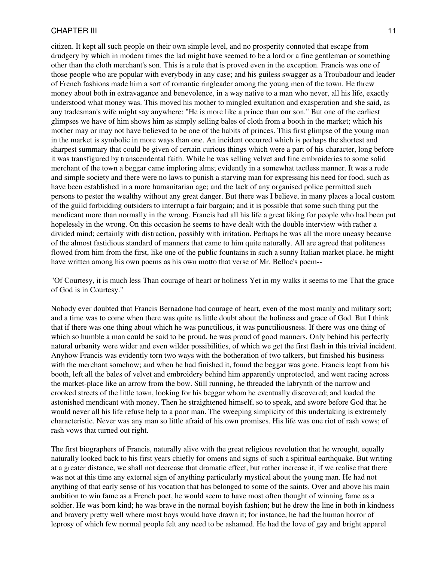citizen. It kept all such people on their own simple level, and no prosperity connoted that escape from drudgery by which in modern times the lad might have seemed to be a lord or a fine gentleman or something other than the cloth merchant's son. This is a rule that is proved even in the exception. Francis was one of those people who are popular with everybody in any case; and his guiless swagger as a Troubadour and leader of French fashions made him a sort of romantic ringleader among the young men of the town. He threw money about both in extravagance and benevolence, in a way native to a man who never, all his life, exactly understood what money was. This moved his mother to mingled exultation and exasperation and she said, as any tradesman's wife might say anywhere: "He is more like a prince than our son." But one of the earliest glimpses we have of him shows him as simply selling bales of cloth from a booth in the market; which his mother may or may not have believed to be one of the habits of princes. This first glimpse of the young man in the market is symbolic in more ways than one. An incident occurred which is perhaps the shortest and sharpest summary that could be given of certain curious things which were a part of his character, long before it was transfigured by transcendental faith. While he was selling velvet and fine embroideries to some solid merchant of the town a beggar came imploring alms; evidently in a somewhat tactless manner. It was a rude and simple society and there were no laws to punish a starving man for expressing his need for food, such as have been established in a more humanitarian age; and the lack of any organised police permitted such persons to pester the wealthy without any great danger. But there was I believe, in many places a local custom of the guild forbidding outsiders to interrupt a fair bargain; and it is possible that some such thing put the mendicant more than normally in the wrong. Francis had all his life a great liking for people who had been put hopelessly in the wrong. On this occasion he seems to have dealt with the double interview with rather a divided mind; certainly with distraction, possibly with irritation. Perhaps he was all the more uneasy because of the almost fastidious standard of manners that came to him quite naturally. All are agreed that politeness flowed from him from the first, like one of the public fountains in such a sunny Italian market place. he might have written among his own poems as his own motto that verse of Mr. Belloc's poem--

"Of Courtesy, it is much less Than courage of heart or holiness Yet in my walks it seems to me That the grace of God is in Courtesy."

Nobody ever doubted that Francis Bernadone had courage of heart, even of the most manly and military sort; and a time was to come when there was quite as little doubt about the holiness and grace of God. But I think that if there was one thing about which he was punctilious, it was punctiliousness. If there was one thing of which so humble a man could be said to be proud, he was proud of good manners. Only behind his perfectly natural urbanity were wider and even wilder possibilities, of which we get the first flash in this trivial incident. Anyhow Francis was evidently torn two ways with the botheration of two talkers, but finished his business with the merchant somehow; and when he had finished it, found the beggar was gone. Francis leapt from his booth, left all the bales of velvet and embroidery behind him apparently unprotected, and went racing across the market-place like an arrow from the bow. Still running, he threaded the labrynth of the narrow and crooked streets of the little town, looking for his beggar whom he eventually discovered; and loaded the astonished mendicant with money. Then he straightened himself, so to speak, and swore before God that he would never all his life refuse help to a poor man. The sweeping simplicity of this undertaking is extremely characteristic. Never was any man so little afraid of his own promises. His life was one riot of rash vows; of rash vows that turned out right.

The first biographers of Francis, naturally alive with the great religious revolution that he wrought, equally naturally looked back to his first years chiefly for omens and signs of such a spiritual earthquake. But writing at a greater distance, we shall not decrease that dramatic effect, but rather increase it, if we realise that there was not at this time any external sign of anything particularly mystical about the young man. He had not anything of that early sense of his vocation that has belonged to some of the saints. Over and above his main ambition to win fame as a French poet, he would seem to have most often thought of winning fame as a soldier. He was born kind; he was brave in the normal boyish fashion; but he drew the line in both in kindness and bravery pretty well where most boys would have drawn it; for instance, he had the human horror of leprosy of which few normal people felt any need to be ashamed. He had the love of gay and bright apparel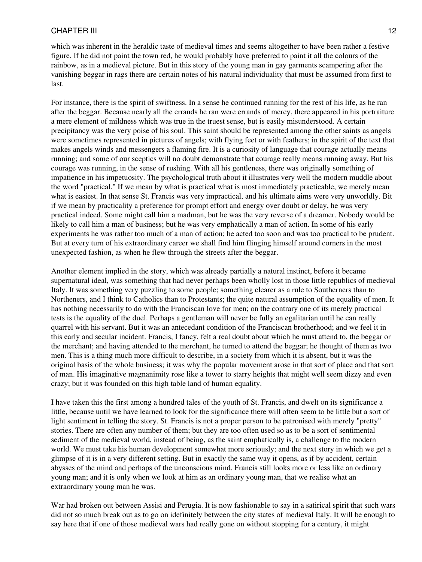which was inherent in the heraldic taste of medieval times and seems altogether to have been rather a festive figure. If he did not paint the town red, he would probably have preferred to paint it all the colours of the rainbow, as in a medieval picture. But in this story of the young man in gay garments scampering after the vanishing beggar in rags there are certain notes of his natural individuality that must be assumed from first to last.

For instance, there is the spirit of swiftness. In a sense he continued running for the rest of his life, as he ran after the beggar. Because nearly all the errands he ran were errands of mercy, there appeared in his portraiture a mere element of mildness which was true in the truest sense, but is easily misunderstood. A certain precipitancy was the very poise of his soul. This saint should be represented among the other saints as angels were sometimes represented in pictures of angels; with flying feet or with feathers; in the spirit of the text that makes angels winds and messengers a flaming fire. It is a curiosity of language that courage actually means running; and some of our sceptics will no doubt demonstrate that courage really means running away. But his courage was running, in the sense of rushing. With all his gentleness, there was originally something of impatience in his impetuosity. The psychological truth about it illustrates very well the modern muddle about the word "practical." If we mean by what is practical what is most immediately practicable, we merely mean what is easiest. In that sense St. Francis was very impractical, and his ultimate aims were very unworldly. Bit if we mean by practicality a preference for prompt effort and energy over doubt or delay, he was very practical indeed. Some might call him a madman, but he was the very reverse of a dreamer. Nobody would be likely to call him a man of business; but he was very emphatically a man of action. In some of his early experiments he was rather too much of a man of action; he acted too soon and was too practical to be prudent. But at every turn of his extraordinary career we shall find him flinging himself around corners in the most unexpected fashion, as when he flew through the streets after the beggar.

Another element implied in the story, which was already partially a natural instinct, before it became supernatural ideal, was something that had never perhaps been wholly lost in those little republics of medieval Italy. It was something very puzzling to some people; something clearer as a rule to Southerners than to Northeners, and I think to Catholics than to Protestants; the quite natural assumption of the equality of men. It has nothing necessarily to do with the Franciscan love for men; on the contrary one of its merely practical tests is the equality of the duel. Perhaps a gentleman will never be fully an egalitarian until he can really quarrel with his servant. But it was an antecedant condition of the Franciscan brotherhood; and we feel it in this early and secular incident. Francis, I fancy, felt a real doubt about which he must attend to, the beggar or the merchant; and having attended to the merchant, he turned to attend the beggar; he thought of them as two men. This is a thing much more difficult to describe, in a society from which it is absent, but it was the original basis of the whole business; it was why the popular movement arose in that sort of place and that sort of man. His imaginative magnanimity rose like a tower to starry heights that might well seem dizzy and even crazy; but it was founded on this high table land of human equality.

I have taken this the first among a hundred tales of the youth of St. Francis, and dwelt on its significance a little, because until we have learned to look for the significance there will often seem to be little but a sort of light sentiment in telling the story. St. Francis is not a proper person to be patronised with merely "pretty" stories. There are often any number of them; but they are too often used so as to be a sort of sentimental sediment of the medieval world, instead of being, as the saint emphatically is, a challenge to the modern world. We must take his human development somewhat more seriously; and the next story in which we get a glimpse of it is in a very different setting. But in exactly the same way it opens, as if by accident, certain abysses of the mind and perhaps of the unconscious mind. Francis still looks more or less like an ordinary young man; and it is only when we look at him as an ordinary young man, that we realise what an extraordinary young man he was.

War had broken out between Assisi and Perugia. It is now fashionable to say in a satirical spirit that such wars did not so much break out as to go on idefinitely between the city states of medieval Italy. It will be enough to say here that if one of those medieval wars had really gone on without stopping for a century, it might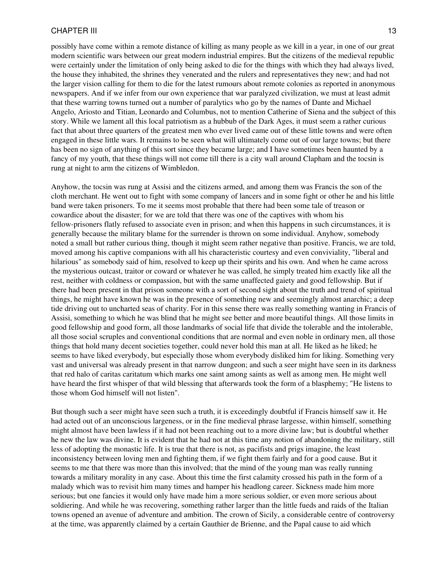possibly have come within a remote distance of killing as many people as we kill in a year, in one of our great modern scientific wars between our great modern industrial empires. But the citizens of the medieval republic were certainly under the limitation of only being asked to die for the things with which they had always lived, the house they inhabited, the shrines they venerated and the rulers and representatives they new; and had not the larger vision calling for them to die for the latest rumours about remote colonies as reported in anonymous newspapers. And if we infer from our own experience that war paralyzed civilization, we must at least admit that these warring towns turned out a number of paralytics who go by the names of Dante and Michael Angelo, Ariosto and Titian, Leonardo and Columbus, not to mention Catherine of Siena and the subject of this story. While we lament all this local patriotism as a hubbub of the Dark Ages, it must seem a rather curious fact that about three quarters of the greatest men who ever lived came out of these little towns and were often engaged in these little wars. It remains to be seen what will ultimately come out of our large towns; but there has been no sign of anything of this sort since they became large; and I have sometimes been haunted by a fancy of my youth, that these things will not come till there is a city wall around Clapham and the tocsin is rung at night to arm the citizens of Wimbledon.

Anyhow, the tocsin was rung at Assisi and the citizens armed, and among them was Francis the son of the cloth merchant. He went out to fight with some company of lancers and in some fight or other he and his little band were taken prisoners. To me it seems most probable that there had been some tale of treason or cowardice about the disaster; for we are told that there was one of the captives with whom his fellow-prisoners flatly refused to associate even in prison; and when this happens in such circumstances, it is generally because the military blame for the surrender is thrown on some individual. Anyhow, somebody noted a small but rather curious thing, though it might seem rather negative than positive. Francis, we are told, moved among his captive companions with all his characteristic courtesy and even conviviality, "liberal and hilarious" as somebody said of him, resolved to keep up their spirits and his own. And when he came across the mysterious outcast, traitor or coward or whatever he was called, he simply treated him exactly like all the rest, neither with coldness or compassion, but with the same unaffected gaiety and good fellowship. But if there had been present in that prison someone with a sort of second sight about the truth and trend of spiritual things, he might have known he was in the presence of something new and seemingly almost anarchic; a deep tide driving out to uncharted seas of charity. For in this sense there was really something wanting in Francis of Assisi, something to which he was blind that he might see better and more beautiful things. All those limits in good fellowship and good form, all those landmarks of social life that divide the tolerable and the intolerable, all those social scruples and conventional conditions that are normal and even noble in ordinary men, all those things that hold many decent societies together, could never hold this man at all. He liked as he liked; he seems to have liked everybody, but especially those whom everybody disliked him for liking. Something very vast and universal was already present in that narrow dungeon; and such a seer might have seen in its darkness that red halo of caritas caritatum which marks one saint among saints as well as among men. He might well have heard the first whisper of that wild blessing that afterwards took the form of a blasphemy; "He listens to those whom God himself will not listen".

But though such a seer might have seen such a truth, it is exceedingly doubtful if Francis himself saw it. He had acted out of an unconscious largeness, or in the fine medieval phrase largesse, within himself, something might almost have been lawless if it had not been reaching out to a more divine law; but is doubtful whether he new the law was divine. It is evident that he had not at this time any notion of abandoning the military, still less of adopting the monastic life. It is true that there is not, as pacifists and prigs imagine, the least inconsistency between loving men and fighting them, if we fight them fairly and for a good cause. But it seems to me that there was more than this involved; that the mind of the young man was really running towards a military morality in any case. About this time the first calamity crossed his path in the form of a malady which was to revisit him many times and hamper his headlong career. Sickness made him more serious; but one fancies it would only have made him a more serious soldier, or even more serious about soldiering. And while he was recovering, something rather larger than the little fueds and raids of the Italian towns opened an avenue of adventure and ambition. The crown of Sicily, a considerable centre of controversy at the time, was apparently claimed by a certain Gauthier de Brienne, and the Papal cause to aid which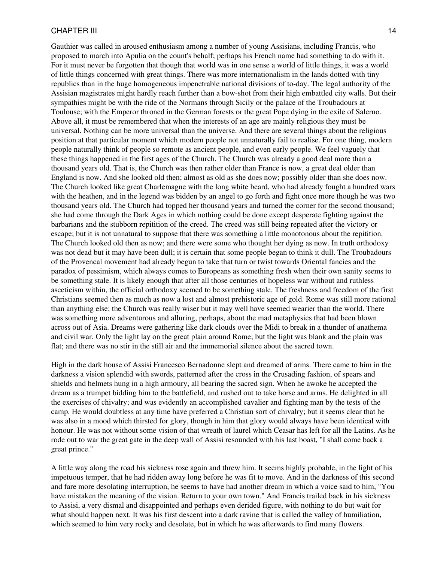Gauthier was called in aroused enthusiasm among a number of young Assisians, including Francis, who proposed to march into Apulia on the count's behalf; perhaps his French name had something to do with it. For it must never be forgotten that though that world was in one sense a world of little things, it was a world of little things concerned with great things. There was more internationalism in the lands dotted with tiny republics than in the huge homogeneous impenetrable national divisions of to-day. The legal authority of the Assisian magistrates might hardly reach further than a bow-shot from their high embattled city walls. But their sympathies might be with the ride of the Normans through Sicily or the palace of the Troubadours at Toulouse; with the Emperor throned in the German forests or the great Pope dying in the exile of Salerno. Above all, it must be remembered that when the interests of an age are mainly religious they must be universal. Nothing can be more universal than the universe. And there are several things about the religious position at that particular moment which modern people not unnaturally fail to realise. For one thing, modern people naturally think of people so remote as ancient people, and even early people. We feel vaguely that these things happened in the first ages of the Church. The Church was already a good deal more than a thousand years old. That is, the Church was then rather older than France is now, a great deal older than England is now. And she looked old then; almost as old as she does now; possibly older than she does now. The Church looked like great Charlemagne with the long white beard, who had already fought a hundred wars with the heathen, and in the legend was bidden by an angel to go forth and fight once more though he was two thousand years old. The Church had topped her thousand years and turned the corner for the second thousand; she had come through the Dark Ages in which nothing could be done except desperate fighting against the barbarians and the stubborn repitition of the creed. The creed was still being repeated after the victory or escape; but it is not unnatural to suppose that there was something a little monotonous about the repitition. The Church looked old then as now; and there were some who thought her dying as now. In truth orthodoxy was not dead but it may have been dull; it is certain that some people began to think it dull. The Troubadours of the Provencal movement had already begun to take that turn or twist towards Oriental fancies and the paradox of pessimism, which always comes to Europeans as something fresh when their own sanity seems to be something stale. It is likely enough that after all those centuries of hopeless war without and ruthless asceticism within, the official orthodoxy seemed to be something stale. The freshness and freedom of the first Christians seemed then as much as now a lost and almost prehistoric age of gold. Rome was still more rational than anything else; the Church was really wiser but it may well have seemed wearier than the world. There was something more adventurous and alluring, perhaps, about the mad metaphysics that had been blown across out of Asia. Dreams were gathering like dark clouds over the Midi to break in a thunder of anathema and civil war. Only the light lay on the great plain around Rome; but the light was blank and the plain was flat; and there was no stir in the still air and the immemorial silence about the sacred town.

High in the dark house of Assisi Francesco Bernadonne slept and dreamed of arms. There came to him in the darkness a vision splendid with swords, patterned after the cross in the Crusading fashion, of spears and shields and helmets hung in a high armoury, all bearing the sacred sign. When he awoke he accepted the dream as a trumpet bidding him to the battlefield, and rushed out to take horse and arms. He delighted in all the exercises of chivalry; and was evidently an accomplished cavalier and fighting man by the tests of the camp. He would doubtless at any time have preferred a Christian sort of chivalry; but it seems clear that he was also in a mood which thirsted for glory, though in him that glory would always have been identical with honour. He was not without some vision of that wreath of laurel which Ceasar has left for all the Latins. As he rode out to war the great gate in the deep wall of Assisi resounded with his last boast, "I shall come back a great prince."

A little way along the road his sickness rose again and threw him. It seems highly probable, in the light of his impetuous temper, that he had ridden away long before he was fit to move. And in the darkness of this second and fare more desolating interruption, he seems to have had another dream in which a voice said to him, "You have mistaken the meaning of the vision. Return to your own town." And Francis trailed back in his sickness to Assisi, a very dismal and disappointed and perhaps even derided figure, with nothing to do but wait for what should happen next. It was his first descent into a dark ravine that is called the valley of humiliation, which seemed to him very rocky and desolate, but in which he was afterwards to find many flowers.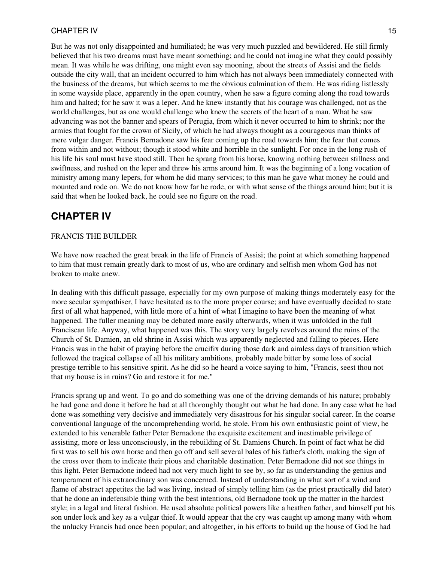But he was not only disappointed and humiliated; he was very much puzzled and bewildered. He still firmly believed that his two dreams must have meant something; and he could not imagine what they could possibly mean. It was while he was drifting, one might even say mooning, about the streets of Assisi and the fields outside the city wall, that an incident occurred to him which has not always been immediately connected with the business of the dreams, but which seems to me the obvious culmination of them. He was riding listlessly in some wayside place, apparently in the open country, when he saw a figure coming along the road towards him and halted; for he saw it was a leper. And he knew instantly that his courage was challenged, not as the world challenges, but as one would challenge who knew the secrets of the heart of a man. What he saw advancing was not the banner and spears of Perugia, from which it never occurred to him to shrink; nor the armies that fought for the crown of Sicily, of which he had always thought as a courageous man thinks of mere vulgar danger. Francis Bernadone saw his fear coming up the road towards him; the fear that comes from within and not without; though it stood white and horrible in the sunlight. For once in the long rush of his life his soul must have stood still. Then he sprang from his horse, knowing nothing between stillness and swiftness, and rushed on the leper and threw his arms around him. It was the beginning of a long vocation of ministry among many lepers, for whom he did many services; to this man he gave what money he could and mounted and rode on. We do not know how far he rode, or with what sense of the things around him; but it is said that when he looked back, he could see no figure on the road.

## <span id="page-14-0"></span>**CHAPTER IV**

### FRANCIS THE BUILDER

We have now reached the great break in the life of Francis of Assisi; the point at which something happened to him that must remain greatly dark to most of us, who are ordinary and selfish men whom God has not broken to make anew.

In dealing with this difficult passage, especially for my own purpose of making things moderately easy for the more secular sympathiser, I have hesitated as to the more proper course; and have eventually decided to state first of all what happened, with little more of a hint of what I imagine to have been the meaning of what happened. The fuller meaning may be debated more easily afterwards, when it was unfolded in the full Franciscan life. Anyway, what happened was this. The story very largely revolves around the ruins of the Church of St. Damien, an old shrine in Assisi which was apparently neglected and falling to pieces. Here Francis was in the habit of praying before the crucifix during those dark and aimless days of transition which followed the tragical collapse of all his military ambitions, probably made bitter by some loss of social prestige terrible to his sensitive spirit. As he did so he heard a voice saying to him, "Francis, seest thou not that my house is in ruins? Go and restore it for me."

Francis sprang up and went. To go and do something was one of the driving demands of his nature; probably he had gone and done it before he had at all thoroughly thought out what he had done. In any case what he had done was something very decisive and immediately very disastrous for his singular social career. In the coarse conventional language of the uncomprehending world, he stole. From his own enthusiastic point of view, he extended to his venerable father Peter Bernadone the exquisite excitement and inestimable privilege of assisting, more or less unconsciously, in the rebuilding of St. Damiens Church. In point of fact what he did first was to sell his own horse and then go off and sell several bales of his father's cloth, making the sign of the cross over them to indicate their pious and charitable destination. Peter Bernadone did not see things in this light. Peter Bernadone indeed had not very much light to see by, so far as understanding the genius and temperament of his extraordinary son was concerned. Instead of understanding in what sort of a wind and flame of abstract appetites the lad was living, instead of simply telling him (as the priest practically did later) that he done an indefensible thing with the best intentions, old Bernadone took up the matter in the hardest style; in a legal and literal fashion. He used absolute political powers like a heathen father, and himself put his son under lock and key as a vulgar thief. It would appear that the cry was caught up among many with whom the unlucky Francis had once been popular; and altogether, in his efforts to build up the house of God he had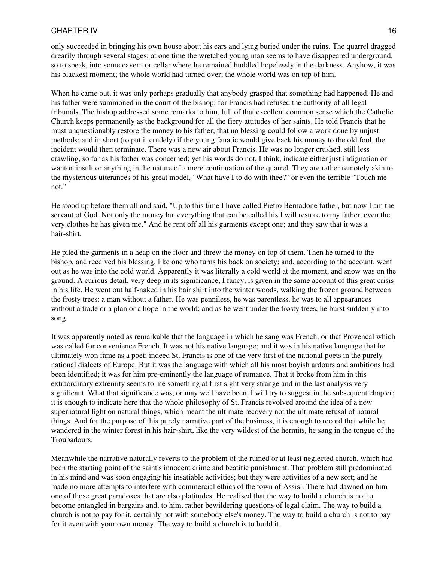only succeeded in bringing his own house about his ears and lying buried under the ruins. The quarrel dragged drearily through several stages; at one time the wretched young man seems to have disappeared underground, so to speak, into some cavern or cellar where he remained huddled hopelessly in the darkness. Anyhow, it was his blackest moment; the whole world had turned over; the whole world was on top of him.

When he came out, it was only perhaps gradually that anybody grasped that something had happened. He and his father were summoned in the court of the bishop; for Francis had refused the authority of all legal tribunals. The bishop addressed some remarks to him, full of that excellent common sense which the Catholic Church keeps permanently as the background for all the fiery attitudes of her saints. He told Francis that he must unquestionably restore the money to his father; that no blessing could follow a work done by unjust methods; and in short (to put it crudely) if the young fanatic would give back his money to the old fool, the incident would then terminate. There was a new air about Francis. He was no longer crushed, still less crawling, so far as his father was concerned; yet his words do not, I think, indicate either just indignation or wanton insult or anything in the nature of a mere continuation of the quarrel. They are rather remotely akin to the mysterious utterances of his great model, "What have I to do with thee?" or even the terrible "Touch me not."

He stood up before them all and said, "Up to this time I have called Pietro Bernadone father, but now I am the servant of God. Not only the money but everything that can be called his I will restore to my father, even the very clothes he has given me." And he rent off all his garments except one; and they saw that it was a hair-shirt.

He piled the garments in a heap on the floor and threw the money on top of them. Then he turned to the bishop, and received his blessing, like one who turns his back on society; and, according to the account, went out as he was into the cold world. Apparently it was literally a cold world at the moment, and snow was on the ground. A curious detail, very deep in its significance, I fancy, is given in the same account of this great crisis in his life. He went out half-naked in his hair shirt into the winter woods, walking the frozen ground between the frosty trees: a man without a father. He was penniless, he was parentless, he was to all appearances without a trade or a plan or a hope in the world; and as he went under the frosty trees, he burst suddenly into song.

It was apparently noted as remarkable that the language in which he sang was French, or that Provencal which was called for convenience French. It was not his native language; and it was in his native language that he ultimately won fame as a poet; indeed St. Francis is one of the very first of the national poets in the purely national dialects of Europe. But it was the language with which all his most boyish ardours and ambitions had been identified; it was for him pre-eminently the language of romance. That it broke from him in this extraordinary extremity seems to me something at first sight very strange and in the last analysis very significant. What that significance was, or may well have been, I will try to suggest in the subsequent chapter; it is enough to indicate here that the whole philosophy of St. Francis revolved around the idea of a new supernatural light on natural things, which meant the ultimate recovery not the ultimate refusal of natural things. And for the purpose of this purely narrative part of the business, it is enough to record that while he wandered in the winter forest in his hair-shirt, like the very wildest of the hermits, he sang in the tongue of the Troubadours.

Meanwhile the narrative naturally reverts to the problem of the ruined or at least neglected church, which had been the starting point of the saint's innocent crime and beatific punishment. That problem still predominated in his mind and was soon engaging his insatiable activities; but they were activities of a new sort; and he made no more attempts to interfere with commercial ethics of the town of Assisi. There had dawned on him one of those great paradoxes that are also platitudes. He realised that the way to build a church is not to become entangled in bargains and, to him, rather bewildering questions of legal claim. The way to build a church is not to pay for it, certainly not with somebody else's money. The way to build a church is not to pay for it even with your own money. The way to build a church is to build it.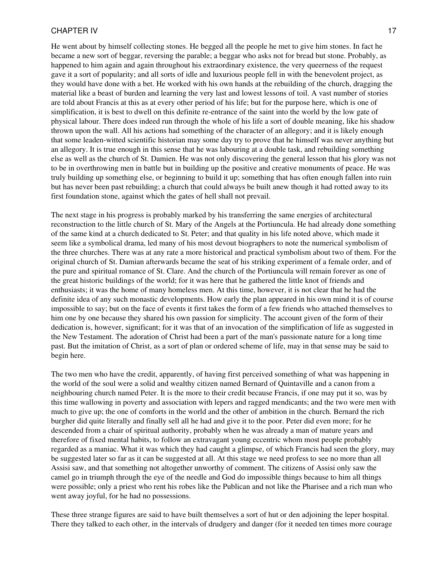He went about by himself collecting stones. He begged all the people he met to give him stones. In fact he became a new sort of beggar, reversing the parable; a beggar who asks not for bread but stone. Probably, as happened to him again and again throughout his extraordinary existence, the very queerness of the request gave it a sort of popularity; and all sorts of idle and luxurious people fell in with the benevolent project, as they would have done with a bet. He worked with his own hands at the rebuilding of the church, dragging the material like a beast of burden and learning the very last and lowest lessons of toil. A vast number of stories are told about Francis at this as at every other period of his life; but for the purpose here, which is one of simplification, it is best to dwell on this definite re-entrance of the saint into the world by the low gate of physical labour. There does indeed run through the whole of his life a sort of double meaning, like his shadow thrown upon the wall. All his actions had something of the character of an allegory; and it is likely enough that some leaden-witted scientific historian may some day try to prove that he himself was never anything but an allegory. It is true enough in this sense that he was labouring at a double task, and rebuilding something else as well as the church of St. Damien. He was not only discovering the general lesson that his glory was not to be in overthrowing men in battle but in building up the positive and creative monuments of peace. He was truly building up something else, or beginning to build it up; something that has often enough fallen into ruin but has never been past rebuilding; a church that could always be built anew though it had rotted away to its first foundation stone, against which the gates of hell shall not prevail.

The next stage in his progress is probably marked by his transferring the same energies of architectural reconstruction to the little church of St. Mary of the Angels at the Portiuncula. He had already done something of the same kind at a church dedicated to St. Peter; and that quality in his life noted above, which made it seem like a symbolical drama, led many of his most devout biographers to note the numerical symbolism of the three churches. There was at any rate a more historical and practical symbolism about two of them. For the original church of St. Damian afterwards became the seat of his striking experiment of a female order, and of the pure and spiritual romance of St. Clare. And the church of the Portiuncula will remain forever as one of the great historic buildings of the world; for it was here that he gathered the little knot of friends and enthusiasts; it was the home of many homeless men. At this time, however, it is not clear that he had the definite idea of any such monastic developments. How early the plan appeared in his own mind it is of course impossible to say; but on the face of events it first takes the form of a few friends who attached themselves to him one by one because they shared his own passion for simplicity. The account given of the form of their dedication is, however, significant; for it was that of an invocation of the simplification of life as suggested in the New Testament. The adoration of Christ had been a part of the man's passionate nature for a long time past. But the imitation of Christ, as a sort of plan or ordered scheme of life, may in that sense may be said to begin here.

The two men who have the credit, apparently, of having first perceived something of what was happening in the world of the soul were a solid and wealthy citizen named Bernard of Quintaville and a canon from a neighbouring church named Peter. It is the more to their credit because Francis, if one may put it so, was by this time wallowing in poverty and association with lepers and ragged mendicants; and the two were men with much to give up; the one of comforts in the world and the other of ambition in the church. Bernard the rich burgher did quite literally and finally sell all he had and give it to the poor. Peter did even more; for he descended from a chair of spiritual authority, probably when he was already a man of mature years and therefore of fixed mental habits, to follow an extravagant young eccentric whom most people probably regarded as a maniac. What it was which they had caught a glimpse, of which Francis had seen the glory, may be suggested later so far as it can be suggested at all. At this stage we need profess to see no more than all Assisi saw, and that something not altogether unworthy of comment. The citizens of Assisi only saw the camel go in triumph through the eye of the needle and God do impossible things because to him all things were possible; only a priest who rent his robes like the Publican and not like the Pharisee and a rich man who went away joyful, for he had no possessions.

These three strange figures are said to have built themselves a sort of hut or den adjoining the leper hospital. There they talked to each other, in the intervals of drudgery and danger (for it needed ten times more courage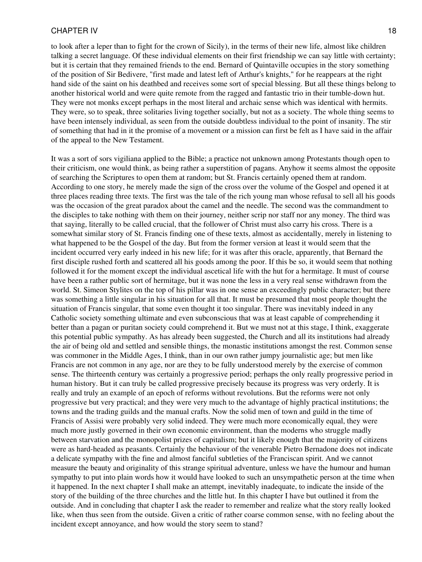to look after a leper than to fight for the crown of Sicily), in the terms of their new life, almost like children talking a secret language. Of these individual elements on their first friendship we can say little with certainty; but it is certain that they remained friends to the end. Bernard of Quintaville occupies in the story something of the position of Sir Bedivere, "first made and latest left of Arthur's knights," for he reappears at the right hand side of the saint on his deathbed and receives some sort of special blessing. But all these things belong to another historical world and were quite remote from the ragged and fantastic trio in their tumble-down hut. They were not monks except perhaps in the most literal and archaic sense which was identical with hermits. They were, so to speak, three solitaries living together socially, but not as a society. The whole thing seems to have been intensely individual, as seen from the outside doubtless individual to the point of insanity. The stir of something that had in it the promise of a movement or a mission can first be felt as I have said in the affair of the appeal to the New Testament.

It was a sort of sors vigiliana applied to the Bible; a practice not unknown among Protestants though open to their criticism, one would think, as being rather a superstition of pagans. Anyhow it seems almost the opposite of searching the Scriptures to open them at random; but St. Francis certainly opened them at random. According to one story, he merely made the sign of the cross over the volume of the Gospel and opened it at three places reading three texts. The first was the tale of the rich young man whose refusal to sell all his goods was the occasion of the great paradox about the camel and the needle. The second was the commandment to the disciples to take nothing with them on their journey, neither scrip nor staff nor any money. The third was that saying, literally to be called crucial, that the follower of Christ must also carry his cross. There is a somewhat similar story of St. Francis finding one of these texts, almost as accidentally, merely in listening to what happened to be the Gospel of the day. But from the former version at least it would seem that the incident occurred very early indeed in his new life; for it was after this oracle, apparently, that Bernard the first disciple rushed forth and scattered all his goods among the poor. If this be so, it would seem that nothing followed it for the moment except the individual ascetical life with the hut for a hermitage. It must of course have been a rather public sort of hermitage, but it was none the less in a very real sense withdrawn from the world. St. Simeon Stylites on the top of his pillar was in one sense an exceedingly public character; but there was something a little singular in his situation for all that. It must be presumed that most people thought the situation of Francis singular, that some even thought it too singular. There was inevitably indeed in any Catholic society something ultimate and even subconscious that was at least capable of comprehending it better than a pagan or puritan society could comprehend it. But we must not at this stage, I think, exaggerate this potential public sympathy. As has already been suggested, the Church and all its institutions had already the air of being old and settled and sensible things, the monastic institutions amongst the rest. Common sense was commoner in the Middle Ages, I think, than in our own rather jumpy journalistic age; but men like Francis are not common in any age, nor are they to be fully understood merely by the exercise of common sense. The thirteenth century was certainly a progressive period; perhaps the only really progressive period in human history. But it can truly be called progressive precisely because its progress was very orderly. It is really and truly an example of an epoch of reforms without revolutions. But the reforms were not only progressive but very practical; and they were very much to the advantage of highly practical institutions; the towns and the trading guilds and the manual crafts. Now the solid men of town and guild in the time of Francis of Assisi were probably very solid indeed. They were much more economically equal, they were much more justly governed in their own economic environment, than the moderns who struggle madly between starvation and the monopolist prizes of capitalism; but it likely enough that the majority of citizens were as hard-headed as peasants. Certainly the behaviour of the venerable Pietro Bernadone does not indicate a delicate sympathy with the fine and almost fanciful subtleties of the Franciscan spirit. And we cannot measure the beauty and originality of this strange spiritual adventure, unless we have the humour and human sympathy to put into plain words how it would have looked to such an unsympathetic person at the time when it happened. In the next chapter I shall make an attempt, inevitably inadequate, to indicate the inside of the story of the building of the three churches and the little hut. In this chapter I have but outlined it from the outside. And in concluding that chapter I ask the reader to remember and realize what the story really looked like, when thus seen from the outside. Given a critic of rather coarse common sense, with no feeling about the incident except annoyance, and how would the story seem to stand?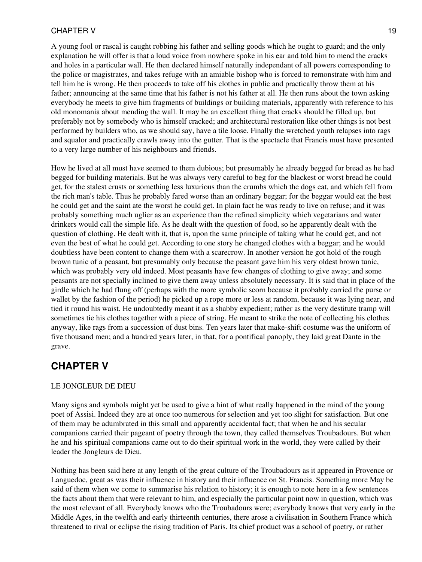A young fool or rascal is caught robbing his father and selling goods which he ought to guard; and the only explanation he will offer is that a loud voice from nowhere spoke in his ear and told him to mend the cracks and holes in a particular wall. He then declared himself naturally independant of all powers corresponding to the police or magistrates, and takes refuge with an amiable bishop who is forced to remonstrate with him and tell him he is wrong. He then proceeds to take off his clothes in public and practically throw them at his father; announcing at the same time that his father is not his father at all. He then runs about the town asking everybody he meets to give him fragments of buildings or building materials, apparently with reference to his old monomania about mending the wall. It may be an excellent thing that cracks should be filled up, but preferably not by somebody who is himself cracked; and architectural restoration like other things is not best performed by builders who, as we should say, have a tile loose. Finally the wretched youth relapses into rags and squalor and practically crawls away into the gutter. That is the spectacle that Francis must have presented to a very large number of his neighbours and friends.

How he lived at all must have seemed to them dubious; but presumably he already begged for bread as he had begged for building materials. But he was always very careful to beg for the blackest or worst bread he could get, for the stalest crusts or something less luxurious than the crumbs which the dogs eat, and which fell from the rich man's table. Thus he probably fared worse than an ordinary beggar; for the beggar would eat the best he could get and the saint ate the worst he could get. In plain fact he was ready to live on refuse; and it was probably something much uglier as an experience than the refined simplicity which vegetarians and water drinkers would call the simple life. As he dealt with the question of food, so he apparently dealt with the question of clothing. He dealt with it, that is, upon the same principle of taking what he could get, and not even the best of what he could get. According to one story he changed clothes with a beggar; and he would doubtless have been content to change them with a scarecrow. In another version he got hold of the rough brown tunic of a peasant, but presumably only because the peasant gave him his very oldest brown tunic, which was probably very old indeed. Most peasants have few changes of clothing to give away; and some peasants are not specially inclined to give them away unless absolutely necessary. It is said that in place of the girdle which he had flung off (perhaps with the more symbolic scorn because it probably carried the purse or wallet by the fashion of the period) he picked up a rope more or less at random, because it was lying near, and tied it round his waist. He undoubtedly meant it as a shabby expedient; rather as the very destitute tramp will sometimes tie his clothes together with a piece of string. He meant to strike the note of collecting his clothes anyway, like rags from a succession of dust bins. Ten years later that make-shift costume was the uniform of five thousand men; and a hundred years later, in that, for a pontifical panoply, they laid great Dante in the grave.

# <span id="page-18-0"></span>**CHAPTER V**

### LE JONGLEUR DE DIEU

Many signs and symbols might yet be used to give a hint of what really happened in the mind of the young poet of Assisi. Indeed they are at once too numerous for selection and yet too slight for satisfaction. But one of them may be adumbrated in this small and apparently accidental fact; that when he and his secular companions carried their pageant of poetry through the town, they called themselves Troubadours. But when he and his spiritual companions came out to do their spiritual work in the world, they were called by their leader the Jongleurs de Dieu.

Nothing has been said here at any length of the great culture of the Troubadours as it appeared in Provence or Languedoc, great as was their influence in history and their influence on St. Francis. Something more May be said of them when we come to summarise his relation to history; it is enough to note here in a few sentences the facts about them that were relevant to him, and especially the particular point now in question, which was the most relevant of all. Everybody knows who the Troubadours were; everybody knows that very early in the Middle Ages, in the twelfth and early thirteenth centuries, there arose a civilisation in Southern France which threatened to rival or eclipse the rising tradition of Paris. Its chief product was a school of poetry, or rather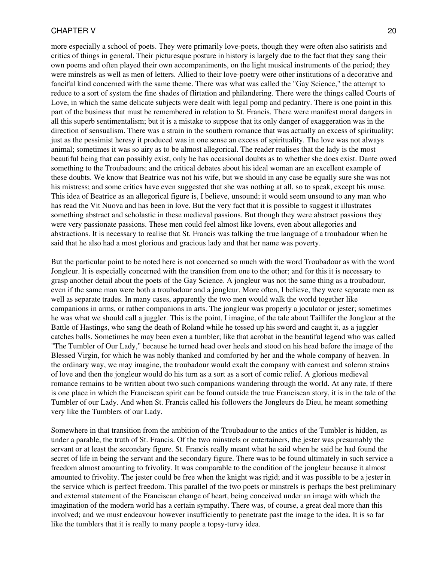more especially a school of poets. They were primarily love-poets, though they were often also satirists and critics of things in general. Their picturesque posture in history is largely due to the fact that they sang their own poems and often played their own accompaniments, on the light musical instruments of the period; they were minstrels as well as men of letters. Allied to their love-poetry were other institutions of a decorative and fanciful kind concerned with the same theme. There was what was called the "Gay Science," the attempt to reduce to a sort of system the fine shades of flirtation and philandering. There were the things called Courts of Love, in which the same delicate subjects were dealt with legal pomp and pedantry. There is one point in this part of the business that must be remembered in relation to St. Francis. There were manifest moral dangers in all this superb sentimentalism; but it is a mistake to suppose that its only danger of exaggeration was in the direction of sensualism. There was a strain in the southern romance that was actually an excess of spirituality; just as the pessimist heresy it produced was in one sense an excess of spirituality. The love was not always animal; sometimes it was so airy as to be almost allegorical. The reader realises that the lady is the most beautiful being that can possibly exist, only he has occasional doubts as to whether she does exist. Dante owed something to the Troubadours; and the critical debates about his ideal woman are an excellent example of these doubts. We know that Beatrice was not his wife, but we should in any case be equally sure she was not his mistress; and some critics have even suggested that she was nothing at all, so to speak, except his muse. This idea of Beatrice as an allegorical figure is, I believe, unsound; it would seem unsound to any man who has read the Vit Nuova and has been in love. But the very fact that it is possible to suggest it illustrates something abstract and scholastic in these medieval passions. But though they were abstract passions they were very passionate passions. These men could feel almost like lovers, even about allegories and abstractions. It is necessary to realise that St. Francis was talking the true language of a troubadour when he said that he also had a most glorious and gracious lady and that her name was poverty.

But the particular point to be noted here is not concerned so much with the word Troubadour as with the word Jongleur. It is especially concerned with the transition from one to the other; and for this it is necessary to grasp another detail about the poets of the Gay Science. A jongleur was not the same thing as a troubadour, even if the same man were both a troubadour and a jongleur. More often, I believe, they were separate men as well as separate trades. In many cases, apparently the two men would walk the world together like companions in arms, or rather companions in arts. The jongleur was properly a joculator or jester; sometimes he was what we should call a juggler. This is the point, I imagine, of the tale about Taillifer the Jongleur at the Battle of Hastings, who sang the death of Roland while he tossed up his sword and caught it, as a juggler catches balls. Sometimes he may been even a tumbler; like that acrobat in the beautiful legend who was called "The Tumbler of Our Lady," because he turned head over heels and stood on his head before the image of the Blessed Virgin, for which he was nobly thanked and comforted by her and the whole company of heaven. In the ordinary way, we may imagine, the troubadour would exalt the company with earnest and solemn strains of love and then the jongleur would do his turn as a sort as a sort of comic relief. A glorious medieval romance remains to be written about two such companions wandering through the world. At any rate, if there is one place in which the Franciscan spirit can be found outside the true Franciscan story, it is in the tale of the Tumbler of our Lady. And when St. Francis called his followers the Jongleurs de Dieu, he meant something very like the Tumblers of our Lady.

Somewhere in that transition from the ambition of the Troubadour to the antics of the Tumbler is hidden, as under a parable, the truth of St. Francis. Of the two minstrels or entertainers, the jester was presumably the servant or at least the secondary figure. St. Francis really meant what he said when he said he had found the secret of life in being the servant and the secondary figure. There was to be found ultimately in such service a freedom almost amounting to frivolity. It was comparable to the condition of the jongleur because it almost amounted to frivolity. The jester could be free when the knight was rigid; and it was possible to be a jester in the service which is perfect freedom. This parallel of the two poets or minstrels is perhaps the best preliminary and external statement of the Franciscan change of heart, being conceived under an image with which the imagination of the modern world has a certain sympathy. There was, of course, a great deal more than this involved; and we must endeavour however insufficiently to penetrate past the image to the idea. It is so far like the tumblers that it is really to many people a topsy-turvy idea.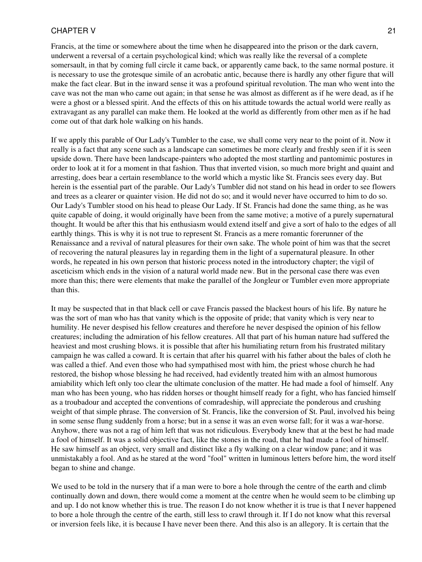Francis, at the time or somewhere about the time when he disappeared into the prison or the dark cavern, underwent a reversal of a certain psychological kind; which was really like the reversal of a complete somersault, in that by coming full circle it came back, or apparently came back, to the same normal posture. it is necessary to use the grotesque simile of an acrobatic antic, because there is hardly any other figure that will make the fact clear. But in the inward sense it was a profound spiritual revolution. The man who went into the cave was not the man who came out again; in that sense he was almost as different as if he were dead, as if he were a ghost or a blessed spirit. And the effects of this on his attitude towards the actual world were really as extravagant as any parallel can make them. He looked at the world as differently from other men as if he had come out of that dark hole walking on his hands.

If we apply this parable of Our Lady's Tumbler to the case, we shall come very near to the point of it. Now it really is a fact that any scene such as a landscape can sometimes be more clearly and freshly seen if it is seen upside down. There have been landscape-painters who adopted the most startling and pantomimic postures in order to look at it for a moment in that fashion. Thus that inverted vision, so much more bright and quaint and arresting, does bear a certain resemblance to the world which a mystic like St. Francis sees every day. But herein is the essential part of the parable. Our Lady's Tumbler did not stand on his head in order to see flowers and trees as a clearer or quainter vision. He did not do so; and it would never have occurred to him to do so. Our Lady's Tumbler stood on his head to please Our Lady. If St. Francis had done the same thing, as he was quite capable of doing, it would originally have been from the same motive; a motive of a purely supernatural thought. It would be after this that his enthusiasm would extend itself and give a sort of halo to the edges of all earthly things. This is why it is not true to represent St. Francis as a mere romantic forerunner of the Renaissance and a revival of natural pleasures for their own sake. The whole point of him was that the secret of recovering the natural pleasures lay in regarding them in the light of a supernatural pleasure. In other words, he repeated in his own person that historic process noted in the introductory chapter; the vigil of asceticism which ends in the vision of a natural world made new. But in the personal case there was even more than this; there were elements that make the parallel of the Jongleur or Tumbler even more appropriate than this.

It may be suspected that in that black cell or cave Francis passed the blackest hours of his life. By nature he was the sort of man who has that vanity which is the opposite of pride; that vanity which is very near to humility. He never despised his fellow creatures and therefore he never despised the opinion of his fellow creatures; including the admiration of his fellow creatures. All that part of his human nature had suffered the heaviest and most crushing blows. it is possible that after his humiliating return from his frustrated military campaign he was called a coward. It is certain that after his quarrel with his father about the bales of cloth he was called a thief. And even those who had sympathised most with him, the priest whose church he had restored, the bishop whose blessing he had received, had evidently treated him with an almost humorous amiability which left only too clear the ultimate conclusion of the matter. He had made a fool of himself. Any man who has been young, who has ridden horses or thought himself ready for a fight, who has fancied himself as a troubadour and accepted the conventions of comradeship, will appreciate the ponderous and crushing weight of that simple phrase. The conversion of St. Francis, like the conversion of St. Paul, involved his being in some sense flung suddenly from a horse; but in a sense it was an even worse fall; for it was a war-horse. Anyhow, there was not a rag of him left that was not ridiculous. Everybody knew that at the best he had made a fool of himself. It was a solid objective fact, like the stones in the road, that he had made a fool of himself. He saw himself as an object, very small and distinct like a fly walking on a clear window pane; and it was unmistakably a fool. And as he stared at the word "fool" written in luminous letters before him, the word itself began to shine and change.

We used to be told in the nursery that if a man were to bore a hole through the centre of the earth and climb continually down and down, there would come a moment at the centre when he would seem to be climbing up and up. I do not know whether this is true. The reason I do not know whether it is true is that I never happened to bore a hole through the centre of the earth, still less to crawl through it. If I do not know what this reversal or inversion feels like, it is because I have never been there. And this also is an allegory. It is certain that the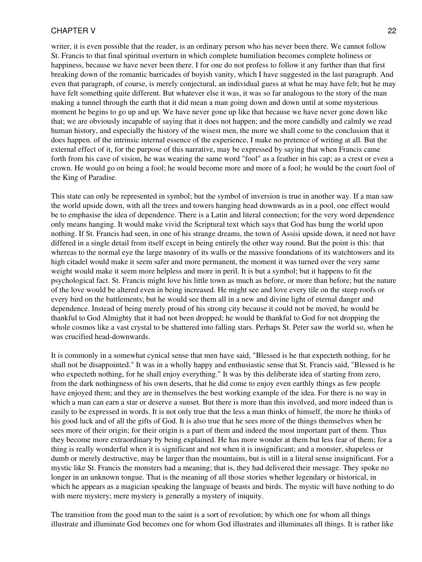writer, it is even possible that the reader, is an ordinary person who has never been there. We cannot follow St. Francis to that final spiritual overturn in which complete humiliation becomes complete holiness or happiness, because we have never been there. I for one do not profess to follow it any further than that first breaking down of the romantic barricades of boyish vanity, which I have suggested in the last paragraph. And even that paragraph, of course, is merely conjectural, an individual guess at what he may have felt; but he may have felt something quite different. But whatever else it was, it was so far analogous to the story of the man making a tunnel through the earth that it did mean a man going down and down until at some mysterious moment he begins to go up and up. We have never gone up like that because we have never gone down like that; we are obviously incapable of saying that it does not happen; and the more candidly and calmly we read human history, and especially the history of the wisest men, the more we shall come to the conclusion that it does happen. of the intrinsic internal essence of the experience, I make no pretence of writing at all. But the external effect of it, for the purpose of this narrative, may be expressed by saying that when Francis came forth from his cave of vision, he was wearing the same word "fool" as a feather in his cap; as a crest or even a crown. He would go on being a fool; he would become more and more of a fool; he would be the court fool of the King of Paradise.

This state can only be represented in symbol; but the symbol of inversion is true in another way. If a man saw the world upside down, with all the trees and towers hanging head downwards as in a pool, one effect would be to emphasise the idea of dependence. There is a Latin and literal connection; for the very word dependence only means hanging. It would make vivid the Scriptural text which says that God has hung the world upon nothing. If St. Francis had seen, in one of his strange dreams, the town of Assisi upside down, it need not have differed in a single detail from itself except in being entirely the other way round. But the point is this: that whereas to the normal eye the large masonry of its walls or the massive foundations of its watchtowers and its high citadel would make it seem safer and more permanent, the moment it was turned over the very same weight would make it seem more helpless and more in peril. It is but a symbol; but it happens to fit the psychological fact. St. Francis might love his little town as much as before, or more than before; but the nature of the love would be altered even in being increased. He might see and love every tile on the steep roofs or every bird on the battlements; but he would see them all in a new and divine light of eternal danger and dependence. Instead of being merely proud of his strong city because it could not be moved, he would be thankful to God Almighty that it had not been dropped; he would be thankful to God for not dropping the whole cosmos like a vast crystal to be shattered into falling stars. Perhaps St. Peter saw the world so, when he was crucified head-downwards.

It is commonly in a somewhat cynical sense that men have said, "Blessed is he that expecteth nothing, for he shall not be disappointed." It was in a wholly happy and enthusiastic sense that St. Francis said, "Blessed is he who expecteth nothing, for he shall enjoy everything." It was by this deliberate idea of starting from zero, from the dark nothingness of his own deserts, that he did come to enjoy even earthly things as few people have enjoyed them; and they are in themselves the best working example of the idea. For there is no way in which a man can earn a star or deserve a sunset. But there is more than this involved, and more indeed than is easily to be expressed in words. It is not only true that the less a man thinks of himself, the more he thinks of his good luck and of all the gifts of God. It is also true that he sees more of the things themselves when he sees more of their origin; for their origin is a part of them and indeed the most important part of them. Thus they become more extraordinary by being explained. He has more wonder at them but less fear of them; for a thing is really wonderful when it is significant and not when it is insignificant; and a monster, shapeless or dumb or merely destructive, may be larger than the mountains, but is still in a literal sense insignificant. For a mystic like St. Francis the monsters had a meaning; that is, they had delivered their message. They spoke no longer in an unknown tongue. That is the meaning of all those stories whether legendary or historical, in which he appears as a magician speaking the language of beasts and birds. The mystic will have nothing to do with mere mystery; mere mystery is generally a mystery of iniquity.

The transition from the good man to the saint is a sort of revolution; by which one for whom all things illustrate and illuminate God becomes one for whom God illustrates and illuminates all things. It is rather like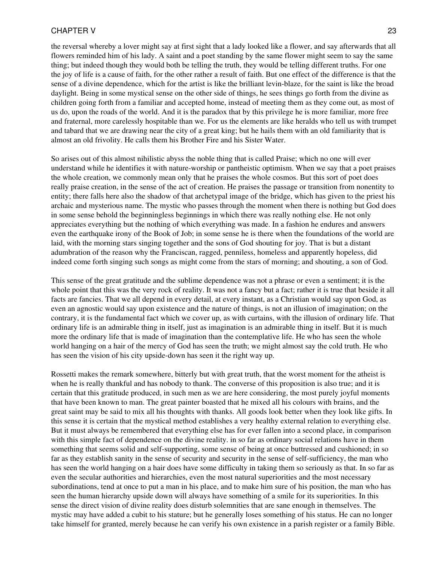the reversal whereby a lover might say at first sight that a lady looked like a flower, and say afterwards that all flowers reminded him of his lady. A saint and a poet standing by the same flower might seem to say the same thing; but indeed though they would both be telling the truth, they would be telling different truths. For one the joy of life is a cause of faith, for the other rather a result of faith. But one effect of the difference is that the sense of a divine dependence, which for the artist is like the brilliant levin-blaze, for the saint is like the broad daylight. Being in some mystical sense on the other side of things, he sees things go forth from the divine as children going forth from a familiar and accepted home, instead of meeting them as they come out, as most of us do, upon the roads of the world. And it is the paradox that by this privilege he is more familiar, more free and fraternal, more carelessly hospitable than we. For us the elements are like heralds who tell us with trumpet and tabard that we are drawing near the city of a great king; but he hails them with an old familiarity that is almost an old frivolity. He calls them his Brother Fire and his Sister Water.

So arises out of this almost nihilistic abyss the noble thing that is called Praise; which no one will ever understand while he identifies it with nature-worship or pantheistic optimism. When we say that a poet praises the whole creation, we commonly mean only that he praises the whole cosmos. But this sort of poet does really praise creation, in the sense of the act of creation. He praises the passage or transition from nonentity to entity; there falls here also the shadow of that archetypal image of the bridge, which has given to the priest his archaic and mysterious name. The mystic who passes through the moment when there is nothing but God does in some sense behold the beginningless beginnings in which there was really nothing else. He not only appreciates everything but the nothing of which everything was made. In a fashion he endures and answers even the earthquake irony of the Book of Job; in some sense he is there when the foundations of the world are laid, with the morning stars singing together and the sons of God shouting for joy. That is but a distant adumbration of the reason why the Franciscan, ragged, penniless, homeless and apparently hopeless, did indeed come forth singing such songs as might come from the stars of morning; and shouting, a son of God.

This sense of the great gratitude and the sublime dependence was not a phrase or even a sentiment; it is the whole point that this was the very rock of reality. It was not a fancy but a fact; rather it is true that beside it all facts are fancies. That we all depend in every detail, at every instant, as a Christian would say upon God, as even an agnostic would say upon existence and the nature of things, is not an illusion of imagination; on the contrary, it is the fundamental fact which we cover up, as with curtains, with the illusion of ordinary life. That ordinary life is an admirable thing in itself, just as imagination is an admirable thing in itself. But it is much more the ordinary life that is made of imagination than the contemplative life. He who has seen the whole world hanging on a hair of the mercy of God has seen the truth; we might almost say the cold truth. He who has seen the vision of his city upside-down has seen it the right way up.

Rossetti makes the remark somewhere, bitterly but with great truth, that the worst moment for the atheist is when he is really thankful and has nobody to thank. The converse of this proposition is also true; and it is certain that this gratitude produced, in such men as we are here considering, the most purely joyful moments that have been known to man. The great painter boasted that he mixed all his colours with brains, and the great saint may be said to mix all his thoughts with thanks. All goods look better when they look like gifts. In this sense it is certain that the mystical method establishes a very healthy external relation to everything else. But it must always be remembered that everything else has for ever fallen into a second place, in comparison with this simple fact of dependence on the divine reality. in so far as ordinary social relations have in them something that seems solid and self-supporting, some sense of being at once buttressed and cushioned; in so far as they establish sanity in the sense of security and security in the sense of self-sufficiency, the man who has seen the world hanging on a hair does have some difficulty in taking them so seriously as that. In so far as even the secular authorities and hierarchies, even the most natural superiorities and the most necessary subordinations, tend at once to put a man in his place, and to make him sure of his position, the man who has seen the human hierarchy upside down will always have something of a smile for its superiorities. In this sense the direct vision of divine reality does disturb solemnities that are sane enough in themselves. The mystic may have added a cubit to his stature; but he generally loses something of his status. He can no longer take himself for granted, merely because he can verify his own existence in a parish register or a family Bible.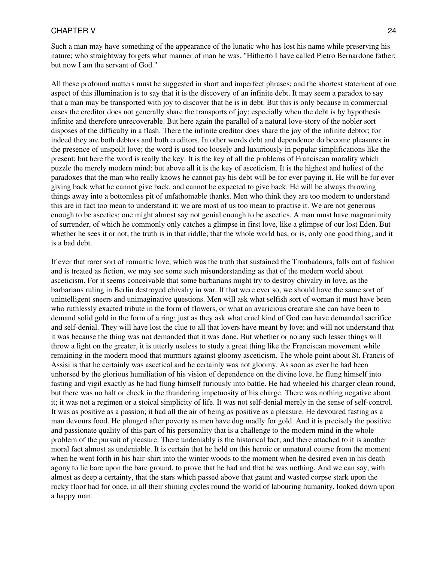Such a man may have something of the appearance of the lunatic who has lost his name while preserving his nature; who straightway forgets what manner of man he was. "Hitherto I have called Pietro Bernardone father; but now I am the servant of God."

All these profound matters must be suggested in short and imperfect phrases; and the shortest statement of one aspect of this illumination is to say that it is the discovery of an infinite debt. It may seem a paradox to say that a man may be transported with joy to discover that he is in debt. But this is only because in commercial cases the creditor does not generally share the transports of joy; especially when the debt is by hypothesis infinite and therefore unrecoverable. But here again the parallel of a natural love-story of the nobler sort disposes of the difficulty in a flash. There the infinite creditor does share the joy of the infinite debtor; for indeed they are both debtors and both creditors. In other words debt and dependence do become pleasures in the presence of unspoilt love; the word is used too loosely and luxuriously in popular simplifications like the present; but here the word is really the key. It is the key of all the problems of Franciscan morality which puzzle the merely modern mind; but above all it is the key of asceticism. It is the highest and holiest of the paradoxes that the man who really knows he cannot pay his debt will be for ever paying it. He will be for ever giving back what he cannot give back, and cannot be expected to give back. He will be always throwing things away into a bottomless pit of unfathomable thanks. Men who think they are too modern to understand this are in fact too mean to understand it; we are most of us too mean to practise it. We are not generous enough to be ascetics; one might almost say not genial enough to be ascetics. A man must have magnanimity of surrender, of which he commonly only catches a glimpse in first love, like a glimpse of our lost Eden. But whether he sees it or not, the truth is in that riddle; that the whole world has, or is, only one good thing; and it is a bad debt.

<span id="page-23-0"></span>If ever that rarer sort of romantic love, which was the truth that sustained the Troubadours, falls out of fashion and is treated as fiction, we may see some such misunderstanding as that of the modern world about asceticism. For it seems conceivable that some barbarians might try to destroy chivalry in love, as the barbarians ruling in Berlin destroyed chivalry in war. If that were ever so, we should have the same sort of unintelligent sneers and unimaginative questions. Men will ask what selfish sort of woman it must have been who ruthlessly exacted tribute in the form of flowers, or what an avaricious creature she can have been to demand solid gold in the form of a ring; just as they ask what cruel kind of God can have demanded sacrifice and self-denial. They will have lost the clue to all that lovers have meant by love; and will not understand that it was because the thing was not demanded that it was done. But whether or no any such lesser things will throw a light on the greater, it is utterly useless to study a great thing like the Franciscan movement while remaining in the modern mood that murmurs against gloomy asceticism. The whole point about St. Francis of Assisi is that he certainly was ascetical and he certainly was not gloomy. As soon as ever he had been unhorsed by the glorious humiliation of his vision of dependence on the divine love, he flung himself into fasting and vigil exactly as he had flung himself furiously into battle. He had wheeled his charger clean round, but there was no halt or check in the thundering impetuosity of his charge. There was nothing negative about it; it was not a regimen or a stoical simplicity of life. It was not self-denial merely in the sense of self-control. It was as positive as a passion; it had all the air of being as positive as a pleasure. He devoured fasting as a man devours food. He plunged after poverty as men have dug madly for gold. And it is precisely the positive and passionate quality of this part of his personality that is a challenge to the modern mind in the whole problem of the pursuit of pleasure. There undeniably is the historical fact; and there attached to it is another moral fact almost as undeniable. It is certain that he held on this heroic or unnatural course from the moment when he went forth in his hair-shirt into the winter woods to the moment when he desired even in his death agony to lie bare upon the bare ground, to prove that he had and that he was nothing. And we can say, with almost as deep a certainty, that the stars which passed above that gaunt and wasted corpse stark upon the rocky floor had for once, in all their shining cycles round the world of labouring humanity, looked down upon a happy man.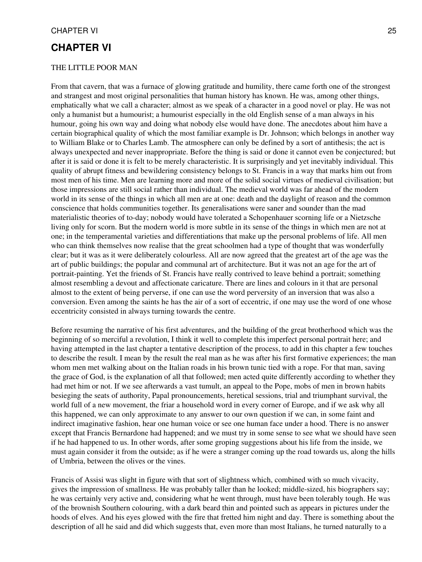## **CHAPTER VI**

#### THE LITTLE POOR MAN

From that cavern, that was a furnace of glowing gratitude and humility, there came forth one of the strongest and strangest and most original personalities that human history has known. He was, among other things, emphatically what we call a character; almost as we speak of a character in a good novel or play. He was not only a humanist but a humourist; a humourist especially in the old English sense of a man always in his humour, going his own way and doing what nobody else would have done. The anecdotes about him have a certain biographical quality of which the most familiar example is Dr. Johnson; which belongs in another way to William Blake or to Charles Lamb. The atmosphere can only be defined by a sort of antithesis; the act is always unexpected and never inappropriate. Before the thing is said or done it cannot even be conjectured; but after it is said or done it is felt to be merely characteristic. It is surprisingly and yet inevitably individual. This quality of abrupt fitness and bewildering consistency belongs to St. Francis in a way that marks him out from most men of his time. Men are learning more and more of the solid social virtues of medieval civilisation; but those impressions are still social rather than individual. The medieval world was far ahead of the modern world in its sense of the things in which all men are at one: death and the daylight of reason and the common conscience that holds communities together. Its generalisations were saner and sounder than the mad materialistic theories of to-day; nobody would have tolerated a Schopenhauer scorning life or a Nietzsche living only for scorn. But the modern world is more subtle in its sense of the things in which men are not at one; in the temperamental varieties and differentiations that make up the personal problems of life. All men who can think themselves now realise that the great schoolmen had a type of thought that was wonderfully clear; but it was as it were deliberately colourless. All are now agreed that the greatest art of the age was the art of public buildings; the popular and communal art of architecture. But it was not an age for the art of portrait-painting. Yet the friends of St. Francis have really contrived to leave behind a portrait; something almost resembling a devout and affectionate caricature. There are lines and colours in it that are personal almost to the extent of being perverse, if one can use the word perversity of an inversion that was also a conversion. Even among the saints he has the air of a sort of eccentric, if one may use the word of one whose eccentricity consisted in always turning towards the centre.

Before resuming the narrative of his first adventures, and the building of the great brotherhood which was the beginning of so merciful a revolution, I think it well to complete this imperfect personal portrait here; and having attempted in the last chapter a tentative description of the process, to add in this chapter a few touches to describe the result. I mean by the result the real man as he was after his first formative experiences; the man whom men met walking about on the Italian roads in his brown tunic tied with a rope. For that man, saving the grace of God, is the explanation of all that followed; men acted quite differently according to whether they had met him or not. If we see afterwards a vast tumult, an appeal to the Pope, mobs of men in brown habits besieging the seats of authority, Papal pronouncements, heretical sessions, trial and triumphant survival, the world full of a new movement, the friar a household word in every corner of Europe, and if we ask why all this happened, we can only approximate to any answer to our own question if we can, in some faint and indirect imaginative fashion, hear one human voice or see one human face under a hood. There is no answer except that Francis Bernardone had happened; and we must try in some sense to see what we should have seen if he had happened to us. In other words, after some groping suggestions about his life from the inside, we must again consider it from the outside; as if he were a stranger coming up the road towards us, along the hills of Umbria, between the olives or the vines.

Francis of Assisi was slight in figure with that sort of slightness which, combined with so much vivacity, gives the impression of smallness. He was probably taller than he looked; middle-sized, his biographers say; he was certainly very active and, considering what he went through, must have been tolerably tough. He was of the brownish Southern colouring, with a dark beard thin and pointed such as appears in pictures under the hoods of elves. And his eyes glowed with the fire that fretted him night and day. There is something about the description of all he said and did which suggests that, even more than most Italians, he turned naturally to a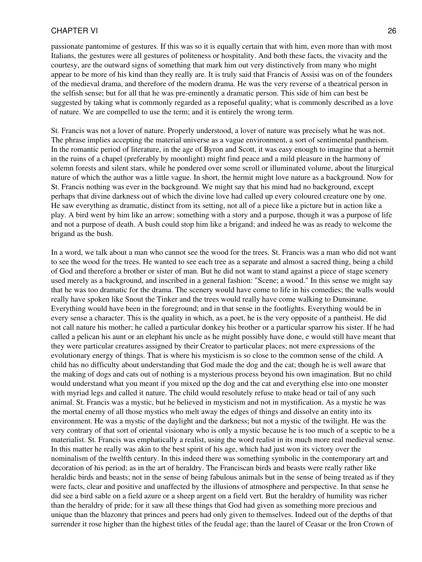passionate pantomime of gestures. If this was so it is equally certain that with him, even more than with most Italians, the gestures were all gestures of politeness or hospitality. And both these facts, the vivacity and the courtesy, are the outward signs of something that mark him out very distinctively from many who might appear to be more of his kind than they really are. It is truly said that Francis of Assisi was on of the founders of the medieval drama, and therefore of the modern drama. He was the very reverse of a theatrical person in the selfish sense; but for all that he was pre-eminently a dramatic person. This side of him can best be suggested by taking what is commonly regarded as a reposeful quality; what is commonly described as a love of nature. We are compelled to use the term; and it is entirely the wrong term.

St. Francis was not a lover of nature. Properly understood, a lover of nature was precisely what he was not. The phrase implies accepting the material universe as a vague environment, a sort of sentimental pantheism. In the romantic period of literature, in the age of Byron and Scott, it was easy enough to imagine that a hermit in the ruins of a chapel (preferably by moonlight) might find peace and a mild pleasure in the harmony of solemn forests and silent stars, while he pondered over some scroll or illuminated volume, about the liturgical nature of which the author was a little vague. In short, the hermit might love nature as a background. Now for St. Francis nothing was ever in the background. We might say that his mind had no background, except perhaps that divine darkness out of which the divine love had called up every coloured creature one by one. He saw everything as dramatic, distinct from its setting, not all of a piece like a picture but in action like a play. A bird went by him like an arrow; something with a story and a purpose, though it was a purpose of life and not a purpose of death. A bush could stop him like a brigand; and indeed he was as ready to welcome the brigand as the bush.

In a word, we talk about a man who cannot see the wood for the trees. St. Francis was a man who did not want to see the wood for the trees. He wanted to see each tree as a separate and almost a sacred thing, being a child of God and therefore a brother or sister of man. But he did not want to stand against a piece of stage scenery used merely as a background, and inscribed in a general fashion: "Scene; a wood." In this sense we might say that he was too dramatic for the drama. The scenery would have come to life in his comedies; the walls would really have spoken like Snout the Tinker and the trees would really have come walking to Dunsinane. Everything would have been in the foreground; and in that sense in the footlights. Everything would be in every sense a character. This is the quality in which, as a poet, he is the very opposite of a pantheist. He did not call nature his mother; he called a particular donkey his brother or a particular sparrow his sister. If he had called a pelican his aunt or an elephant his uncle as he might possibly have done, e would still have meant that they were particular creatures assigned by their Creator to particular places; not mere expressions of the evolutionary energy of things. That is where his mysticism is so close to the common sense of the child. A child has no difficulty about understanding that God made the dog and the cat; though he is well aware that the making of dogs and cats out of nothing is a mysterious process beyond his own imagination. But no child would understand what you meant if you mixed up the dog and the cat and everything else into one monster with myriad legs and called it nature. The child would resolutely refuse to make head or tail of any such animal. St. Francis was a mystic, but he believed in mysticism and not in mystification. As a mystic he was the mortal enemy of all those mystics who melt away the edges of things and dissolve an entity into its environment. He was a mystic of the daylight and the darkness; but not a mystic of the twilight. He was the very contrary of that sort of oriental visionary who is only a mystic because he is too much of a sceptic to be a materialist. St. Francis was emphatically a realist, using the word realist in its much more real medieval sense. In this matter he really was akin to the best spirit of his age, which had just won its victory over the nominalism of the twelfth century. In this indeed there was something symbolic in the contemporary art and decoration of his period; as in the art of heraldry. The Franciscan birds and beasts were really rather like heraldic birds and beasts; not in the sense of being fabulous animals but in the sense of being treated as if they were facts, clear and positive and unaffected by the illusions of atmosphere and perspective. In that sense he did see a bird sable on a field azure or a sheep argent on a field vert. But the heraldry of humility was richer than the heraldry of pride; for it saw all these things that God had given as something more precious and unique than the blazonry that princes and peers had only given to themselves. Indeed out of the depths of that surrender it rose higher than the highest titles of the feudal age; than the laurel of Ceasar or the Iron Crown of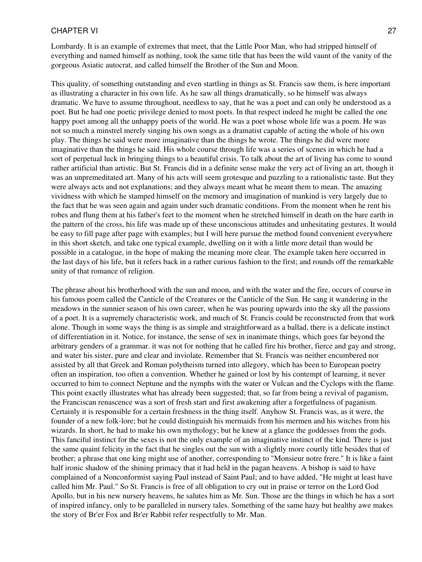Lombardy. It is an example of extremes that meet, that the Little Poor Man, who had stripped himself of everything and named himself as nothing, took the same title that has been the wild vaunt of the vanity of the gorgeous Asiatic autocrat, and called himself the Brother of the Sun and Moon.

This quality, of something outstanding and even startling in things as St. Francis saw them, is here important as illustrating a character in his own life. As he saw all things dramatically, so he himself was always dramatic. We have to assume throughout, needless to say, that he was a poet and can only be understood as a poet. But he had one poetic privilege denied to most poets. In that respect indeed he might be called the one happy poet among all the unhappy poets of the world. He was a poet whose whole life was a poem. He was not so much a minstrel merely singing his own songs as a dramatist capable of acting the whole of his own play. The things he said were more imaginative than the things he wrote. The things he did were more imaginative than the things he said. His whole course through life was a series of scenes in which he had a sort of perpetual luck in bringing things to a beautiful crisis. To talk about the art of living has come to sound rather artificial than artistic. But St. Francis did in a definite sense make the very act of living an art, though it was an unpremeditated art. Many of his acts will seem grotesque and puzzling to a rationalistic taste. But they were always acts and not explanations; and they always meant what he meant them to mean. The amazing vividness with which he stamped himself on the memory and imagination of mankind is very largely due to the fact that he was seen again and again under such dramatic conditions. From the moment when he rent his robes and flung them at his father's feet to the moment when he stretched himself in death on the bare earth in the pattern of the cross, his life was made up of these unconscious attitudes and unhesitating gestures. It would be easy to fill page after page with examples; but I will here pursue the method found convenient everywhere in this short sketch, and take one typical example, dwelling on it with a little more detail than would be possible in a catalogue, in the hope of making the meaning more clear. The example taken here occurred in the last days of his life, but it refers back in a rather curious fashion to the first; and rounds off the remarkable unity of that romance of religion.

The phrase about his brotherhood with the sun and moon, and with the water and the fire, occurs of course in his famous poem called the Canticle of the Creatures or the Canticle of the Sun. He sang it wandering in the meadows in the sunnier season of his own career, when he was pouring upwards into the sky all the passions of a poet. It is a supremely characteristic work, and much of St. Francis could be reconstructed from that work alone. Though in some ways the thing is as simple and straightforward as a ballad, there is a delicate instinct of differentiation in it. Notice, for instance, the sense of sex in inanimate things, which goes far beyond the arbitrary genders of a grammar. it was not for nothing that he called fire his brother, fierce and gay and strong, and water his sister, pure and clear and inviolate. Remember that St. Francis was neither encumbered nor assisted by all that Greek and Roman polytheism turned into allegory, which has been to European poetry often an inspiration, too often a convention. Whether he gained or lost by his contempt of learning, it never occurred to him to connect Neptune and the nymphs with the water or Vulcan and the Cyclops with the flame. This point exactly illustrates what has already been suggested; that, so far from being a revival of paganism, the Franciscan renascence was a sort of fresh start and first awakening after a forgetfulness of paganism. Certainly it is responsible for a certain freshness in the thing itself. Anyhow St. Francis was, as it were, the founder of a new folk-lore; but he could distinguish his mermaids from his mermen and his witches from his wizards. In short, he had to make his own mythology; but he knew at a glance the goddesses from the gods. This fanciful instinct for the sexes is not the only example of an imaginative instinct of the kind. There is just the same quaint felicity in the fact that he singles out the sun with a slightly more courtly title besides that of brother; a phrase that one king might use of another, corresponding to "Monsieur notre frere." It is like a faint half ironic shadow of the shining primacy that it had held in the pagan heavens. A bishop is said to have complained of a Nonconformist saying Paul instead of Saint Paul; and to have added, "He might at least have called him Mr. Paul." So St. Francis is free of all obligation to cry out in praise or terror on the Lord God Apollo, but in his new nursery heavens, he salutes him as Mr. Sun. Those are the things in which he has a sort of inspired infancy, only to be paralleled in nursery tales. Something of the same hazy but healthy awe makes the story of Br'er Fox and Br'er Rabbit refer respectfully to Mr. Man.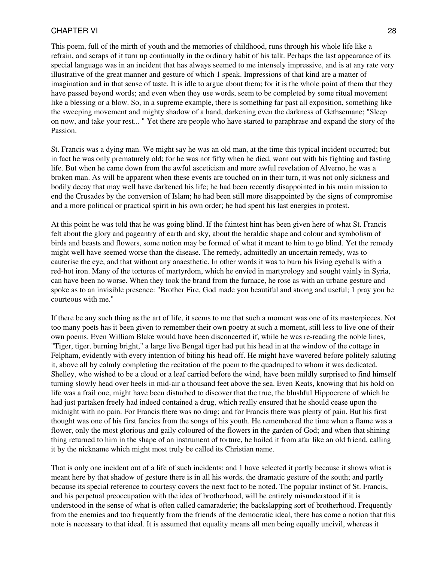This poem, full of the mirth of youth and the memories of childhood, runs through his whole life like a refrain, and scraps of it turn up continually in the ordinary habit of his talk. Perhaps the last appearance of its special language was in an incident that has always seemed to me intensely impressive, and is at any rate very illustrative of the great manner and gesture of which 1 speak. Impressions of that kind are a matter of imagination and in that sense of taste. It is idle to argue about them; for it is the whole point of them that they have passed beyond words; and even when they use words, seem to be completed by some ritual movement like a blessing or a blow. So, in a supreme example, there is something far past all exposition, something like the sweeping movement and mighty shadow of a hand, darkening even the darkness of Gethsemane; "Sleep on now, and take your rest... " Yet there are people who have started to paraphrase and expand the story of the Passion.

St. Francis was a dying man. We might say he was an old man, at the time this typical incident occurred; but in fact he was only prematurely old; for he was not fifty when he died, worn out with his fighting and fasting life. But when he came down from the awful asceticism and more awful revelation of Alverno, he was a broken man. As will be apparent when these events are touched on in their turn, it was not only sickness and bodily decay that may well have darkened his life; he had been recently disappointed in his main mission to end the Crusades by the conversion of Islam; he had been still more disappointed by the signs of compromise and a more political or practical spirit in his own order; he had spent his last energies in protest.

At this point he was told that he was going blind. If the faintest hint has been given here of what St. Francis felt about the glory and pageantry of earth and sky, about the heraldic shape and colour and symbolism of birds and beasts and flowers, some notion may be formed of what it meant to him to go blind. Yet the remedy might well have seemed worse than the disease. The remedy, admittedly an uncertain remedy, was to cauterise the eye, and that without any anaesthetic. In other words it was to burn his living eyeballs with a red-hot iron. Many of the tortures of martyrdom, which he envied in martyrology and sought vainly in Syria, can have been no worse. When they took the brand from the furnace, he rose as with an urbane gesture and spoke as to an invisible presence: "Brother Fire, God made you beautiful and strong and useful; 1 pray you be courteous with me."

If there be any such thing as the art of life, it seems to me that such a moment was one of its masterpieces. Not too many poets has it been given to remember their own poetry at such a moment, still less to live one of their own poems. Even William Blake would have been disconcerted if, while he was re-reading the noble lines, "Tiger, tiger, burning bright," a large live Bengal tiger had put his head in at the window of the cottage in Felpham, evidently with every intention of biting his head off. He might have wavered before politely saluting it, above all by calmly completing the recitation of the poem to the quadruped to whom it was dedicated. Shelley, who wished to be a cloud or a leaf carried before the wind, have been mildly surprised to find himself turning slowly head over heels in mid-air a thousand feet above the sea. Even Keats, knowing that his hold on life was a frail one, might have been disturbed to discover that the true, the blushful Hippocrene of which he had just partaken freely had indeed contained a drug, which really ensured that he should cease upon the midnight with no pain. For Francis there was no drug; and for Francis there was plenty of pain. But his first thought was one of his first fancies from the songs of his youth. He remembered the time when a flame was a flower, only the most glorious and gaily coloured of the flowers in the garden of God; and when that shining thing returned to him in the shape of an instrument of torture, he hailed it from afar like an old friend, calling it by the nickname which might most truly be called its Christian name.

That is only one incident out of a life of such incidents; and 1 have selected it partly because it shows what is meant here by that shadow of gesture there is in all his words, the dramatic gesture of the south; and partly because its special reference to courtesy covers the next fact to be noted. The popular instinct of St. Francis, and his perpetual preoccupation with the idea of brotherhood, will be entirely misunderstood if it is understood in the sense of what is often called camaraderie; the backslapping sort of brotherhood. Frequently from the enemies and too frequently from the friends of the democratic ideal, there has come a notion that this note is necessary to that ideal. It is assumed that equality means all men being equally uncivil, whereas it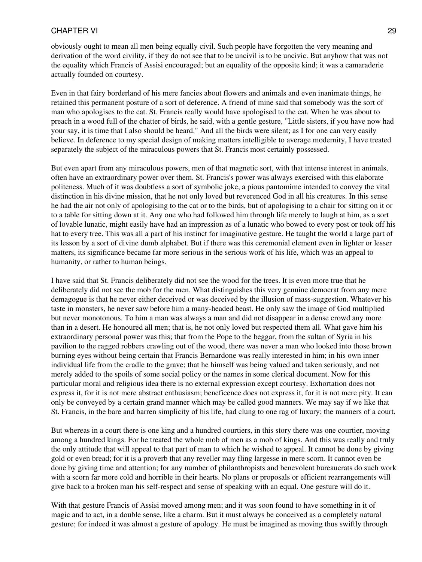obviously ought to mean all men being equally civil. Such people have forgotten the very meaning and derivation of the word civility, if they do not see that to be uncivil is to be uncivic. But anyhow that was not the equality which Francis of Assisi encouraged; but an equality of the opposite kind; it was a camaraderie actually founded on courtesy.

Even in that fairy borderland of his mere fancies about flowers and animals and even inanimate things, he retained this permanent posture of a sort of deference. A friend of mine said that somebody was the sort of man who apologises to the cat. St. Francis really would have apologised to the cat. When he was about to preach in a wood full of the chatter of birds, he said, with a gentle gesture, "Little sisters, if you have now had your say, it is time that I also should be heard." And all the birds were silent; as I for one can very easily believe. In deference to my special design of making matters intelligible to average modernity, I have treated separately the subject of the miraculous powers that St. Francis most certainly possessed.

But even apart from any miraculous powers, men of that magnetic sort, with that intense interest in animals, often have an extraordinary power over them. St. Francis's power was always exercised with this elaborate politeness. Much of it was doubtless a sort of symbolic joke, a pious pantomime intended to convey the vital distinction in his divine mission, that he not only loved but reverenced God in all his creatures. In this sense he had the air not only of apologising to the cat or to the birds, but of apologising to a chair for sitting on it or to a table for sitting down at it. Any one who had followed him through life merely to laugh at him, as a sort of lovable lunatic, might easily have had an impression as of a lunatic who bowed to every post or took off his hat to every tree. This was all a part of his instinct for imaginative gesture. He taught the world a large part of its lesson by a sort of divine dumb alphabet. But if there was this ceremonial element even in lighter or lesser matters, its significance became far more serious in the serious work of his life, which was an appeal to humanity, or rather to human beings.

I have said that St. Francis deliberately did not see the wood for the trees. It is even more true that he deliberately did not see the mob for the men. What distinguishes this very genuine democrat from any mere demagogue is that he never either deceived or was deceived by the illusion of mass-suggestion. Whatever his taste in monsters, he never saw before him a many-headed beast. He only saw the image of God multiplied but never monotonous. To him a man was always a man and did not disappear in a dense crowd any more than in a desert. He honoured all men; that is, he not only loved but respected them all. What gave him his extraordinary personal power was this; that from the Pope to the beggar, from the sultan of Syria in his pavilion to the ragged robbers crawling out of the wood, there was never a man who looked into those brown burning eyes without being certain that Francis Bernardone was really interested in him; in his own inner individual life from the cradle to the grave; that he himself was being valued and taken seriously, and not merely added to the spoils of some social policy or the names in some clerical document. Now for this particular moral and religious idea there is no external expression except courtesy. Exhortation does not express it, for it is not mere abstract enthusiasm; beneficence does not express it, for it is not mere pity. It can only be conveyed by a certain grand manner which may be called good manners. We may say if we like that St. Francis, in the bare and barren simplicity of his life, had clung to one rag of luxury; the manners of a court.

But whereas in a court there is one king and a hundred courtiers, in this story there was one courtier, moving among a hundred kings. For he treated the whole mob of men as a mob of kings. And this was really and truly the only attitude that will appeal to that part of man to which he wished to appeal. It cannot be done by giving gold or even bread; for it is a proverb that any reveller may fling largesse in mere scorn. It cannot even be done by giving time and attention; for any number of philanthropists and benevolent bureaucrats do such work with a scorn far more cold and horrible in their hearts. No plans or proposals or efficient rearrangements will give back to a broken man his self-respect and sense of speaking with an equal. One gesture will do it.

With that gesture Francis of Assisi moved among men; and it was soon found to have something in it of magic and to act, in a double sense, like a charm. But it must always be conceived as a completely natural gesture; for indeed it was almost a gesture of apology. He must be imagined as moving thus swiftly through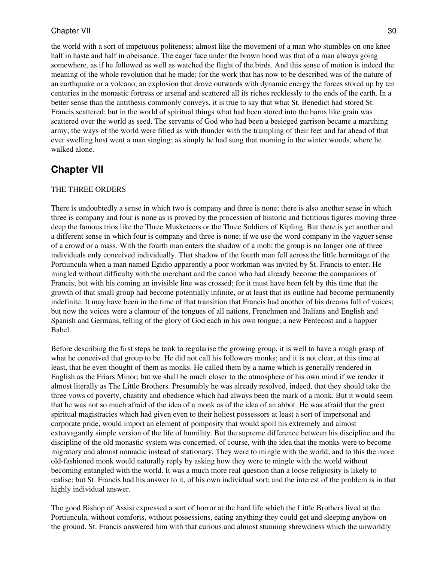the world with a sort of impetuous politeness; almost like the movement of a man who stumbles on one knee half in haste and half in obeisance. The eager face under the brown hood was that of a man always going somewhere, as if he followed as well as watched the flight of the birds. And this sense of motion is indeed the meaning of the whole revolution that he made; for the work that has now to be described was of the nature of an earthquake or a volcano, an explosion that drove outwards with dynamic energy the forces stored up by ten centuries in the monastic fortress or arsenal and scattered all its riches recklessly to the ends of the earth. In a better sense than the antithesis commonly conveys, it is true to say that what St. Benedict had stored St. Francis scattered; but in the world of spiritual things what had been stored into the barns like grain was scattered over the world as seed. The servants of God who had been a besieged garrison became a marching army; the ways of the world were filled as with thunder with the trampling of their feet and far ahead of that ever swelling host went a man singing; as simply he had sung that morning in the winter woods, where he walked alone.

## <span id="page-29-0"></span>**Chapter VII**

### THE THREE ORDERS

There is undoubtedly a sense in which two is company and three is none; there is also another sense in which three is company and four is none as is proved by the procession of historic and fictitious figures moving three deep the famous trios like the Three Musketeers or the Three Soldiers of Kipling. But there is yet another and a different sense in which four is company and three is none; if we use the word company in the vaguer sense of a crowd or a mass. With the fourth man enters the shadow of a mob; the group is no longer one of three individuals only conceived individually. That shadow of the fourth man fell across the little hermitage of the Portiuncula when a man named Egidio apparently a poor workman was invited by St. Francis to enter. He mingled without difficulty with the merchant and the canon who had already become the companions of Francis; but with his coming an invisible line was crossed; for it must have been felt by this time that the growth of that small group had become potentially infinite, or at least that its outline had become permanently indefinite. It may have been in the time of that transition that Francis had another of his dreams full of voices; but now the voices were a clamour of the tongues of all nations, Frenchmen and Italians and English and Spanish and Germans, telling of the glory of God each in his own tongue; a new Pentecost and a happier Babel.

Before describing the first steps he took to regularise the growing group, it is well to have a rough grasp of what he conceived that group to be. He did not call his followers monks; and it is not clear, at this time at least, that he even thought of them as monks. He called them by a name which is generally rendered in English as the Friars Minor; but we shall be much closer to the atmosphere of his own mind if we render it almost literally as The Little Brothers. Presumably he was already resolved, indeed, that they should take the three vows of poverty, chastity and obedience which had always been the mark of a monk. But it would seem that he was not so much afraid of the idea of a monk as of the idea of an abbot. He was afraid that the great spiritual magistracies which had given even to their holiest possessors at least a sort of impersonal and corporate pride, would import an element of pomposity that would spoil his extremely and almost extravagantly simple version of the life of humility. But the supreme difference between his discipline and the discipline of the old monastic system was concerned, of course, with the idea that the monks were to become migratory and almost nomadic instead of stationary. They were to mingle with the world; and to this the more old-fashioned monk would naturally reply by asking how they were to mingle with the world without becoming entangled with the world. It was a much more real question than a loose religiosity is likely to realise; but St. Francis had his answer to it, of his own individual sort; and the interest of the problem is in that highly individual answer.

The good Bishop of Assisi expressed a sort of horror at the hard life which the Little Brothers lived at the Portiuncula, without comforts, without possessions, eating anything they could get and sleeping anyhow on the ground. St. Francis answered him with that curious and almost stunning shrewdness which the unworldly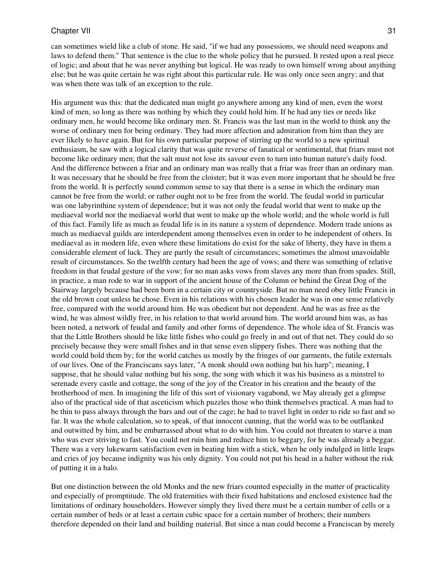can sometimes wield like a club of stone. He said, "if we had any possessions, we should need weapons and laws to defend them." That sentence is the clue to the whole policy that he pursued. It rested upon a real piece of logic; and about that he was never anything but logical. He was ready to own himself wrong about anything else; but he was quite certain he was right about this particular rule. He was only once seen angry; and that was when there was talk of an exception to the rule.

His argument was this: that the dedicated man might go anywhere among any kind of men, even the worst kind of men, so long as there was nothing by which they could hold him. If he had any ties or needs like ordinary men, he would become like ordinary men. St. Francis was the last man in the world to think any the worse of ordinary men for being ordinary. They had more affection and admiration from him than they are ever likely to have again. But for his own particular purpose of stirring up the world to a new spiritual enthusiasm, he saw with a logical clarity that was quite reverse of fanatical or sentimental, that friars must not become like ordinary men; that the salt must not lose its savour even to turn into human nature's daily food. And the difference between a friar and an ordinary man was really that a friar was freer than an ordinary man. It was necessary that he should be free from the cloister; but it was even more important that he should be free from the world. It is perfectly sound common sense to say that there is a sense in which the ordinary man cannot be free from the world; or rather ought not to be free from the world. The feudal world in particular was one labyrinthine system of dependence; but it was not only the feudal world that went to make up the mediaeval world nor the mediaeval world that went to make up the whole world; and the whole world is full of this fact. Family life as much as feudal life is in its nature a system of dependence. Modern trade unions as much as mediaeval guilds are interdependent among themselves even in order to be independent of others. In mediaeval as in modern life, even where these limitations do exist for the sake of liberty, they have in them a considerable element of luck. They are partly the result of circumstances; sometimes the almost unavoidable result of circumstances. So the twelfth century had been the age of vows; and there was something of relative freedom in that feudal gesture of the vow; for no man asks vows from slaves any more than from spades. Still, in practice, a man rode to war in support of the ancient house of the Column or behind the Great Dog of the Stairway largely because had been born in a certain city or countryside. But no man need obey little Francis in the old brown coat unless he chose. Even in his relations with his chosen leader he was in one sense relatively free, compared with the world around him. He was obedient but not dependent. And he was as free as the wind, he was almost wildly free, in his relation to that world around him. The world around him was, as has been noted, a network of feudal and family and other forms of dependence. The whole idea of St. Francis was that the Little Brothers should be like little fishes who could go freely in and out of that net. They could do so precisely because they were small fishes and in that sense even slippery fishes. There was nothing that the world could hold them by; for the world catches us mostly by the fringes of our garments, the futile externals of our lives. One of the Franciscans says later, "A monk should own nothing but his harp"; meaning, I suppose, that he should value nothing but his song, the song with which it was his business as a minstrel to serenade every castle and cottage, the song of the joy of the Creator in his creation and the beauty of the brotherhood of men. In imagining the life of this sort of visionary vagabond, we May already get a glimpse also of the practical side of that asceticism which puzzles those who think themselves practical. A man had to be thin to pass always through the bars and out of the cage; he had to travel light in order to ride so fast and so far. It was the whole calculation, so to speak, of that innocent cunning, that the world was to be outflanked and outwitted by him, and be embarrassed about what to do with him. You could not threaten to starve a man who was ever striving to fast. You could not ruin him and reduce him to beggary, for he was already a beggar. There was a very lukewarm satisfaction even in beating him with a stick, when he only indulged in little leaps and cries of joy because indignity was his only dignity. You could not put his head in a halter without the risk of putting it in a halo.

But one distinction between the old Monks and the new friars counted especially in the matter of practicality and especially of promptitude. The old fraternities with their fixed habitations and enclosed existence had the limitations of ordinary householders. However simply they lived there must be a certain number of cells or a certain number of beds or at least a certain cubic space for a certain number of brothers; their numbers therefore depended on their land and building material. But since a man could become a Franciscan by merely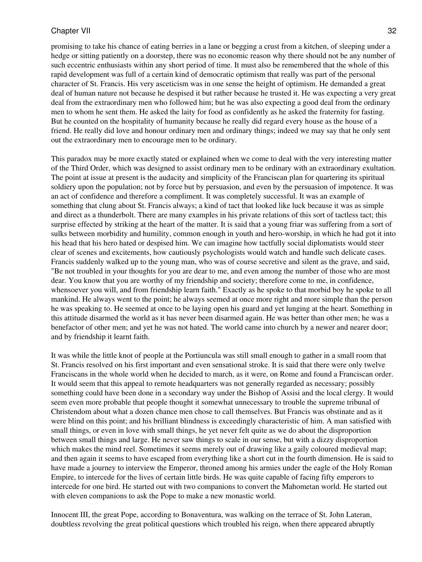promising to take his chance of eating berries in a lane or begging a crust from a kitchen, of sleeping under a hedge or sitting patiently on a doorstep, there was no economic reason why there should not be any number of such eccentric enthusiasts within any short period of time. It must also be remembered that the whole of this rapid development was full of a certain kind of democratic optimism that really was part of the personal character of St. Francis. His very asceticism was in one sense the height of optimism. He demanded a great deal of human nature not because he despised it but rather because he trusted it. He was expecting a very great deal from the extraordinary men who followed him; but he was also expecting a good deal from the ordinary men to whom he sent them. He asked the laity for food as confidently as he asked the fraternity for fasting. But he counted on the hospitality of humanity because he really did regard every house as the house of a friend. He really did love and honour ordinary men and ordinary things; indeed we may say that he only sent out the extraordinary men to encourage men to be ordinary.

This paradox may be more exactly stated or explained when we come to deal with the very interesting matter of the Third Order, which was designed to assist ordinary men to be ordinary with an extraordinary exultation. The point at issue at present is the audacity and simplicity of the Franciscan plan for quartering its spiritual soldiery upon the population; not by force but by persuasion, and even by the persuasion of impotence. It was an act of confidence and therefore a compliment. It was completely successful. It was an example of something that clung about St. Francis always; a kind of tact that looked like luck because it was as simple and direct as a thunderbolt. There are many examples in his private relations of this sort of tactless tact; this surprise effected by striking at the heart of the matter. It is said that a young friar was suffering from a sort of sulks between morbidity and humility, common enough in youth and hero-worship, in which he had got it into his head that his hero hated or despised him. We can imagine how tactfully social diplomatists would steer clear of scenes and excitements, how cautiously psychologists would watch and handle such delicate cases. Francis suddenly walked up to the young man, who was of course secretive and silent as the grave, and said, "Be not troubled in your thoughts for you are dear to me, and even among the number of those who are most dear. You know that you are worthy of my friendship and society; therefore come to me, in confidence, whensoever you will, and from friendship learn faith." Exactly as he spoke to that morbid boy he spoke to all mankind. He always went to the point; he always seemed at once more right and more simple than the person he was speaking to. He seemed at once to be laying open his guard and yet lunging at the heart. Something in this attitude disarmed the world as it has never been disarmed again. He was better than other men; he was a benefactor of other men; and yet he was not hated. The world came into church by a newer and nearer door; and by friendship it learnt faith.

It was while the little knot of people at the Portiuncula was still small enough to gather in a small room that St. Francis resolved on his first important and even sensational stroke. It is said that there were only twelve Franciscans in the whole world when he decided to march, as it were, on Rome and found a Franciscan order. It would seem that this appeal to remote headquarters was not generally regarded as necessary; possibly something could have been done in a secondary way under the Bishop of Assisi and the local clergy. It would seem even more probable that people thought it somewhat unnecessary to trouble the supreme tribunal of Christendom about what a dozen chance men chose to call themselves. But Francis was obstinate and as it were blind on this point; and his brilliant blindness is exceedingly characteristic of him. A man satisfied with small things, or even in love with small things, he yet never felt quite as we do about the disproportion between small things and large. He never saw things to scale in our sense, but with a dizzy disproportion which makes the mind reel. Sometimes it seems merely out of drawing like a gaily coloured medieval map; and then again it seems to have escaped from everything like a short cut in the fourth dimension. He is said to have made a journey to interview the Emperor, throned among his armies under the eagle of the Holy Roman Empire, to intercede for the lives of certain little birds. He was quite capable of facing fifty emperors to intercede for one bird. He started out with two companions to convert the Mahometan world. He started out with eleven companions to ask the Pope to make a new monastic world.

Innocent III, the great Pope, according to Bonaventura, was walking on the terrace of St. John Lateran, doubtless revolving the great political questions which troubled his reign, when there appeared abruptly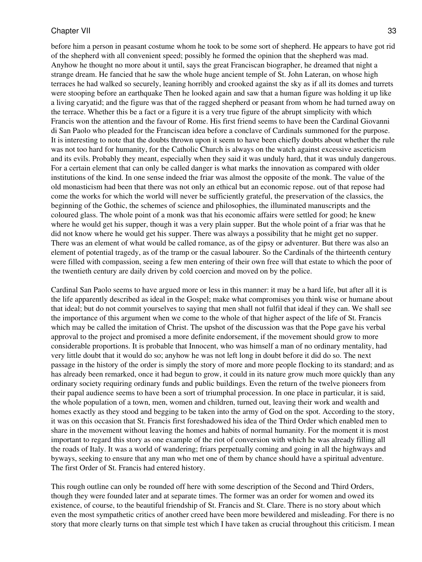before him a person in peasant costume whom he took to be some sort of shepherd. He appears to have got rid of the shepherd with all convenient speed; possibly he formed the opinion that the shepherd was mad. Anyhow he thought no more about it until, says the great Franciscan biographer, he dreamed that night a strange dream. He fancied that he saw the whole huge ancient temple of St. John Lateran, on whose high terraces he had walked so securely, leaning horribly and crooked against the sky as if all its domes and turrets were stooping before an earthquake Then he looked again and saw that a human figure was holding it up like a living caryatid; and the figure was that of the ragged shepherd or peasant from whom he had turned away on the terrace. Whether this be a fact or a figure it is a very true figure of the abrupt simplicity with which Francis won the attention and the favour of Rome. His first friend seems to have been the Cardinal Giovanni di San Paolo who pleaded for the Franciscan idea before a conclave of Cardinals summoned for the purpose. It is interesting to note that the doubts thrown upon it seem to have been chiefly doubts about whether the rule was not too hard for humanity, for the Catholic Church is always on the watch against excessive asceticism and its evils. Probably they meant, especially when they said it was unduly hard, that it was unduly dangerous. For a certain element that can only be called danger is what marks the innovation as compared with older institutions of the kind. In one sense indeed the friar was almost the opposite of the monk. The value of the old monasticism had been that there was not only an ethical but an economic repose. out of that repose had come the works for which the world will never be sufficiently grateful, the preservation of the classics, the beginning of the Gothic, the schemes of science and philosophies, the illuminated manuscripts and the coloured glass. The whole point of a monk was that his economic affairs were settled for good; he knew where he would get his supper, though it was a very plain supper. But the whole point of a friar was that he did not know where he would get his supper. There was always a possibility that he might get no supper. There was an element of what would be called romance, as of the gipsy or adventurer. But there was also an element of potential tragedy, as of the tramp or the casual labourer. So the Cardinals of the thirteenth century were filled with compassion, seeing a few men entering of their own free will that estate to which the poor of the twentieth century are daily driven by cold coercion and moved on by the police.

Cardinal San Paolo seems to have argued more or less in this manner: it may be a hard life, but after all it is the life apparently described as ideal in the Gospel; make what compromises you think wise or humane about that ideal; but do not commit yourselves to saying that men shall not fulfil that ideal if they can. We shall see the importance of this argument when we come to the whole of that higher aspect of the life of St. Francis which may be called the imitation of Christ. The upshot of the discussion was that the Pope gave his verbal approval to the project and promised a more definite endorsement, if the movement should grow to more considerable proportions. It is probable that Innocent, who was himself a man of no ordinary mentality, had very little doubt that it would do so; anyhow he was not left long in doubt before it did do so. The next passage in the history of the order is simply the story of more and more people flocking to its standard; and as has already been remarked, once it had begun to grow, it could in its nature grow much more quickly than any ordinary society requiring ordinary funds and public buildings. Even the return of the twelve pioneers from their papal audience seems to have been a sort of triumphal procession. In one place in particular, it is said, the whole population of a town, men, women and children, turned out, leaving their work and wealth and homes exactly as they stood and begging to be taken into the army of God on the spot. According to the story, it was on this occasion that St. Francis first foreshadowed his idea of the Third Order which enabled men to share in the movement without leaving the homes and habits of normal humanity. For the moment it is most important to regard this story as one example of the riot of conversion with which he was already filling all the roads of Italy. It was a world of wandering; friars perpetually coming and going in all the highways and byways, seeking to ensure that any man who met one of them by chance should have a spiritual adventure. The first Order of St. Francis had entered history.

This rough outline can only be rounded off here with some description of the Second and Third Orders, though they were founded later and at separate times. The former was an order for women and owed its existence, of course, to the beautiful friendship of St. Francis and St. Clare. There is no story about which even the most sympathetic critics of another creed have been more bewildered and misleading. For there is no story that more clearly turns on that simple test which I have taken as crucial throughout this criticism. I mean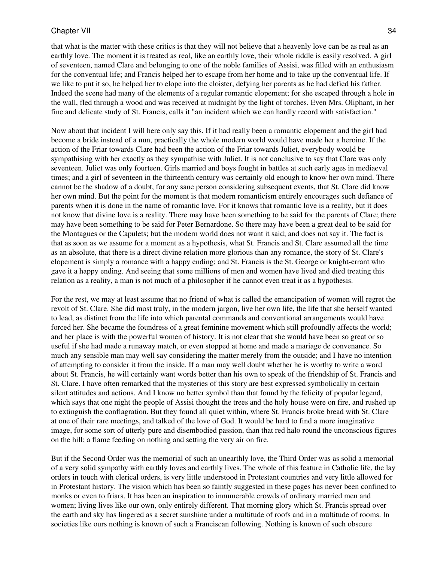that what is the matter with these critics is that they will not believe that a heavenly love can be as real as an earthly love. The moment it is treated as real, like an earthly love, their whole riddle is easily resolved. A girl of seventeen, named Clare and belonging to one of the noble families of Assisi, was filled with an enthusiasm for the conventual life; and Francis helped her to escape from her home and to take up the conventual life. If we like to put it so, he helped her to elope into the cloister, defying her parents as he had defied his father. Indeed the scene had many of the elements of a regular romantic elopement; for she escaped through a hole in the wall, fled through a wood and was received at midnight by the light of torches. Even Mrs. Oliphant, in her fine and delicate study of St. Francis, calls it "an incident which we can hardly record with satisfaction."

Now about that incident I will here only say this. If it had really been a romantic elopement and the girl had become a bride instead of a nun, practically the whole modern world would have made her a heroine. If the action of the Friar towards Clare had been the action of the Friar towards Juliet, everybody would be sympathising with her exactly as they sympathise with Juliet. It is not conclusive to say that Clare was only seventeen. Juliet was only fourteen. Girls married and boys fought in battles at such early ages in mediaeval times; and a girl of seventeen in the thirteenth century was certainly old enough to know her own mind. There cannot be the shadow of a doubt, for any sane person considering subsequent events, that St. Clare did know her own mind. But the point for the moment is that modern romanticism entirely encourages such defiance of parents when it is done in the name of romantic love. For it knows that romantic love is a reality, but it does not know that divine love is a reality. There may have been something to be said for the parents of Clare; there may have been something to be said for Peter Bernardone. So there may have been a great deal to be said for the Montagues or the Capulets; but the modern world does not want it said; and does not say it. The fact is that as soon as we assume for a moment as a hypothesis, what St. Francis and St. Clare assumed all the time as an absolute, that there is a direct divine relation more glorious than any romance, the story of St. Clare's elopement is simply a romance with a happy ending; and St. Francis is the St. George or knight-errant who gave it a happy ending. And seeing that some millions of men and women have lived and died treating this relation as a reality, a man is not much of a philosopher if he cannot even treat it as a hypothesis.

For the rest, we may at least assume that no friend of what is called the emancipation of women will regret the revolt of St. Clare. She did most truly, in the modern jargon, live her own life, the life that she herself wanted to lead, as distinct from the life into which parental commands and conventional arrangements would have forced her. She became the foundress of a great feminine movement which still profoundly affects the world; and her place is with the powerful women of history. It is not clear that she would have been so great or so useful if she had made a runaway match, or even stopped at home and made a mariage de convenance. So much any sensible man may well say considering the matter merely from the outside; and I have no intention of attempting to consider it from the inside. If a man may well doubt whether he is worthy to write a word about St. Francis, he will certainly want words better than his own to speak of the friendship of St. Francis and St. Clare. I have often remarked that the mysteries of this story are best expressed symbolically in certain silent attitudes and actions. And I know no better symbol than that found by the felicity of popular legend, which says that one night the people of Assisi thought the trees and the holy house were on fire, and rushed up to extinguish the conflagration. But they found all quiet within, where St. Francis broke bread with St. Clare at one of their rare meetings, and talked of the love of God. It would be hard to find a more imaginative image, for some sort of utterly pure and disembodied passion, than that red halo round the unconscious figures on the hill; a flame feeding on nothing and setting the very air on fire.

But if the Second Order was the memorial of such an unearthly love, the Third Order was as solid a memorial of a very solid sympathy with earthly loves and earthly lives. The whole of this feature in Catholic life, the lay orders in touch with clerical orders, is very little understood in Protestant countries and very little allowed for in Protestant history. The vision which has been so faintly suggested in these pages has never been confined to monks or even to friars. It has been an inspiration to innumerable crowds of ordinary married men and women; living lives like our own, only entirely different. That morning glory which St. Francis spread over the earth and sky has lingered as a secret sunshine under a multitude of roofs and in a multitude of rooms. In societies like ours nothing is known of such a Franciscan following. Nothing is known of such obscure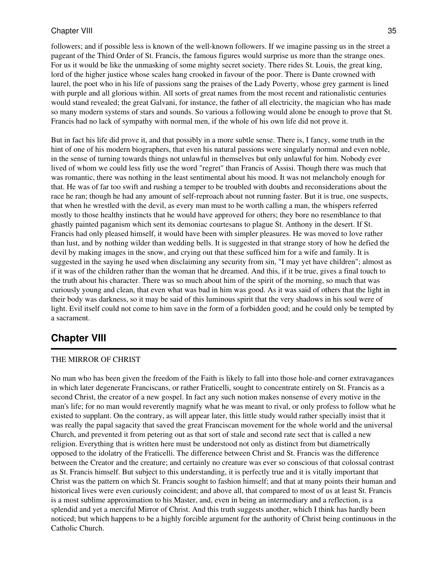followers; and if possible less is known of the well-known followers. If we imagine passing us in the street a pageant of the Third Order of St. Francis, the famous figures would surprise us more than the strange ones. For us it would be like the unmasking of some mighty secret society. There rides St. Louis, the great king, lord of the higher justice whose scales hang crooked in favour of the poor. There is Dante crowned with laurel, the poet who in his life of passions sang the praises of the Lady Poverty, whose grey garment is lined with purple and all glorious within. All sorts of great names from the most recent and rationalistic centuries would stand revealed; the great Galvani, for instance, the father of all electricity, the magician who has made so many modern systems of stars and sounds. So various a following would alone be enough to prove that St. Francis had no lack of sympathy with normal men, if the whole of his own life did not prove it.

But in fact his life did prove it, and that possibly in a more subtle sense. There is, I fancy, some truth in the hint of one of his modern biographers, that even his natural passions were singularly normal and even noble, in the sense of turning towards things not unlawful in themselves but only unlawful for him. Nobody ever lived of whom we could less fitly use the word "regret" than Francis of Assisi. Though there was much that was romantic, there was nothing in the least sentimental about his mood. It was not melancholy enough for that. He was of far too swift and rushing a temper to be troubled with doubts and reconsiderations about the race he ran; though he had any amount of self-reproach about not running faster. But it is true, one suspects, that when he wrestled with the devil, as every man must to be worth calling a man, the whispers referred mostly to those healthy instincts that he would have approved for others; they bore no resemblance to that ghastly painted paganism which sent its demoniac courtesans to plague St. Anthony in the desert. If St. Francis had only pleased himself, it would have been with simpler pleasures. He was moved to love rather than lust, and by nothing wilder than wedding bells. It is suggested in that strange story of how he defied the devil by making images in the snow, and crying out that these sufficed him for a wife and family. It is suggested in the saying he used when disclaiming any security from sin, "I may yet have children"; almost as if it was of the children rather than the woman that he dreamed. And this, if it be true, gives a final touch to the truth about his character. There was so much about him of the spirit of the morning, so much that was curiously young and clean, that even what was bad in him was good. As it was said of others that the light in their body was darkness, so it may be said of this luminous spirit that the very shadows in his soul were of light. Evil itself could not come to him save in the form of a forbidden good; and he could only be tempted by a sacrament.

## <span id="page-34-0"></span>**Chapter VIII**

### THE MIRROR OF CHRIST

No man who has been given the freedom of the Faith is likely to fall into those hole-and corner extravagances in which later degenerate Franciscans, or rather Fraticelli, sought to concentrate entirely on St. Francis as a second Christ, the creator of a new gospel. In fact any such notion makes nonsense of every motive in the man's life; for no man would reverently magnify what he was meant to rival, or only profess to follow what he existed to supplant. On the contrary, as will appear later, this little study would rather specially insist that it was really the papal sagacity that saved the great Franciscan movement for the whole world and the universal Church, and prevented it from petering out as that sort of stale and second rate sect that is called a new religion. Everything that is written here must be understood not only as distinct from but diametrically opposed to the idolatry of the Fraticelli. The difference between Christ and St. Francis was the difference between the Creator and the creature; and certainly no creature was ever so conscious of that colossal contrast as St. Francis himself. But subject to this understanding, it is perfectly true and it is vitally important that Christ was the pattern on which St. Francis sought to fashion himself; and that at many points their human and historical lives were even curiously coincident; and above all, that compared to most of us at least St. Francis is a most sublime approximation to his Master, and, even in being an intermediary and a reflection, is a splendid and yet a merciful Mirror of Christ. And this truth suggests another, which I think has hardly been noticed; but which happens to be a highly forcible argument for the authority of Christ being continuous in the Catholic Church.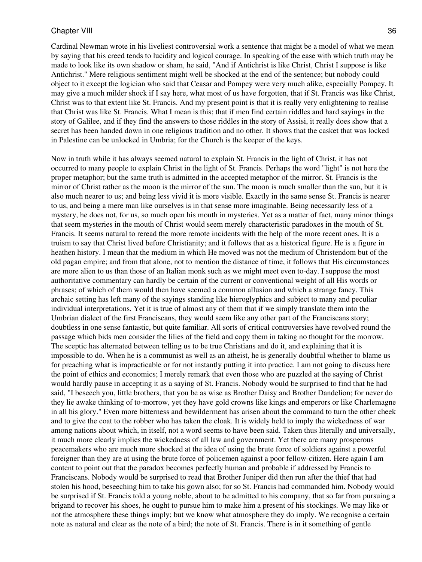Cardinal Newman wrote in his liveliest controversial work a sentence that might be a model of what we mean by saying that his creed tends to lucidity and logical courage. In speaking of the ease with which truth may be made to look like its own shadow or sham, he said, "And if Antichrist is like Christ, Christ I suppose is like Antichrist." Mere religious sentiment might well be shocked at the end of the sentence; but nobody could object to it except the logician who said that Ceasar and Pompey were very much alike, especially Pompey. It may give a much milder shock if I say here, what most of us have forgotten, that if St. Francis was like Christ, Christ was to that extent like St. Francis. And my present point is that it is really very enlightening to realise that Christ was like St. Francis. What I mean is this; that if men find certain riddles and hard sayings in the story of Galilee, and if they find the answers to those riddles in the story of Assisi, it really does show that a secret has been handed down in one religious tradition and no other. It shows that the casket that was locked in Palestine can be unlocked in Umbria; for the Church is the keeper of the keys.

Now in truth while it has always seemed natural to explain St. Francis in the light of Christ, it has not occurred to many people to explain Christ in the light of St. Francis. Perhaps the word "light" is not here the proper metaphor; but the same truth is admitted in the accepted metaphor of the mirror. St. Francis is the mirror of Christ rather as the moon is the mirror of the sun. The moon is much smaller than the sun, but it is also much nearer to us; and being less vivid it is more visible. Exactly in the same sense St. Francis is nearer to us, and being a mere man like ourselves is in that sense more imaginable. Being necessarily less of a mystery, he does not, for us, so much open his mouth in mysteries. Yet as a matter of fact, many minor things that seem mysteries in the mouth of Christ would seem merely characteristic paradoxes in the mouth of St. Francis. It seems natural to reread the more remote incidents with the help of the more recent ones. It is a truism to say that Christ lived before Christianity; and it follows that as a historical figure. He is a figure in heathen history. I mean that the medium in which He moved was not the medium of Christendom but of the old pagan empire; and from that alone, not to mention the distance of time, it follows that His circumstances are more alien to us than those of an Italian monk such as we might meet even to-day. I suppose the most authoritative commentary can hardly be certain of the current or conventional weight of all His words or phrases; of which of them would then have seemed a common allusion and which a strange fancy. This archaic setting has left many of the sayings standing like hieroglyphics and subject to many and peculiar individual interpretations. Yet it is true of almost any of them that if we simply translate them into the Umbrian dialect of the first Franciscans, they would seem like any other part of the Franciscans story; doubtless in one sense fantastic, but quite familiar. All sorts of critical controversies have revolved round the passage which bids men consider the lilies of the field and copy them in taking no thought for the morrow. The sceptic has alternated between telling us to be true Christians and do it, and explaining that it is impossible to do. When he is a communist as well as an atheist, he is generally doubtful whether to blame us for preaching what is impracticable or for not instantly putting it into practice. I am not going to discuss here the point of ethics and economics; I merely remark that even those who are puzzled at the saying of Christ would hardly pause in accepting it as a saying of St. Francis. Nobody would be surprised to find that he had said, "I beseech you, little brothers, that you be as wise as Brother Daisy and Brother Dandelion; for never do they lie awake thinking of to-morrow, yet they have gold crowns like kings and emperors or like Charlemagne in all his glory." Even more bitterness and bewilderment has arisen about the command to turn the other cheek and to give the coat to the robber who has taken the cloak. It is widely held to imply the wickedness of war among nations about which, in itself, not a word seems to have been said. Taken thus literally and universally, it much more clearly implies the wickedness of all law and government. Yet there are many prosperous peacemakers who are much more shocked at the idea of using the brute force of soldiers against a powerful foreigner than they are at using the brute force of policemen against a poor fellow-citizen. Here again I am content to point out that the paradox becomes perfectly human and probable if addressed by Francis to Franciscans. Nobody would be surprised to read that Brother Juniper did then run after the thief that had stolen his hood, beseeching him to take his gown also; for so St. Francis had commanded him. Nobody would be surprised if St. Francis told a young noble, about to be admitted to his company, that so far from pursuing a brigand to recover his shoes, he ought to pursue him to make him a present of his stockings. We may like or not the atmosphere these things imply; but we know what atmosphere they do imply. We recognise a certain note as natural and clear as the note of a bird; the note of St. Francis. There is in it something of gentle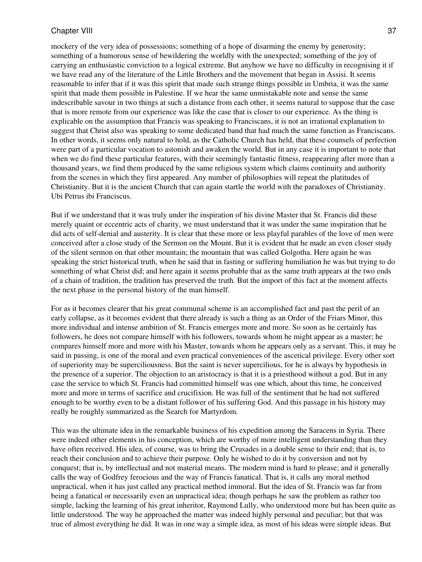mockery of the very idea of possessions; something of a hope of disarming the enemy by generosity; something of a humorous sense of bewildering the worldly with the unexpected; something of the joy of carrying an enthusiastic conviction to a logical extreme. But anyhow we have no difficulty in recognising it if we have read any of the literature of the Little Brothers and the movement that began in Assisi. It seems reasonable to infer that if it was this spirit that made such strange things possible in Umbria, it was the same spirit that made them possible in Palestine. If we hear the same unmistakable note and sense the same indescribable savour in two things at such a distance from each other, it seems natural to suppose that the case that is more remote from our experience was like the case that is closer to our experience. As the thing is explicable on the assumption that Francis was speaking to Franciscans, it is not an irrational explanation to suggest that Christ also was speaking to some dedicated band that had much the same function as Franciscans. In other words, it seems only natural to hold, as the Catholic Church has held, that these counsels of perfection were part of a particular vocation to astonish and awaken the world. But in any case it is important to note that when we do find these particular features, with their seemingly fantastic fitness, reappearing after more than a thousand years, we find them produced by the same religious system which claims continuity and authority from the scenes in which they first appeared. Any number of philosophies will repeat the platitudes of Christianity. But it is the ancient Church that can again startle the world with the paradoxes of Christianity. Ubi Petrus ibi Franciscus.

But if we understand that it was truly under the inspiration of his divine Master that St. Francis did these merely quaint or eccentric acts of charity, we must understand that it was under the same inspiration that he did acts of self-denial and austerity. It is clear that these more or less playful parables of the love of men were conceived after a close study of the Sermon on the Mount. But it is evident that he made an even closer study of the silent sermon on that other mountain; the mountain that was called Golgotha. Here again he was speaking the strict historical truth, when he said that in fasting or suffering humiliation he was but trying to do something of what Christ did; and here again it seems probable that as the same truth appears at the two ends of a chain of tradition, the tradition has preserved the truth. But the import of this fact at the moment affects the next phase in the personal history of the man himself.

For as it becomes clearer that his great communal scheme is an accomplished fact and past the peril of an early collapse, as it becomes evident that there already is such a thing as an Order of the Friars Minor, this more individual and intense ambition of St. Francis emerges more and more. So soon as he certainly has followers, he does not compare himself with his followers, towards whom he might appear as a master; he compares himself more and more with his Master, towards whom he appears only as a servant. This, it may be said in passing, is one of the moral and even practical conveniences of the ascetical privilege. Every other sort of superiority may be superciliousness. But the saint is never supercilious, for he is always by hypothesis in the presence of a superior. The objection to an aristocracy is that it is a priesthood without a god. But in any case the service to which St. Francis had committed himself was one which, about this time, he conceived more and more in terms of sacrifice and crucifixion. He was full of the sentiment that he had not suffered enough to be worthy even to be a distant follower of his suffering God. And this passage in his history may really be roughly summarized as the Search for Martyrdom.

This was the ultimate idea in the remarkable business of his expedition among the Saracens in Syria. There were indeed other elements in his conception, which are worthy of more intelligent understanding than they have often received. His idea, of course, was to bring the Crusades in a double sense to their end; that is, to reach their conclusion and to achieve their purpose. Only he wished to do it by conversion and not by conquest; that is, by intellectual and not material means. The modern mind is hard to please; and it generally calls the way of Godfrey ferocious and the way of Francis fanatical. That is, it calls any moral method unpractical, when it has just called any practical method immoral. But the idea of St. Francis was far from being a fanatical or necessarily even an unpractical idea; though perhaps he saw the problem as rather too simple, lacking the learning of his great inheritor, Raymond Lully, who understood more but has been quite as little understood. The way he approached the matter was indeed highly personal and peculiar; but that was true of almost everything he did. It was in one way a simple idea, as most of his ideas were simple ideas. But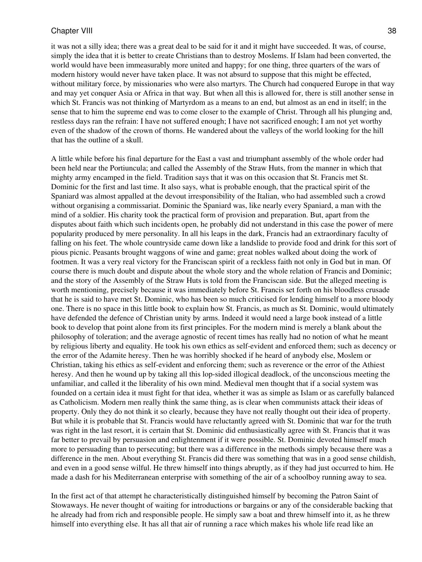it was not a silly idea; there was a great deal to be said for it and it might have succeeded. It was, of course, simply the idea that it is better to create Christians than to destroy Moslems. If Islam had been converted, the world would have been immeasurably more united and happy; for one thing, three quarters of the wars of modern history would never have taken place. It was not absurd to suppose that this might be effected, without military force, by missionaries who were also martyrs. The Church had conquered Europe in that way and may yet conquer Asia or Africa in that way. But when all this is allowed for, there is still another sense in which St. Francis was not thinking of Martyrdom as a means to an end, but almost as an end in itself; in the sense that to him the supreme end was to come closer to the example of Christ. Through all his plunging and, restless days ran the refrain: I have not suffered enough; I have not sacrificed enough; I am not yet worthy even of the shadow of the crown of thorns. He wandered about the valleys of the world looking for the hill that has the outline of a skull.

A little while before his final departure for the East a vast and triumphant assembly of the whole order had been held near the Portiuncula; and called the Assembly of the Straw Huts, from the manner in which that mighty army encamped in the field. Tradition says that it was on this occasion that St. Francis met St. Dominic for the first and last time. It also says, what is probable enough, that the practical spirit of the Spaniard was almost appalled at the devout irresponsibility of the Italian, who had assembled such a crowd without organising a commissariat. Dominic the Spaniard was, like nearly every Spaniard, a man with the mind of a soldier. His charity took the practical form of provision and preparation. But, apart from the disputes about faith which such incidents open, he probably did not understand in this case the power of mere popularity produced by mere personality. In all his leaps in the dark, Francis had an extraordinary faculty of falling on his feet. The whole countryside came down like a landslide to provide food and drink for this sort of pious picnic. Peasants brought waggons of wine and game; great nobles walked about doing the work of footmen. It was a very real victory for the Franciscan spirit of a reckless faith not only in God but in man. Of course there is much doubt and dispute about the whole story and the whole relation of Francis and Dominic; and the story of the Assembly of the Straw Huts is told from the Franciscan side. But the alleged meeting is worth mentioning, precisely because it was immediately before St. Francis set forth on his bloodless crusade that he is said to have met St. Dominic, who has been so much criticised for lending himself to a more bloody one. There is no space in this little book to explain how St. Francis, as much as St. Dominic, would ultimately have defended the defence of Christian unity by arms. Indeed it would need a large book instead of a little book to develop that point alone from its first principles. For the modern mind is merely a blank about the philosophy of toleration; and the average agnostic of recent times has really had no notion of what he meant by religious liberty and equality. He took his own ethics as self-evident and enforced them; such as decency or the error of the Adamite heresy. Then he was horribly shocked if he heard of anybody else, Moslem or Christian, taking his ethics as self-evident and enforcing them; such as reverence or the error of the Athiest heresy. And then he wound up by taking all this lop-sided illogical deadlock, of the unconscious meeting the unfamiliar, and called it the liberality of his own mind. Medieval men thought that if a social system was founded on a certain idea it must fight for that idea, whether it was as simple as Islam or as carefully balanced as Catholicism. Modern men really think the same thing, as is clear when communists attack their ideas of property. Only they do not think it so clearly, because they have not really thought out their idea of property. But while it is probable that St. Francis would have reluctantly agreed with St. Dominic that war for the truth was right in the last resort, it is certain that St. Dominic did enthusiastically agree with St. Francis that it was far better to prevail by persuasion and enlightenment if it were possible. St. Dominic devoted himself much more to persuading than to persecuting; but there was a difference in the methods simply because there was a difference in the men. About everything St. Francis did there was something that was in a good sense childish, and even in a good sense wilful. He threw himself into things abruptly, as if they had just occurred to him. He made a dash for his Mediterranean enterprise with something of the air of a schoolboy running away to sea.

In the first act of that attempt he characteristically distinguished himself by becoming the Patron Saint of Stowaways. He never thought of waiting for introductions or bargains or any of the considerable backing that he already had from rich and responsible people. He simply saw a boat and threw himself into it, as he threw himself into everything else. It has all that air of running a race which makes his whole life read like an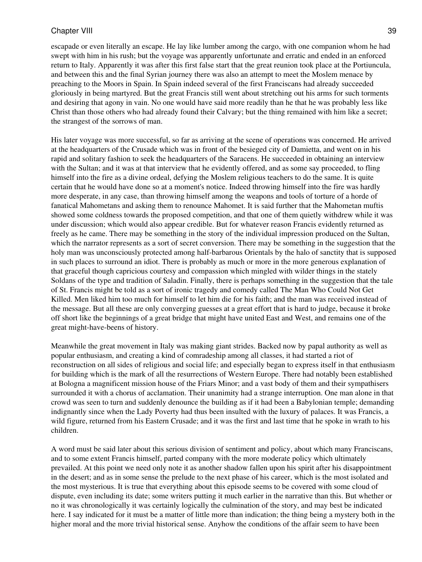escapade or even literally an escape. He lay like lumber among the cargo, with one companion whom he had swept with him in his rush; but the voyage was apparently unfortunate and erratic and ended in an enforced return to Italy. Apparently it was after this first false start that the great reunion took place at the Portiuncula, and between this and the final Syrian journey there was also an attempt to meet the Moslem menace by preaching to the Moors in Spain. In Spain indeed several of the first Franciscans had already succeeded gloriously in being martyred. But the great Francis still went about stretching out his arms for such torments and desiring that agony in vain. No one would have said more readily than he that he was probably less like Christ than those others who had already found their Calvary; but the thing remained with him like a secret; the strangest of the sorrows of man.

His later voyage was more successful, so far as arriving at the scene of operations was concerned. He arrived at the headquarters of the Crusade which was in front of the besieged city of Damietta, and went on in his rapid and solitary fashion to seek the headquarters of the Saracens. He succeeded in obtaining an interview with the Sultan; and it was at that interview that he evidently offered, and as some say proceeded, to fling himself into the fire as a divine ordeal, defying the Moslem religious teachers to do the same. It is quite certain that he would have done so at a moment's notice. Indeed throwing himself into the fire was hardly more desperate, in any case, than throwing himself among the weapons and tools of torture of a horde of fanatical Mahometans and asking them to renounce Mahomet. It is said further that the Mahometan muftis showed some coldness towards the proposed competition, and that one of them quietly withdrew while it was under discussion; which would also appear credible. But for whatever reason Francis evidently returned as freely as he came. There may be something in the story of the individual impression produced on the Sultan, which the narrator represents as a sort of secret conversion. There may be something in the suggestion that the holy man was unconsciously protected among half-barbarous Orientals by the halo of sanctity that is supposed in such places to surround an idiot. There is probably as much or more in the more generous explanation of that graceful though capricious courtesy and compassion which mingled with wilder things in the stately Soldans of the type and tradition of Saladin. Finally, there is perhaps something in the suggestion that the tale of St. Francis might be told as a sort of ironic tragedy and comedy called The Man Who Could Not Get Killed. Men liked him too much for himself to let him die for his faith; and the man was received instead of the message. But all these are only converging guesses at a great effort that is hard to judge, because it broke off short like the beginnings of a great bridge that might have united East and West, and remains one of the great might-have-beens of history.

Meanwhile the great movement in Italy was making giant strides. Backed now by papal authority as well as popular enthusiasm, and creating a kind of comradeship among all classes, it had started a riot of reconstruction on all sides of religious and social life; and especially began to express itself in that enthusiasm for building which is the mark of all the resurrections of Western Europe. There had notably been established at Bologna a magnificent mission house of the Friars Minor; and a vast body of them and their sympathisers surrounded it with a chorus of acclamation. Their unanimity had a strange interruption. One man alone in that crowd was seen to turn and suddenly denounce the building as if it had been a Babylonian temple; demanding indignantly since when the Lady Poverty had thus been insulted with the luxury of palaces. It was Francis, a wild figure, returned from his Eastern Crusade; and it was the first and last time that he spoke in wrath to his children.

A word must be said later about this serious division of sentiment and policy, about which many Franciscans, and to some extent Francis himself, parted company with the more moderate policy which ultimately prevailed. At this point we need only note it as another shadow fallen upon his spirit after his disappointment in the desert; and as in some sense the prelude to the next phase of his career, which is the most isolated and the most mysterious. It is true that everything about this episode seems to be covered with some cloud of dispute, even including its date; some writers putting it much earlier in the narrative than this. But whether or no it was chronologically it was certainly logically the culmination of the story, and may best be indicated here. I say indicated for it must be a matter of little more than indication; the thing being a mystery both in the higher moral and the more trivial historical sense. Anyhow the conditions of the affair seem to have been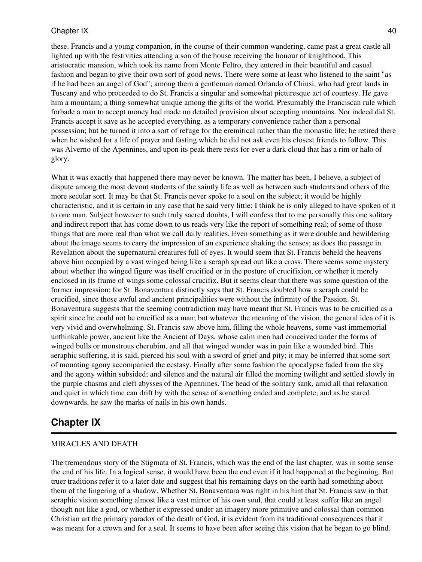these. Francis and a young companion, in the course of their common wandering, came past a great castle all lighted up with the festivities attending a son of the house receiving the honour of knighthood. This aristocratic mansion, which took its name from Monte Feltro, they entered in their beautiful and casual fashion and began to give their own sort of good news. There were some at least who listened to the saint "as if he had been an angel of God"; among them a gentleman named Orlando of Chiusi, who had great lands in Tuscany and who proceeded to do St. Francis a singular and somewhat picturesque act of courtesy. He gave him a mountain; a thing somewhat unique among the gifts of the world. Presumably the Franciscan rule which forbade a man to accept money had made no detailed provision about accepting mountains. Nor indeed did St. Francis accept it save as he accepted everything, as a temporary convenience rather than a personal possession; but he turned it into a sort of refuge for the eremitical rather than the monastic life; he retired there when he wished for a life of prayer and fasting which he did not ask even his closest friends to follow. This was Alverno of the Apennines, and upon its peak there rests for ever a dark cloud that has a rim or halo of glory.

What it was exactly that happened there may never be known. The matter has been, I believe, a subject of dispute among the most devout students of the saintly life as well as between such students and others of the more secular sort. It may be that St. Francis never spoke to a soul on the subject; it would be highly characteristic, and it is certain in any case that he said very little; I think he is only alleged to have spoken of it to one man. Subject however to such truly sacred doubts, I will confess that to me personally this one solitary and indirect report that has come down to us reads very like the report of something real; of some of those things that are more real than what we call daily realities. Even something as it were double and bewildering about the image seems to carry the impression of an experience shaking the senses; as does the passage in Revelation about the supernatural creatures full of eyes. It would seem that St. Francis beheld the heavens above him occupied by a vast winged being like a seraph spread out like a cross. There seems some mystery about whether the winged figure was itself crucified or in the posture of crucifixion, or whether it merely enclosed in its frame of wings some colossal crucifix. But it seems clear that there was some question of the former impression; for St. Bonaventura distinctly says that St. Francis doubted how a seraph could be crucified, since those awful and ancient principalities were without the infirmity of the Passion. St. Bonaventura suggests that the seeming contradiction may have meant that St. Francis was to be crucified as a spirit since he could not be crucified as a man; but whatever the meaning of the vision, the general idea of it is very vivid and overwhelming. St. Francis saw above him, filling the whole heavens, some vast immemorial unthinkable power, ancient like the Ancient of Days, whose calm men had conceived under the forms of winged bulls or monstrous cherubim, and all that winged wonder was in pain like a wounded bird. This seraphic suffering, it is said, pierced his soul with a sword of grief and pity; it may be inferred that some sort of mounting agony accompanied the ecstasy. Finally after some fashion the apocalypse faded from the sky and the agony within subsided; and silence and the natural air filled the morning twilight and settled slowly in the purple chasms and cleft abysses of the Apennines. The head of the solitary sank, amid all that relaxation and quiet in which time can drift by with the sense of something ended and complete; and as he stared downwards, he saw the marks of nails in his own hands.

## <span id="page-39-0"></span>**Chapter IX**

### MIRACLES AND DEATH

The tremendous story of the Stigmata of St. Francis, which was the end of the last chapter, was in some sense the end of his life. In a logical sense, it would have been the end even if it had happened at the beginning. But truer traditions refer it to a later date and suggest that his remaining days on the earth had something about them of the lingering of a shadow. Whether St. Bonaventura was right in his hint that St. Francis saw in that seraphic vision something almost like a vast mirror of his own soul, that could at least suffer like an angel though not like a god, or whether it expressed under an imagery more primitive and colossal than common Christian art the primary paradox of the death of God, it is evident from its traditional consequences that it was meant for a crown and for a seal. It seems to have been after seeing this vision that he began to go blind.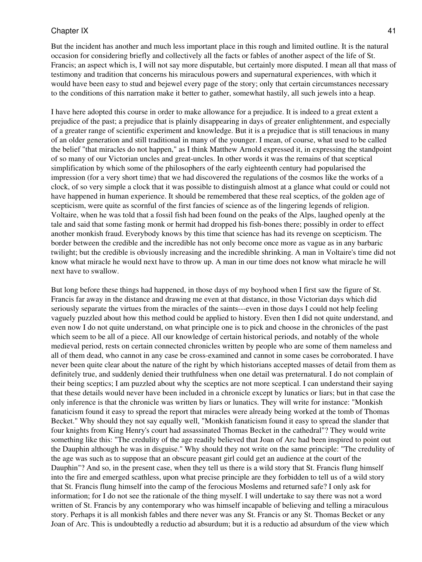But the incident has another and much less important place in this rough and limited outline. It is the natural occasion for considering briefly and collectively all the facts or fables of another aspect of the life of St. Francis; an aspect which is, I will not say more disputable, but certainly more disputed. I mean all that mass of testimony and tradition that concerns his miraculous powers and supernatural experiences, with which it would have been easy to stud and bejewel every page of the story; only that certain circumstances necessary to the conditions of this narration make it better to gather, somewhat hastily, all such jewels into a heap.

I have here adopted this course in order to make allowance for a prejudice. It is indeed to a great extent a prejudice of the past; a prejudice that is plainly disappearing in days of greater enlightenment, and especially of a greater range of scientific experiment and knowledge. But it is a prejudice that is still tenacious in many of an older generation and still traditional in many of the younger. I mean, of course, what used to be called the belief "that miracles do not happen," as I think Matthew Arnold expressed it, in expressing the standpoint of so many of our Victorian uncles and great-uncles. In other words it was the remains of that sceptical simplification by which some of the philosophers of the early eighteenth century had popularised the impression (for a very short time) that we had discovered the regulations of the cosmos like the works of a clock, of so very simple a clock that it was possible to distinguish almost at a glance what could or could not have happened in human experience. It should be remembered that these real sceptics, of the golden age of scepticism, were quite as scornful of the first fancies of science as of the lingering legends of religion. Voltaire, when he was told that a fossil fish had been found on the peaks of the Alps, laughed openly at the tale and said that some fasting monk or hermit had dropped his fish-bones there; possibly in order to effect another monkish fraud. Everybody knows by this time that science has had its revenge on scepticism. The border between the credible and the incredible has not only become once more as vague as in any barbaric twilight; but the credible is obviously increasing and the incredible shrinking. A man in Voltaire's time did not know what miracle he would next have to throw up. A man in our time does not know what miracle he will next have to swallow.

But long before these things had happened, in those days of my boyhood when I first saw the figure of St. Francis far away in the distance and drawing me even at that distance, in those Victorian days which did seriously separate the virtues from the miracles of the saints---even in those days I could not help feeling vaguely puzzled about how this method could be applied to history. Even then I did not quite understand, and even now I do not quite understand, on what principle one is to pick and choose in the chronicles of the past which seem to be all of a piece. All our knowledge of certain historical periods, and notably of the whole medieval period, rests on certain connected chronicles written by people who are some of them nameless and all of them dead, who cannot in any case be cross-examined and cannot in some cases be corroborated. I have never been quite clear about the nature of the right by which historians accepted masses of detail from them as definitely true, and suddenly denied their truthfulness when one detail was preternatural. I do not complain of their being sceptics; I am puzzled about why the sceptics are not more sceptical. I can understand their saying that these details would never have been included in a chronicle except by lunatics or liars; but in that case the only inference is that the chronicle was written by liars or lunatics. They will write for instance: "Monkish fanaticism found it easy to spread the report that miracles were already being worked at the tomb of Thomas Becket." Why should they not say equally well, "Monkish fanaticism found it easy to spread the slander that four knights from King Henry's court had assassinated Thomas Becket in the cathedral"? They would write something like this: "The credulity of the age readily believed that Joan of Arc had been inspired to point out the Dauphin although he was in disguise." Why should they not write on the same principle: "The credulity of the age was such as to suppose that an obscure peasant girl could get an audience at the court of the Dauphin"? And so, in the present case, when they tell us there is a wild story that St. Francis flung himself into the fire and emerged scathless, upon what precise principle are they forbidden to tell us of a wild story that St. Francis flung himself into the camp of the ferocious Moslems and returned safe? I only ask for information; for I do not see the rationale of the thing myself. I will undertake to say there was not a word written of St. Francis by any contemporary who was himself incapable of believing and telling a miraculous story. Perhaps it is all monkish fables and there never was any St. Francis or any St. Thomas Becket or any Joan of Arc. This is undoubtedly a reductio ad absurdum; but it is a reductio ad absurdum of the view which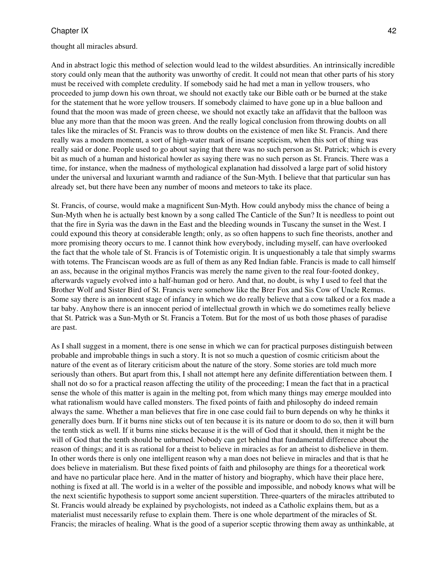#### thought all miracles absurd.

And in abstract logic this method of selection would lead to the wildest absurdities. An intrinsically incredible story could only mean that the authority was unworthy of credit. It could not mean that other parts of his story must be received with complete credulity. If somebody said he had met a man in yellow trousers, who proceeded to jump down his own throat, we should not exactly take our Bible oath or be burned at the stake for the statement that he wore yellow trousers. If somebody claimed to have gone up in a blue balloon and found that the moon was made of green cheese, we should not exactly take an affidavit that the balloon was blue any more than that the moon was green. And the really logical conclusion from throwing doubts on all tales like the miracles of St. Francis was to throw doubts on the existence of men like St. Francis. And there really was a modern moment, a sort of high-water mark of insane scepticism, when this sort of thing was really said or done. People used to go about saying that there was no such person as St. Patrick; which is every bit as much of a human and historical howler as saying there was no such person as St. Francis. There was a time, for instance, when the madness of mythological explanation had dissolved a large part of solid history under the universal and luxuriant warmth and radiance of the Sun-Myth. I believe that that particular sun has already set, but there have been any number of moons and meteors to take its place.

St. Francis, of course, would make a magnificent Sun-Myth. How could anybody miss the chance of being a Sun-Myth when he is actually best known by a song called The Canticle of the Sun? It is needless to point out that the fire in Syria was the dawn in the East and the bleeding wounds in Tuscany the sunset in the West. I could expound this theory at considerable length; only, as so often happens to such fine theorists, another and more promising theory occurs to me. I cannot think how everybody, including myself, can have overlooked the fact that the whole tale of St. Francis is of Totemistic origin. It is unquestionably a tale that simply swarms with totems. The Franciscan woods are as full of them as any Red Indian fable. Francis is made to call himself an ass, because in the original mythos Francis was merely the name given to the real four-footed donkey, afterwards vaguely evolved into a half-human god or hero. And that, no doubt, is why I used to feel that the Brother Wolf and Sister Bird of St. Francis were somehow like the Brer Fox and Sis Cow of Uncle Remus. Some say there is an innocent stage of infancy in which we do really believe that a cow talked or a fox made a tar baby. Anyhow there is an innocent period of intellectual growth in which we do sometimes really believe that St. Patrick was a Sun-Myth or St. Francis a Totem. But for the most of us both those phases of paradise are past.

As I shall suggest in a moment, there is one sense in which we can for practical purposes distinguish between probable and improbable things in such a story. It is not so much a question of cosmic criticism about the nature of the event as of literary criticism about the nature of the story. Some stories are told much more seriously than others. But apart from this, I shall not attempt here any definite differentiation between them. I shall not do so for a practical reason affecting the utility of the proceeding; I mean the fact that in a practical sense the whole of this matter is again in the melting pot, from which many things may emerge moulded into what rationalism would have called monsters. The fixed points of faith and philosophy do indeed remain always the same. Whether a man believes that fire in one case could fail to burn depends on why he thinks it generally does burn. If it burns nine sticks out of ten because it is its nature or doom to do so, then it will burn the tenth stick as well. If it burns nine sticks because it is the will of God that it should, then it might be the will of God that the tenth should be unburned. Nobody can get behind that fundamental difference about the reason of things; and it is as rational for a theist to believe in miracles as for an atheist to disbelieve in them. In other words there is only one intelligent reason why a man does not believe in miracles and that is that he does believe in materialism. But these fixed points of faith and philosophy are things for a theoretical work and have no particular place here. And in the matter of history and biography, which have their place here, nothing is fixed at all. The world is in a welter of the possible and impossible, and nobody knows what will be the next scientific hypothesis to support some ancient superstition. Three-quarters of the miracles attributed to St. Francis would already be explained by psychologists, not indeed as a Catholic explains them, but as a materialist must necessarily refuse to explain them. There is one whole department of the miracles of St. Francis; the miracles of healing. What is the good of a superior sceptic throwing them away as unthinkable, at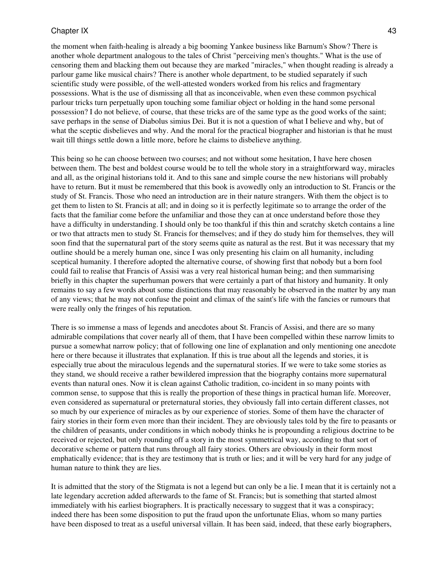the moment when faith-healing is already a big booming Yankee business like Barnum's Show? There is another whole department analogous to the tales of Christ "perceiving men's thoughts." What is the use of censoring them and blacking them out because they are marked "miracles," when thought reading is already a parlour game like musical chairs? There is another whole department, to be studied separately if such scientific study were possible, of the well-attested wonders worked from his relics and fragmentary possessions. What is the use of dismissing all that as inconceivable, when even these common psychical parlour tricks turn perpetually upon touching some familiar object or holding in the hand some personal possession? I do not believe, of course, that these tricks are of the same type as the good works of the saint; save perhaps in the sense of Diabolus simius Dei. But it is not a question of what I believe and why, but of what the sceptic disbelieves and why. And the moral for the practical biographer and historian is that he must wait till things settle down a little more, before he claims to disbelieve anything.

This being so he can choose between two courses; and not without some hesitation, I have here chosen between them. The best and boldest course would be to tell the whole story in a straightforward way, miracles and all, as the original historians told it. And to this sane and simple course the new historians will probably have to return. But it must be remembered that this book is avowedly only an introduction to St. Francis or the study of St. Francis. Those who need an introduction are in their nature strangers. With them the object is to get them to listen to St. Francis at all; and in doing so it is perfectly legitimate so to arrange the order of the facts that the familiar come before the unfamiliar and those they can at once understand before those they have a difficulty in understanding. I should only be too thankful if this thin and scratchy sketch contains a line or two that attracts men to study St. Francis for themselves; and if they do study him for themselves, they will soon find that the supernatural part of the story seems quite as natural as the rest. But it was necessary that my outline should be a merely human one, since I was only presenting his claim on all humanity, including sceptical humanity. I therefore adopted the alternative course, of showing first that nobody but a born fool could fail to realise that Francis of Assisi was a very real historical human being; and then summarising briefly in this chapter the superhuman powers that were certainly a part of that history and humanity. It only remains to say a few words about some distinctions that may reasonably be observed in the matter by any man of any views; that he may not confuse the point and climax of the saint's life with the fancies or rumours that were really only the fringes of his reputation.

There is so immense a mass of legends and anecdotes about St. Francis of Assisi, and there are so many admirable compilations that cover nearly all of them, that I have been compelled within these narrow limits to pursue a somewhat narrow policy; that of following one line of explanation and only mentioning one anecdote here or there because it illustrates that explanation. If this is true about all the legends and stories, it is especially true about the miraculous legends and the supernatural stories. If we were to take some stories as they stand, we should receive a rather bewildered impression that the biography contains more supernatural events than natural ones. Now it is clean against Catholic tradition, co-incident in so many points with common sense, to suppose that this is really the proportion of these things in practical human life. Moreover, even considered as supernatural or preternatural stories, they obviously fall into certain different classes, not so much by our experience of miracles as by our experience of stories. Some of them have the character of fairy stories in their form even more than their incident. They are obviously tales told by the fire to peasants or the children of peasants, under conditions in which nobody thinks he is propounding a religious doctrine to be received or rejected, but only rounding off a story in the most symmetrical way, according to that sort of decorative scheme or pattern that runs through all fairy stories. Others are obviously in their form most emphatically evidence; that is they are testimony that is truth or lies; and it will be very hard for any judge of human nature to think they are lies.

It is admitted that the story of the Stigmata is not a legend but can only be a lie. I mean that it is certainly not a late legendary accretion added afterwards to the fame of St. Francis; but is something that started almost immediately with his earliest biographers. It is practically necessary to suggest that it was a conspiracy; indeed there has been some disposition to put the fraud upon the unfortunate Elias, whom so many parties have been disposed to treat as a useful universal villain. It has been said, indeed, that these early biographers,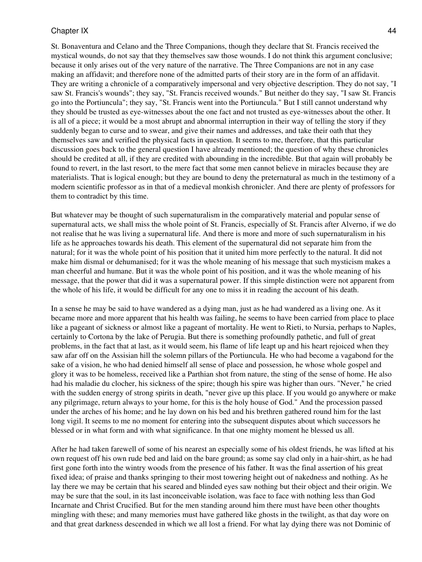St. Bonaventura and Celano and the Three Companions, though they declare that St. Francis received the mystical wounds, do not say that they themselves saw those wounds. I do not think this argument conclusive; because it only arises out of the very nature of the narrative. The Three Companions are not in any case making an affidavit; and therefore none of the admitted parts of their story are in the form of an affidavit. They are writing a chronicle of a comparatively impersonal and very objective description. They do not say, "I saw St. Francis's wounds"; they say, "St. Francis received wounds." But neither do they say, "I saw St. Francis go into the Portiuncula"; they say, "St. Francis went into the Portiuncula." But I still cannot understand why they should be trusted as eye-witnesses about the one fact and not trusted as eye-witnesses about the other. It is all of a piece; it would be a most abrupt and abnormal interruption in their way of telling the story if they suddenly began to curse and to swear, and give their names and addresses, and take their oath that they themselves saw and verified the physical facts in question. It seems to me, therefore, that this particular discussion goes back to the general question I have already mentioned; the question of why these chronicles should be credited at all, if they are credited with abounding in the incredible. But that again will probably be found to revert, in the last resort, to the mere fact that some men cannot believe in miracles because they are materialists. That is logical enough; but they are bound to deny the preternatural as much in the testimony of a modern scientific professor as in that of a medieval monkish chronicler. And there are plenty of professors for them to contradict by this time.

But whatever may be thought of such supernaturalism in the comparatively material and popular sense of supernatural acts, we shall miss the whole point of St. Francis, especially of St. Francis after Alverno, if we do not realise that he was living a supernatural life. And there is more and more of such supernaturalism in his life as he approaches towards his death. This element of the supernatural did not separate him from the natural; for it was the whole point of his position that it united him more perfectly to the natural. It did not make him dismal or dehumanised; for it was the whole meaning of his message that such mysticism makes a man cheerful and humane. But it was the whole point of his position, and it was the whole meaning of his message, that the power that did it was a supernatural power. If this simple distinction were not apparent from the whole of his life, it would be difficult for any one to miss it in reading the account of his death.

In a sense he may be said to have wandered as a dying man, just as he had wandered as a living one. As it became more and more apparent that his health was failing, he seems to have been carried from place to place like a pageant of sickness or almost like a pageant of mortality. He went to Rieti, to Nursia, perhaps to Naples, certainly to Cortona by the lake of Perugia. But there is something profoundly pathetic, and full of great problems, in the fact that at last, as it would seem, his flame of life leapt up and his heart rejoiced when they saw afar off on the Assisian hill the solemn pillars of the Portiuncula. He who had become a vagabond for the sake of a vision, he who had denied himself all sense of place and possession, he whose whole gospel and glory it was to be homeless, received like a Parthian shot from nature, the sting of the sense of home. He also had his maladie du clocher, his sickness of the spire; though his spire was higher than ours. "Never," he cried with the sudden energy of strong spirits in death, "never give up this place. If you would go anywhere or make any pilgrimage, return always to your home, for this is the holy house of God." And the procession passed under the arches of his home; and he lay down on his bed and his brethren gathered round him for the last long vigil. It seems to me no moment for entering into the subsequent disputes about which successors he blessed or in what form and with what significance. In that one mighty moment he blessed us all.

After he had taken farewell of some of his nearest an especially some of his oldest friends, he was lifted at his own request off his own rude bed and laid on the bare ground; as some say clad only in a hair-shirt, as he had first gone forth into the wintry woods from the presence of his father. It was the final assertion of his great fixed idea; of praise and thanks springing to their most towering height out of nakedness and nothing. As he lay there we may be certain that his seared and blinded eyes saw nothing but their object and their origin. We may be sure that the soul, in its last inconceivable isolation, was face to face with nothing less than God Incarnate and Christ Crucified. But for the men standing around him there must have been other thoughts mingling with these; and many memories must have gathered like ghosts in the twilight, as that day wore on and that great darkness descended in which we all lost a friend. For what lay dying there was not Dominic of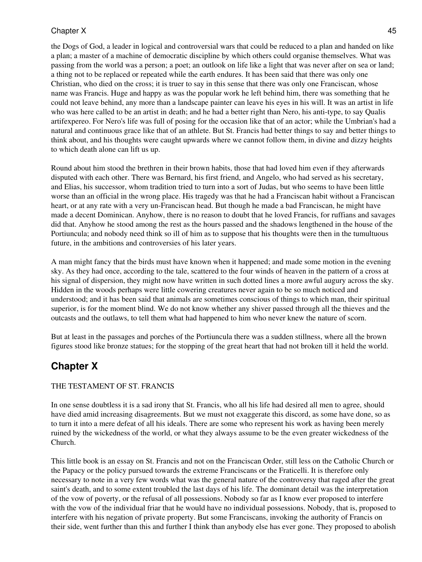## Chapter X and the set of the set of the set of the set of the set of the set of the set of the set of the set of the set of the set of the set of the set of the set of the set of the set of the set of the set of the set of

the Dogs of God, a leader in logical and controversial wars that could be reduced to a plan and handed on like a plan; a master of a machine of democratic discipline by which others could organise themselves. What was passing from the world was a person; a poet; an outlook on life like a light that was never after on sea or land; a thing not to be replaced or repeated while the earth endures. It has been said that there was only one Christian, who died on the cross; it is truer to say in this sense that there was only one Franciscan, whose name was Francis. Huge and happy as was the popular work he left behind him, there was something that he could not leave behind, any more than a landscape painter can leave his eyes in his will. It was an artist in life who was here called to be an artist in death; and he had a better right than Nero, his anti-type, to say Qualis artifexpereo. For Nero's life was full of posing for the occasion like that of an actor; while the Umbrian's had a natural and continuous grace like that of an athlete. But St. Francis had better things to say and better things to think about, and his thoughts were caught upwards where we cannot follow them, in divine and dizzy heights to which death alone can lift us up.

Round about him stood the brethren in their brown habits, those that had loved him even if they afterwards disputed with each other. There was Bernard, his first friend, and Angelo, who had served as his secretary, and Elias, his successor, whom tradition tried to turn into a sort of Judas, but who seems to have been little worse than an official in the wrong place. His tragedy was that he had a Franciscan habit without a Franciscan heart, or at any rate with a very un-Franciscan head. But though he made a bad Franciscan, he might have made a decent Dominican. Anyhow, there is no reason to doubt that he loved Francis, for ruffians and savages did that. Anyhow he stood among the rest as the hours passed and the shadows lengthened in the house of the Portiuncula; and nobody need think so ill of him as to suppose that his thoughts were then in the tumultuous future, in the ambitions and controversies of his later years.

A man might fancy that the birds must have known when it happened; and made some motion in the evening sky. As they had once, according to the tale, scattered to the four winds of heaven in the pattern of a cross at his signal of dispersion, they might now have written in such dotted lines a more awful augury across the sky. Hidden in the woods perhaps were little cowering creatures never again to be so much noticed and understood; and it has been said that animals are sometimes conscious of things to which man, their spiritual superior, is for the moment blind. We do not know whether any shiver passed through all the thieves and the outcasts and the outlaws, to tell them what had happened to him who never knew the nature of scorn.

<span id="page-44-0"></span>But at least in the passages and porches of the Portiuncula there was a sudden stillness, where all the brown figures stood like bronze statues; for the stopping of the great heart that had not broken till it held the world.

# **Chapter X**

## THE TESTAMENT OF ST. FRANCIS

In one sense doubtless it is a sad irony that St. Francis, who all his life had desired all men to agree, should have died amid increasing disagreements. But we must not exaggerate this discord, as some have done, so as to turn it into a mere defeat of all his ideals. There are some who represent his work as having been merely ruined by the wickedness of the world, or what they always assume to be the even greater wickedness of the Church.

This little book is an essay on St. Francis and not on the Franciscan Order, still less on the Catholic Church or the Papacy or the policy pursued towards the extreme Franciscans or the Fraticelli. It is therefore only necessary to note in a very few words what was the general nature of the controversy that raged after the great saint's death, and to some extent troubled the last days of his life. The dominant detail was the interpretation of the vow of poverty, or the refusal of all possessions. Nobody so far as I know ever proposed to interfere with the vow of the individual friar that he would have no individual possessions. Nobody, that is, proposed to interfere with his negation of private property. But some Franciscans, invoking the authority of Francis on their side, went further than this and further I think than anybody else has ever gone. They proposed to abolish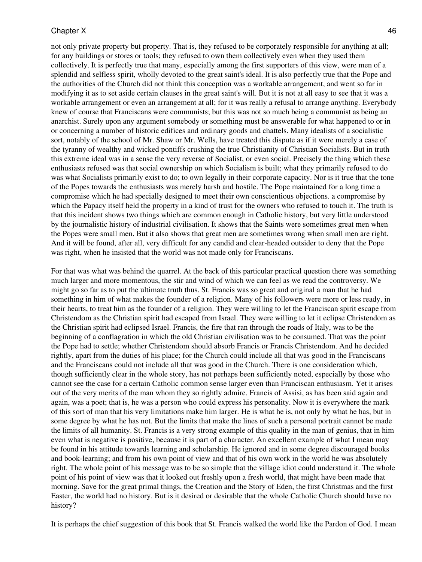not only private property but property. That is, they refused to be corporately responsible for anything at all; for any buildings or stores or tools; they refused to own them collectively even when they used them collectively. It is perfectly true that many, especially among the first supporters of this view, were men of a splendid and selfless spirit, wholly devoted to the great saint's ideal. It is also perfectly true that the Pope and the authorities of the Church did not think this conception was a workable arrangement, and went so far in modifying it as to set aside certain clauses in the great saint's will. But it is not at all easy to see that it was a workable arrangement or even an arrangement at all; for it was really a refusal to arrange anything. Everybody knew of course that Franciscans were communists; but this was not so much being a communist as being an anarchist. Surely upon any argument somebody or something must be answerable for what happened to or in or concerning a number of historic edifices and ordinary goods and chattels. Many idealists of a socialistic sort, notably of the school of Mr. Shaw or Mr. Wells, have treated this dispute as if it were merely a case of the tyranny of wealthy and wicked pontiffs crushing the true Christianity of Christian Socialists. But in truth this extreme ideal was in a sense the very reverse of Socialist, or even social. Precisely the thing which these enthusiasts refused was that social ownership on which Socialism is built; what they primarily refused to do was what Socialists primarily exist to do; to own legally in their corporate capacity. Nor is it true that the tone of the Popes towards the enthusiasts was merely harsh and hostile. The Pope maintained for a long time a compromise which he had specially designed to meet their own conscientious objections. a compromise by which the Papacy itself held the property in a kind of trust for the owners who refused to touch it. The truth is that this incident shows two things which are common enough in Catholic history, but very little understood by the journalistic history of industrial civilisation. It shows that the Saints were sometimes great men when the Popes were small men. But it also shows that great men are sometimes wrong when small men are right. And it will be found, after all, very difficult for any candid and clear-headed outsider to deny that the Pope was right, when he insisted that the world was not made only for Franciscans.

For that was what was behind the quarrel. At the back of this particular practical question there was something much larger and more momentous, the stir and wind of which we can feel as we read the controversy. We might go so far as to put the ultimate truth thus. St. Francis was so great and original a man that he had something in him of what makes the founder of a religion. Many of his followers were more or less ready, in their hearts, to treat him as the founder of a religion. They were willing to let the Franciscan spirit escape from Christendom as the Christian spirit had escaped from Israel. They were willing to let it eclipse Christendom as the Christian spirit had eclipsed Israel. Francis, the fire that ran through the roads of Italy, was to be the beginning of a conflagration in which the old Christian civilisation was to be consumed. That was the point the Pope had to settle; whether Christendom should absorb Francis or Francis Christendom. And he decided rightly, apart from the duties of his place; for the Church could include all that was good in the Franciscans and the Franciscans could not include all that was good in the Church. There is one consideration which, though sufficiently clear in the whole story, has not perhaps been sufficiently noted, especially by those who cannot see the case for a certain Catholic common sense larger even than Franciscan enthusiasm. Yet it arises out of the very merits of the man whom they so rightly admire. Francis of Assisi, as has been said again and again, was a poet; that is, he was a person who could express his personality. Now it is everywhere the mark of this sort of man that his very limitations make him larger. He is what he is, not only by what he has, but in some degree by what he has not. But the limits that make the lines of such a personal portrait cannot be made the limits of all humanity. St. Francis is a very strong example of this quality in the man of genius, that in him even what is negative is positive, because it is part of a character. An excellent example of what I mean may be found in his attitude towards learning and scholarship. He ignored and in some degree discouraged books and book-learning; and from his own point of view and that of his own work in the world he was absolutely right. The whole point of his message was to be so simple that the village idiot could understand it. The whole point of his point of view was that it looked out freshly upon a fresh world, that might have been made that morning. Save for the great primal things, the Creation and the Story of Eden, the first Christmas and the first Easter, the world had no history. But is it desired or desirable that the whole Catholic Church should have no history?

It is perhaps the chief suggestion of this book that St. Francis walked the world like the Pardon of God. I mean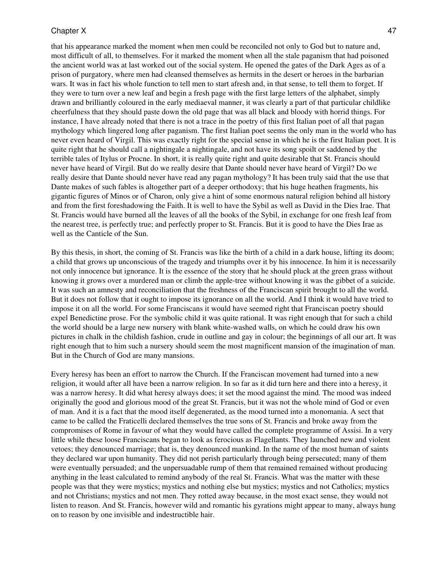#### Chapter X and the set of the set of the set of the set of the set of the set of the set of the set of the set of the set of the set of the set of the set of the set of the set of the set of the set of the set of the set of

that his appearance marked the moment when men could be reconciled not only to God but to nature and, most difficult of all, to themselves. For it marked the moment when all the stale paganism that had poisoned the ancient world was at last worked out of the social system. He opened the gates of the Dark Ages as of a prison of purgatory, where men had cleansed themselves as hermits in the desert or heroes in the barbarian wars. It was in fact his whole function to tell men to start afresh and, in that sense, to tell them to forget. If they were to turn over a new leaf and begin a fresh page with the first large letters of the alphabet, simply drawn and brilliantly coloured in the early mediaeval manner, it was clearly a part of that particular childlike cheerfulness that they should paste down the old page that was all black and bloody with horrid things. For instance, I have already noted that there is not a trace in the poetry of this first Italian poet of all that pagan mythology which lingered long after paganism. The first Italian poet seems the only man in the world who has never even heard of Virgil. This was exactly right for the special sense in which he is the first Italian poet. It is quite right that he should call a nightingale a nightingale, and not have its song spoilt or saddened by the terrible tales of Itylus or Procne. In short, it is really quite right and quite desirable that St. Francis should never have heard of Virgil. But do we really desire that Dante should never have heard of Virgil? Do we really desire that Dante should never have read any pagan mythology? It has been truly said that the use that Dante makes of such fables is altogether part of a deeper orthodoxy; that his huge heathen fragments, his gigantic figures of Minos or of Charon, only give a hint of some enormous natural religion behind all history and from the first foreshadowing the Faith. It is well to have the Sybil as well as David in the Dies Irae. That St. Francis would have burned all the leaves of all the books of the Sybil, in exchange for one fresh leaf from the nearest tree, is perfectly true; and perfectly proper to St. Francis. But it is good to have the Dies Irae as well as the Canticle of the Sun.

By this thesis, in short, the coming of St. Francis was like the birth of a child in a dark house, lifting its doom; a child that grows up unconscious of the tragedy and triumphs over it by his innocence. In him it is necessarily not only innocence but ignorance. It is the essence of the story that he should pluck at the green grass without knowing it grows over a murdered man or climb the apple-tree without knowing it was the gibbet of a suicide. It was such an amnesty and reconciliation that the freshness of the Franciscan spirit brought to all the world. But it does not follow that it ought to impose its ignorance on all the world. And I think it would have tried to impose it on all the world. For some Franciscans it would have seemed right that Franciscan poetry should expel Benedictine prose. For the symbolic child it was quite rational. It was right enough that for such a child the world should be a large new nursery with blank white-washed walls, on which he could draw his own pictures in chalk in the childish fashion, crude in outline and gay in colour; the beginnings of all our art. It was right enough that to him such a nursery should seem the most magnificent mansion of the imagination of man. But in the Church of God are many mansions.

Every heresy has been an effort to narrow the Church. If the Franciscan movement had turned into a new religion, it would after all have been a narrow religion. In so far as it did turn here and there into a heresy, it was a narrow heresy. It did what heresy always does; it set the mood against the mind. The mood was indeed originally the good and glorious mood of the great St. Francis, but it was not the whole mind of God or even of man. And it is a fact that the mood itself degenerated, as the mood turned into a monomania. A sect that came to be called the Fraticelli declared themselves the true sons of St. Francis and broke away from the compromises of Rome in favour of what they would have called the complete programme of Assisi. In a very little while these loose Franciscans began to look as ferocious as Flagellants. They launched new and violent vetoes; they denounced marriage; that is, they denounced mankind. In the name of the most human of saints they declared war upon humanity. They did not perish particularly through being persecuted; many of them were eventually persuaded; and the unpersuadable rump of them that remained remained without producing anything in the least calculated to remind anybody of the real St. Francis. What was the matter with these people was that they were mystics; mystics and nothing else but mystics; mystics and not Catholics; mystics and not Christians; mystics and not men. They rotted away because, in the most exact sense, they would not listen to reason. And St. Francis, however wild and romantic his gyrations might appear to many, always hung on to reason by one invisible and indestructible hair.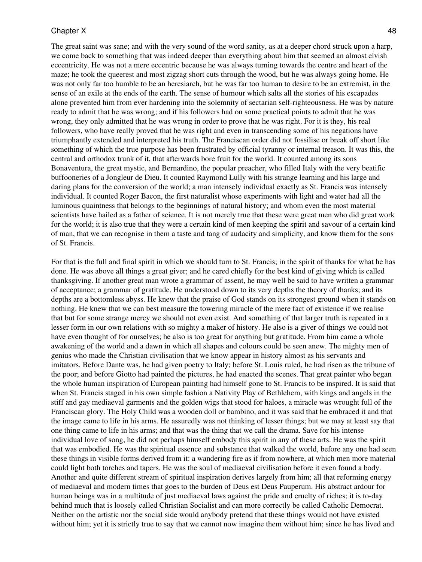#### Chapter X and the set of the set of the set of the set of the set of the set of the set of the set of the set of the set of the set of the set of the set of the set of the set of the set of the set of the set of the set of

The great saint was sane; and with the very sound of the word sanity, as at a deeper chord struck upon a harp, we come back to something that was indeed deeper than everything about him that seemed an almost elvish eccentricity. He was not a mere eccentric because he was always turning towards the centre and heart of the maze; he took the queerest and most zigzag short cuts through the wood, but he was always going home. He was not only far too humble to be an heresiarch, but he was far too human to desire to be an extremist, in the sense of an exile at the ends of the earth. The sense of humour which salts all the stories of his escapades alone prevented him from ever hardening into the solemnity of sectarian self-righteousness. He was by nature ready to admit that he was wrong; and if his followers had on some practical points to admit that he was wrong, they only admitted that he was wrong in order to prove that he was right. For it is they, his real followers, who have really proved that he was right and even in transcending some of his negations have triumphantly extended and interpreted his truth. The Franciscan order did not fossilise or break off short like something of which the true purpose has been frustrated by official tyranny or internal treason. It was this, the central and orthodox trunk of it, that afterwards bore fruit for the world. It counted among its sons Bonaventura, the great mystic, and Bernardino, the popular preacher, who filled Italy with the very beatific buffooneries of a Jongleur de Dieu. It counted Raymond Lully with his strange learning and his large and daring plans for the conversion of the world; a man intensely individual exactly as St. Francis was intensely individual. It counted Roger Bacon, the first naturalist whose experiments with light and water had all the luminous quaintness that belongs to the beginnings of natural history; and whom even the most material scientists have hailed as a father of science. It is not merely true that these were great men who did great work for the world; it is also true that they were a certain kind of men keeping the spirit and savour of a certain kind of man, that we can recognise in them a taste and tang of audacity and simplicity, and know them for the sons of St. Francis.

For that is the full and final spirit in which we should turn to St. Francis; in the spirit of thanks for what he has done. He was above all things a great giver; and he cared chiefly for the best kind of giving which is called thanksgiving. If another great man wrote a grammar of assent, he may well be said to have written a grammar of acceptance; a grammar of gratitude. He understood down to its very depths the theory of thanks; and its depths are a bottomless abyss. He knew that the praise of God stands on its strongest ground when it stands on nothing. He knew that we can best measure the towering miracle of the mere fact of existence if we realise that but for some strange mercy we should not even exist. And something of that larger truth is repeated in a lesser form in our own relations with so mighty a maker of history. He also is a giver of things we could not have even thought of for ourselves; he also is too great for anything but gratitude. From him came a whole awakening of the world and a dawn in which all shapes and colours could be seen anew. The mighty men of genius who made the Christian civilisation that we know appear in history almost as his servants and imitators. Before Dante was, he had given poetry to Italy; before St. Louis ruled, he had risen as the tribune of the poor; and before Giotto had painted the pictures, he had enacted the scenes. That great painter who began the whole human inspiration of European painting had himself gone to St. Francis to be inspired. It is said that when St. Francis staged in his own simple fashion a Nativity Play of Bethlehem, with kings and angels in the stiff and gay mediaeval garments and the golden wigs that stood for haloes, a miracle was wrought full of the Franciscan glory. The Holy Child was a wooden doll or bambino, and it was said that he embraced it and that the image came to life in his arms. He assuredly was not thinking of lesser things; but we may at least say that one thing came to life in his arms; and that was the thing that we call the drama. Save for his intense individual love of song, he did not perhaps himself embody this spirit in any of these arts. He was the spirit that was embodied. He was the spiritual essence and substance that walked the world, before any one had seen these things in visible forms derived from it: a wandering fire as if from nowhere, at which men more material could light both torches and tapers. He was the soul of mediaeval civilisation before it even found a body. Another and quite different stream of spiritual inspiration derives largely from him; all that reforming energy of mediaeval and modern times that goes to the burden of Deus est Deus Pauperum. His abstract ardour for human beings was in a multitude of just mediaeval laws against the pride and cruelty of riches; it is to-day behind much that is loosely called Christian Socialist and can more correctly be called Catholic Democrat. Neither on the artistic nor the social side would anybody pretend that these things would not have existed without him; yet it is strictly true to say that we cannot now imagine them without him; since he has lived and